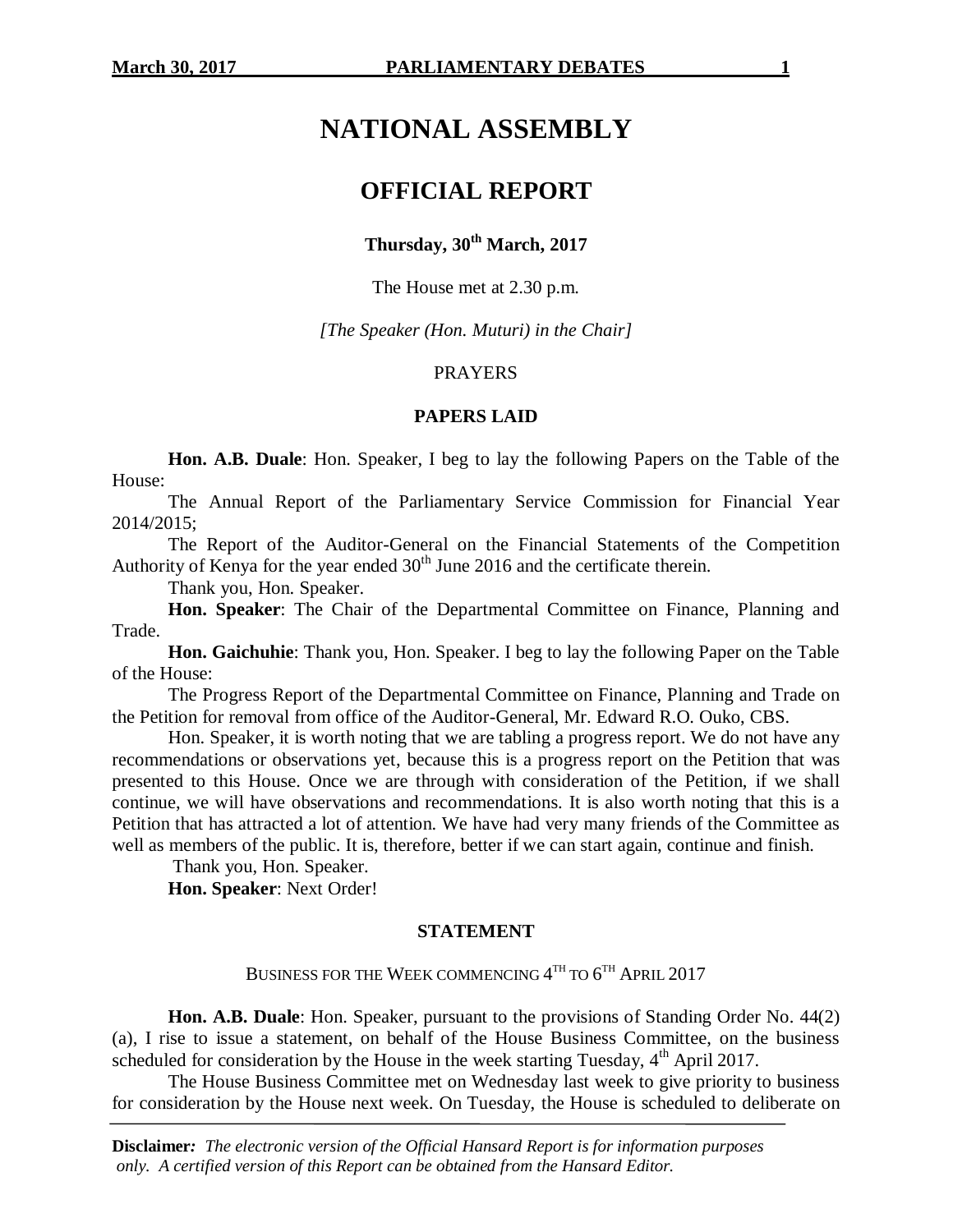# **NATIONAL ASSEMBLY**

# **OFFICIAL REPORT**

# **Thursday, 30th March, 2017**

The House met at 2.30 p.m.

*[The Speaker (Hon. Muturi) in the Chair]*

# PRAYERS

#### **PAPERS LAID**

**Hon. A.B. Duale**: Hon. Speaker, I beg to lay the following Papers on the Table of the House:

The Annual Report of the Parliamentary Service Commission for Financial Year 2014/2015;

The Report of the Auditor-General on the Financial Statements of the Competition Authority of Kenya for the year ended  $30<sup>th</sup>$  June 2016 and the certificate therein.

Thank you, Hon. Speaker.

**Hon. Speaker**: The Chair of the Departmental Committee on Finance, Planning and Trade.

**Hon. Gaichuhie**: Thank you, Hon. Speaker. I beg to lay the following Paper on the Table of the House:

The Progress Report of the Departmental Committee on Finance, Planning and Trade on the Petition for removal from office of the Auditor-General, Mr. Edward R.O. Ouko, CBS.

Hon. Speaker, it is worth noting that we are tabling a progress report. We do not have any recommendations or observations yet, because this is a progress report on the Petition that was presented to this House. Once we are through with consideration of the Petition, if we shall continue, we will have observations and recommendations. It is also worth noting that this is a Petition that has attracted a lot of attention. We have had very many friends of the Committee as well as members of the public. It is, therefore, better if we can start again, continue and finish.

Thank you, Hon. Speaker.

**Hon. Speaker**: Next Order!

# **STATEMENT**

BUSINESS FOR THE WEEK COMMENCING  $4^{\text{\tiny{TH}}}$  to  $6^{\text{\tiny{TH}}}$  April 2017

**Hon. A.B. Duale**: Hon. Speaker, pursuant to the provisions of Standing Order No. 44(2) (a), I rise to issue a statement, on behalf of the House Business Committee, on the business scheduled for consideration by the House in the week starting Tuesday,  $4<sup>th</sup>$  April 2017.

The House Business Committee met on Wednesday last week to give priority to business for consideration by the House next week. On Tuesday, the House is scheduled to deliberate on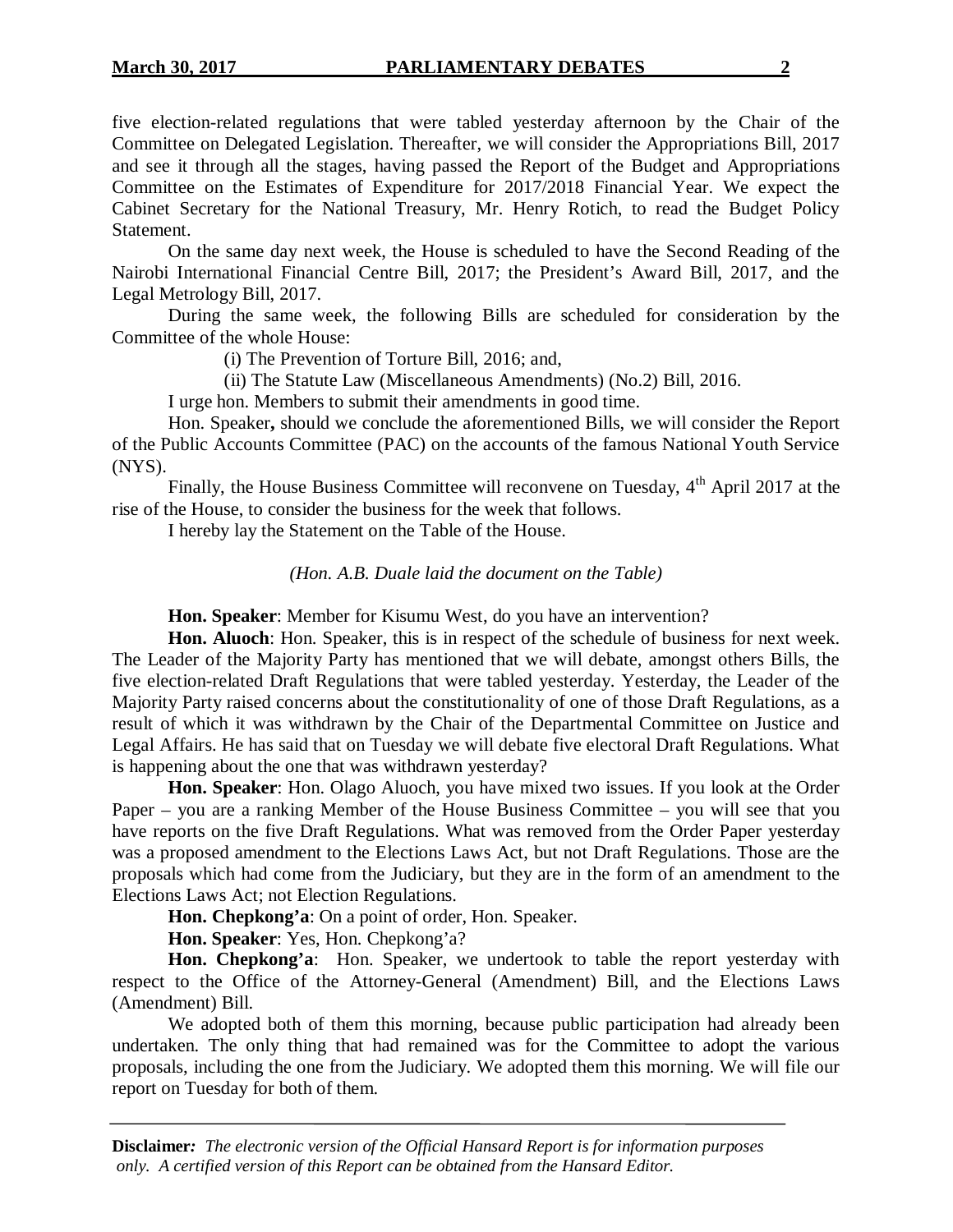five election-related regulations that were tabled yesterday afternoon by the Chair of the Committee on Delegated Legislation. Thereafter, we will consider the Appropriations Bill, 2017 and see it through all the stages, having passed the Report of the Budget and Appropriations Committee on the Estimates of Expenditure for 2017/2018 Financial Year. We expect the Cabinet Secretary for the National Treasury, Mr. Henry Rotich, to read the Budget Policy Statement.

On the same day next week, the House is scheduled to have the Second Reading of the Nairobi International Financial Centre Bill, 2017; the President's Award Bill, 2017, and the Legal Metrology Bill, 2017.

During the same week, the following Bills are scheduled for consideration by the Committee of the whole House:

(i) The Prevention of Torture Bill, 2016; and,

(ii) The Statute Law (Miscellaneous Amendments) (No.2) Bill, 2016.

I urge hon. Members to submit their amendments in good time.

Hon. Speaker**,** should we conclude the aforementioned Bills, we will consider the Report of the Public Accounts Committee (PAC) on the accounts of the famous National Youth Service (NYS).

Finally, the House Business Committee will reconvene on Tuesday,  $4<sup>th</sup>$  April 2017 at the rise of the House, to consider the business for the week that follows.

I hereby lay the Statement on the Table of the House.

*(Hon. A.B. Duale laid the document on the Table)*

**Hon. Speaker**: Member for Kisumu West, do you have an intervention?

**Hon. Aluoch**: Hon. Speaker, this is in respect of the schedule of business for next week. The Leader of the Majority Party has mentioned that we will debate, amongst others Bills, the five election-related Draft Regulations that were tabled yesterday. Yesterday, the Leader of the Majority Party raised concerns about the constitutionality of one of those Draft Regulations, as a result of which it was withdrawn by the Chair of the Departmental Committee on Justice and Legal Affairs. He has said that on Tuesday we will debate five electoral Draft Regulations. What is happening about the one that was withdrawn yesterday?

**Hon. Speaker**: Hon. Olago Aluoch, you have mixed two issues. If you look at the Order Paper – you are a ranking Member of the House Business Committee – you will see that you have reports on the five Draft Regulations. What was removed from the Order Paper yesterday was a proposed amendment to the Elections Laws Act, but not Draft Regulations. Those are the proposals which had come from the Judiciary, but they are in the form of an amendment to the Elections Laws Act; not Election Regulations.

**Hon. Chepkong'a**: On a point of order, Hon. Speaker.

**Hon. Speaker**: Yes, Hon. Chepkong'a?

**Hon. Chepkong'a**: Hon. Speaker, we undertook to table the report yesterday with respect to the Office of the Attorney-General (Amendment) Bill, and the Elections Laws (Amendment) Bill.

We adopted both of them this morning, because public participation had already been undertaken. The only thing that had remained was for the Committee to adopt the various proposals, including the one from the Judiciary. We adopted them this morning. We will file our report on Tuesday for both of them.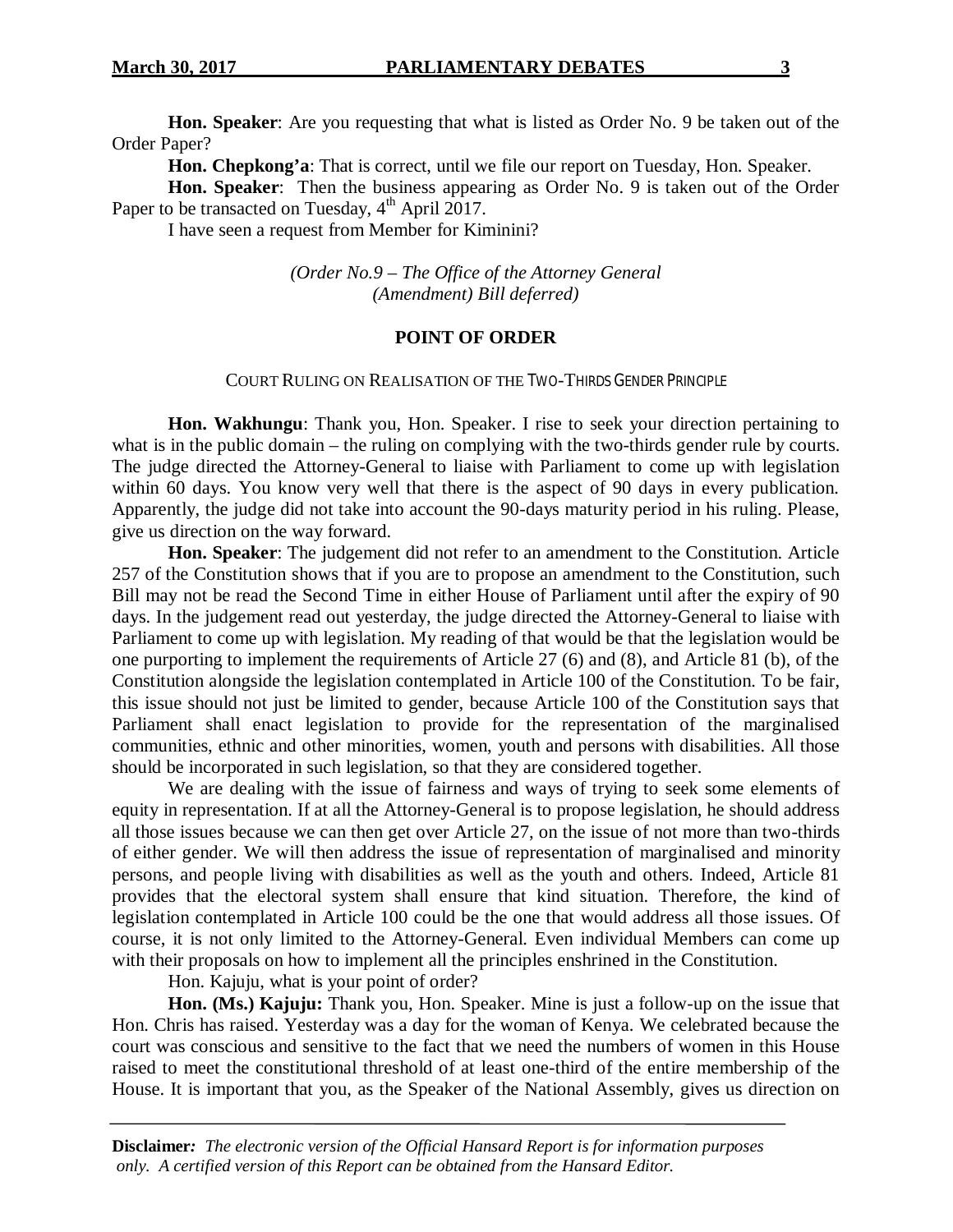**Hon. Speaker**: Are you requesting that what is listed as Order No. 9 be taken out of the Order Paper?

**Hon. Chepkong'a**: That is correct, until we file our report on Tuesday, Hon. Speaker.

**Hon. Speaker**: Then the business appearing as Order No. 9 is taken out of the Order Paper to be transacted on Tuesday,  $4<sup>th</sup>$  April 2017.

I have seen a request from Member for Kiminini?

*(Order No.9 – The Office of the Attorney General (Amendment) Bill deferred)*

#### **POINT OF ORDER**

#### COURT RULING ON REALISATION OF THE TWO*-*THIRDS GENDER PRINCIPLE

**Hon. Wakhungu**: Thank you, Hon. Speaker. I rise to seek your direction pertaining to what is in the public domain – the ruling on complying with the two-thirds gender rule by courts. The judge directed the Attorney-General to liaise with Parliament to come up with legislation within 60 days. You know very well that there is the aspect of 90 days in every publication. Apparently, the judge did not take into account the 90-days maturity period in his ruling. Please, give us direction on the way forward.

**Hon. Speaker**: The judgement did not refer to an amendment to the Constitution. Article 257 of the Constitution shows that if you are to propose an amendment to the Constitution, such Bill may not be read the Second Time in either House of Parliament until after the expiry of 90 days. In the judgement read out yesterday, the judge directed the Attorney-General to liaise with Parliament to come up with legislation. My reading of that would be that the legislation would be one purporting to implement the requirements of Article 27 (6) and (8), and Article 81 (b), of the Constitution alongside the legislation contemplated in Article 100 of the Constitution. To be fair, this issue should not just be limited to gender, because Article 100 of the Constitution says that Parliament shall enact legislation to provide for the representation of the marginalised communities, ethnic and other minorities, women, youth and persons with disabilities. All those should be incorporated in such legislation, so that they are considered together.

We are dealing with the issue of fairness and ways of trying to seek some elements of equity in representation. If at all the Attorney-General is to propose legislation, he should address all those issues because we can then get over Article 27, on the issue of not more than two-thirds of either gender. We will then address the issue of representation of marginalised and minority persons, and people living with disabilities as well as the youth and others. Indeed, Article 81 provides that the electoral system shall ensure that kind situation. Therefore, the kind of legislation contemplated in Article 100 could be the one that would address all those issues. Of course, it is not only limited to the Attorney-General. Even individual Members can come up with their proposals on how to implement all the principles enshrined in the Constitution.

Hon. Kajuju, what is your point of order?

**Hon. (Ms.) Kajuju:** Thank you, Hon. Speaker. Mine is just a follow-up on the issue that Hon. Chris has raised. Yesterday was a day for the woman of Kenya. We celebrated because the court was conscious and sensitive to the fact that we need the numbers of women in this House raised to meet the constitutional threshold of at least one-third of the entire membership of the House. It is important that you, as the Speaker of the National Assembly, gives us direction on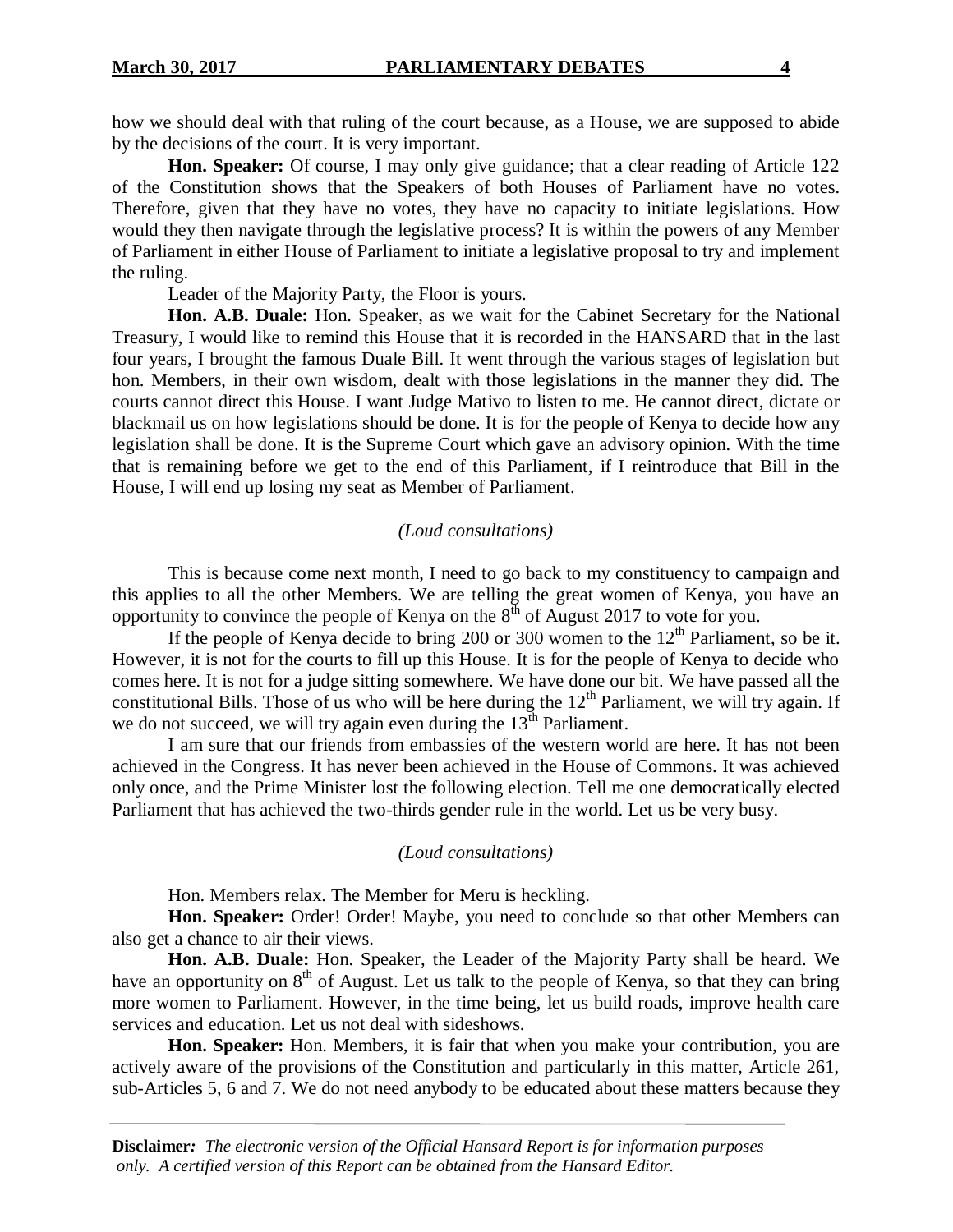how we should deal with that ruling of the court because, as a House, we are supposed to abide by the decisions of the court. It is very important.

**Hon. Speaker:** Of course, I may only give guidance; that a clear reading of Article 122 of the Constitution shows that the Speakers of both Houses of Parliament have no votes. Therefore, given that they have no votes, they have no capacity to initiate legislations. How would they then navigate through the legislative process? It is within the powers of any Member of Parliament in either House of Parliament to initiate a legislative proposal to try and implement the ruling.

Leader of the Majority Party, the Floor is yours.

**Hon. A.B. Duale:** Hon. Speaker, as we wait for the Cabinet Secretary for the National Treasury, I would like to remind this House that it is recorded in the HANSARD that in the last four years, I brought the famous Duale Bill. It went through the various stages of legislation but hon. Members, in their own wisdom, dealt with those legislations in the manner they did. The courts cannot direct this House. I want Judge Mativo to listen to me. He cannot direct, dictate or blackmail us on how legislations should be done. It is for the people of Kenya to decide how any legislation shall be done. It is the Supreme Court which gave an advisory opinion. With the time that is remaining before we get to the end of this Parliament, if I reintroduce that Bill in the House, I will end up losing my seat as Member of Parliament.

#### *(Loud consultations)*

This is because come next month, I need to go back to my constituency to campaign and this applies to all the other Members. We are telling the great women of Kenya, you have an opportunity to convince the people of Kenya on the  $8<sup>th</sup>$  of August 2017 to vote for you.

If the people of Kenya decide to bring 200 or 300 women to the  $12<sup>th</sup>$  Parliament, so be it. However, it is not for the courts to fill up this House. It is for the people of Kenya to decide who comes here. It is not for a judge sitting somewhere. We have done our bit. We have passed all the constitutional Bills. Those of us who will be here during the  $12<sup>th</sup>$  Parliament, we will try again. If we do not succeed, we will try again even during the  $13<sup>th</sup>$  Parliament.

I am sure that our friends from embassies of the western world are here. It has not been achieved in the Congress. It has never been achieved in the House of Commons. It was achieved only once, and the Prime Minister lost the following election. Tell me one democratically elected Parliament that has achieved the two-thirds gender rule in the world. Let us be very busy.

#### *(Loud consultations)*

Hon. Members relax. The Member for Meru is heckling.

**Hon. Speaker:** Order! Order! Maybe, you need to conclude so that other Members can also get a chance to air their views.

**Hon. A.B. Duale:** Hon. Speaker, the Leader of the Majority Party shall be heard. We have an opportunity on  $8<sup>th</sup>$  of August. Let us talk to the people of Kenya, so that they can bring more women to Parliament. However, in the time being, let us build roads, improve health care services and education. Let us not deal with sideshows.

**Hon. Speaker:** Hon. Members, it is fair that when you make your contribution, you are actively aware of the provisions of the Constitution and particularly in this matter, Article 261, sub-Articles 5, 6 and 7. We do not need anybody to be educated about these matters because they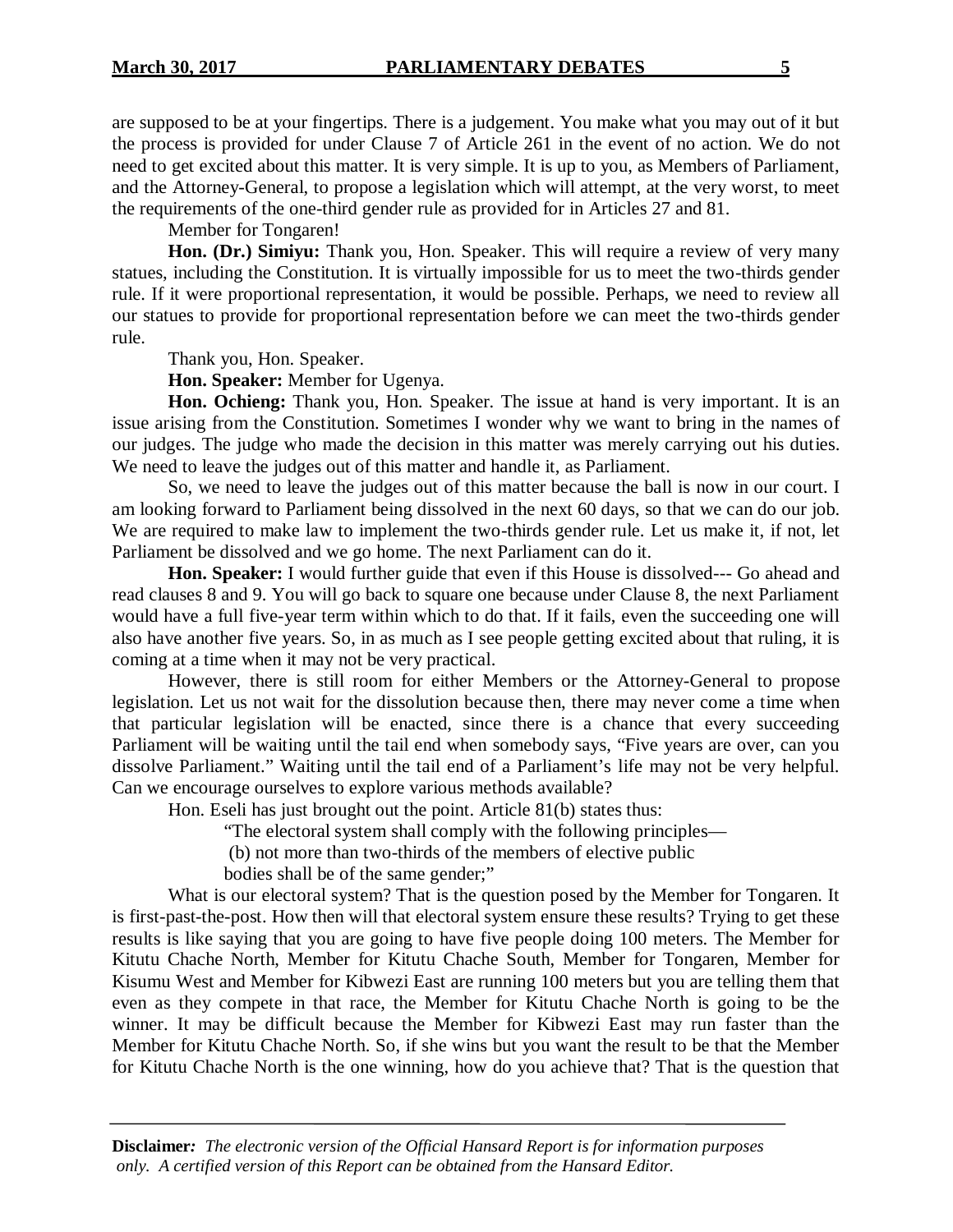are supposed to be at your fingertips. There is a judgement. You make what you may out of it but the process is provided for under Clause 7 of Article 261 in the event of no action. We do not need to get excited about this matter. It is very simple. It is up to you, as Members of Parliament, and the Attorney-General, to propose a legislation which will attempt, at the very worst, to meet the requirements of the one-third gender rule as provided for in Articles 27 and 81.

Member for Tongaren!

**Hon. (Dr.) Simiyu:** Thank you, Hon. Speaker. This will require a review of very many statues, including the Constitution. It is virtually impossible for us to meet the two-thirds gender rule. If it were proportional representation, it would be possible. Perhaps, we need to review all our statues to provide for proportional representation before we can meet the two-thirds gender rule.

Thank you, Hon. Speaker.

**Hon. Speaker:** Member for Ugenya.

**Hon. Ochieng:** Thank you, Hon. Speaker. The issue at hand is very important. It is an issue arising from the Constitution. Sometimes I wonder why we want to bring in the names of our judges. The judge who made the decision in this matter was merely carrying out his duties. We need to leave the judges out of this matter and handle it, as Parliament.

So, we need to leave the judges out of this matter because the ball is now in our court. I am looking forward to Parliament being dissolved in the next 60 days, so that we can do our job. We are required to make law to implement the two-thirds gender rule. Let us make it, if not, let Parliament be dissolved and we go home. The next Parliament can do it.

**Hon. Speaker:** I would further guide that even if this House is dissolved--- Go ahead and read clauses 8 and 9. You will go back to square one because under Clause 8, the next Parliament would have a full five-year term within which to do that. If it fails, even the succeeding one will also have another five years. So, in as much as I see people getting excited about that ruling, it is coming at a time when it may not be very practical.

However, there is still room for either Members or the Attorney-General to propose legislation. Let us not wait for the dissolution because then, there may never come a time when that particular legislation will be enacted, since there is a chance that every succeeding Parliament will be waiting until the tail end when somebody says, "Five years are over, can you dissolve Parliament." Waiting until the tail end of a Parliament's life may not be very helpful. Can we encourage ourselves to explore various methods available?

Hon. Eseli has just brought out the point. Article 81(b) states thus:

"The electoral system shall comply with the following principles—

(b) not more than two-thirds of the members of elective public

bodies shall be of the same gender;"

What is our electoral system? That is the question posed by the Member for Tongaren. It is first-past-the-post. How then will that electoral system ensure these results? Trying to get these results is like saying that you are going to have five people doing 100 meters. The Member for Kitutu Chache North, Member for Kitutu Chache South, Member for Tongaren, Member for Kisumu West and Member for Kibwezi East are running 100 meters but you are telling them that even as they compete in that race, the Member for Kitutu Chache North is going to be the winner. It may be difficult because the Member for Kibwezi East may run faster than the Member for Kitutu Chache North. So, if she wins but you want the result to be that the Member for Kitutu Chache North is the one winning, how do you achieve that? That is the question that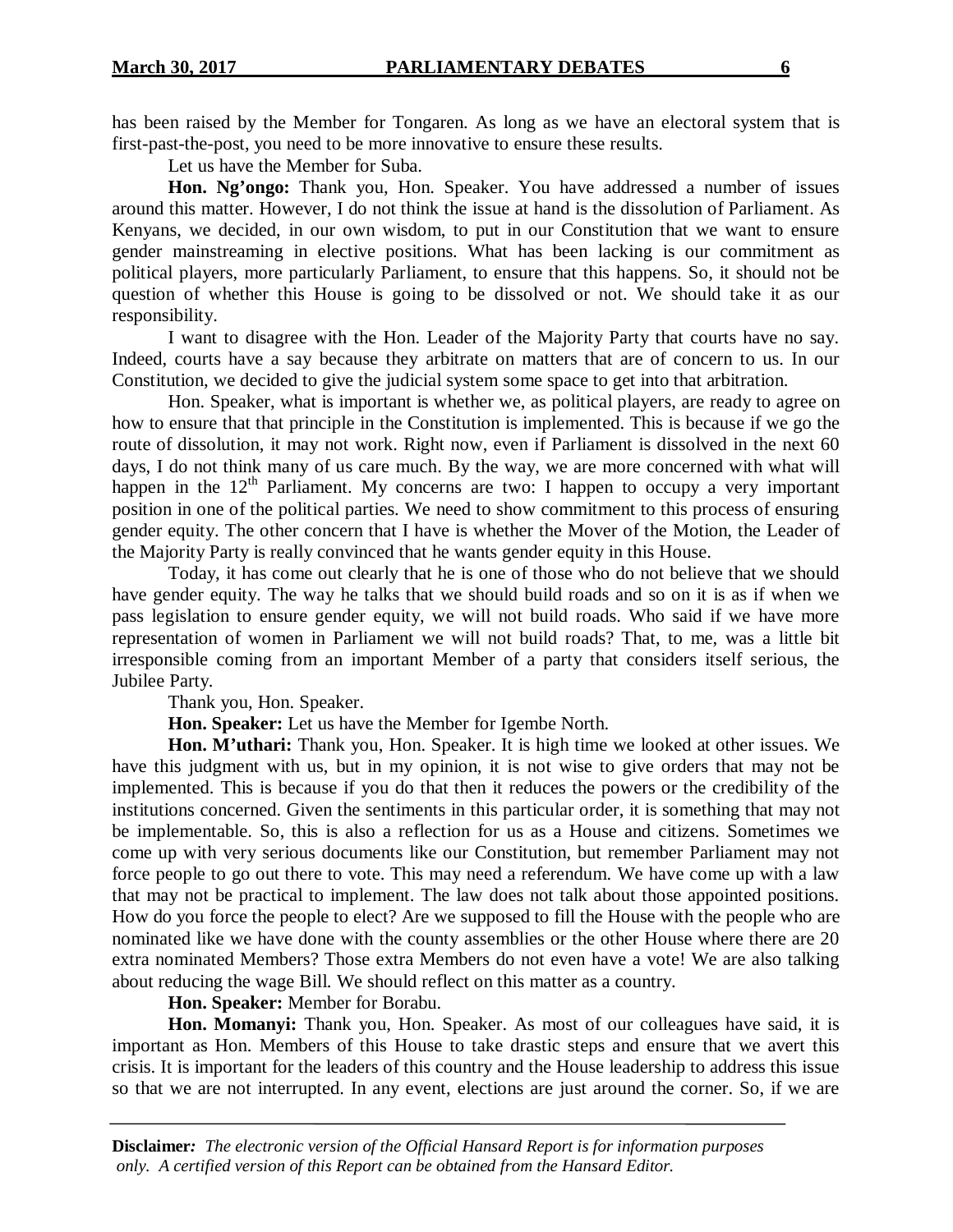has been raised by the Member for Tongaren. As long as we have an electoral system that is first-past-the-post, you need to be more innovative to ensure these results.

Let us have the Member for Suba.

**Hon. Ng'ongo:** Thank you, Hon. Speaker. You have addressed a number of issues around this matter. However, I do not think the issue at hand is the dissolution of Parliament. As Kenyans, we decided, in our own wisdom, to put in our Constitution that we want to ensure gender mainstreaming in elective positions. What has been lacking is our commitment as political players, more particularly Parliament, to ensure that this happens. So, it should not be question of whether this House is going to be dissolved or not. We should take it as our responsibility.

I want to disagree with the Hon. Leader of the Majority Party that courts have no say. Indeed, courts have a say because they arbitrate on matters that are of concern to us. In our Constitution, we decided to give the judicial system some space to get into that arbitration.

Hon. Speaker, what is important is whether we, as political players, are ready to agree on how to ensure that that principle in the Constitution is implemented. This is because if we go the route of dissolution, it may not work. Right now, even if Parliament is dissolved in the next 60 days, I do not think many of us care much. By the way, we are more concerned with what will happen in the  $12<sup>th</sup>$  Parliament. My concerns are two: I happen to occupy a very important position in one of the political parties. We need to show commitment to this process of ensuring gender equity. The other concern that I have is whether the Mover of the Motion, the Leader of the Majority Party is really convinced that he wants gender equity in this House.

Today, it has come out clearly that he is one of those who do not believe that we should have gender equity. The way he talks that we should build roads and so on it is as if when we pass legislation to ensure gender equity, we will not build roads. Who said if we have more representation of women in Parliament we will not build roads? That, to me, was a little bit irresponsible coming from an important Member of a party that considers itself serious, the Jubilee Party.

Thank you, Hon. Speaker.

**Hon. Speaker:** Let us have the Member for Igembe North.

**Hon. M'uthari:** Thank you, Hon. Speaker. It is high time we looked at other issues. We have this judgment with us, but in my opinion, it is not wise to give orders that may not be implemented. This is because if you do that then it reduces the powers or the credibility of the institutions concerned. Given the sentiments in this particular order, it is something that may not be implementable. So, this is also a reflection for us as a House and citizens. Sometimes we come up with very serious documents like our Constitution, but remember Parliament may not force people to go out there to vote. This may need a referendum. We have come up with a law that may not be practical to implement. The law does not talk about those appointed positions. How do you force the people to elect? Are we supposed to fill the House with the people who are nominated like we have done with the county assemblies or the other House where there are 20 extra nominated Members? Those extra Members do not even have a vote! We are also talking about reducing the wage Bill. We should reflect on this matter as a country.

# **Hon. Speaker:** Member for Borabu.

**Hon. Momanyi:** Thank you, Hon. Speaker. As most of our colleagues have said, it is important as Hon. Members of this House to take drastic steps and ensure that we avert this crisis. It is important for the leaders of this country and the House leadership to address this issue so that we are not interrupted. In any event, elections are just around the corner. So, if we are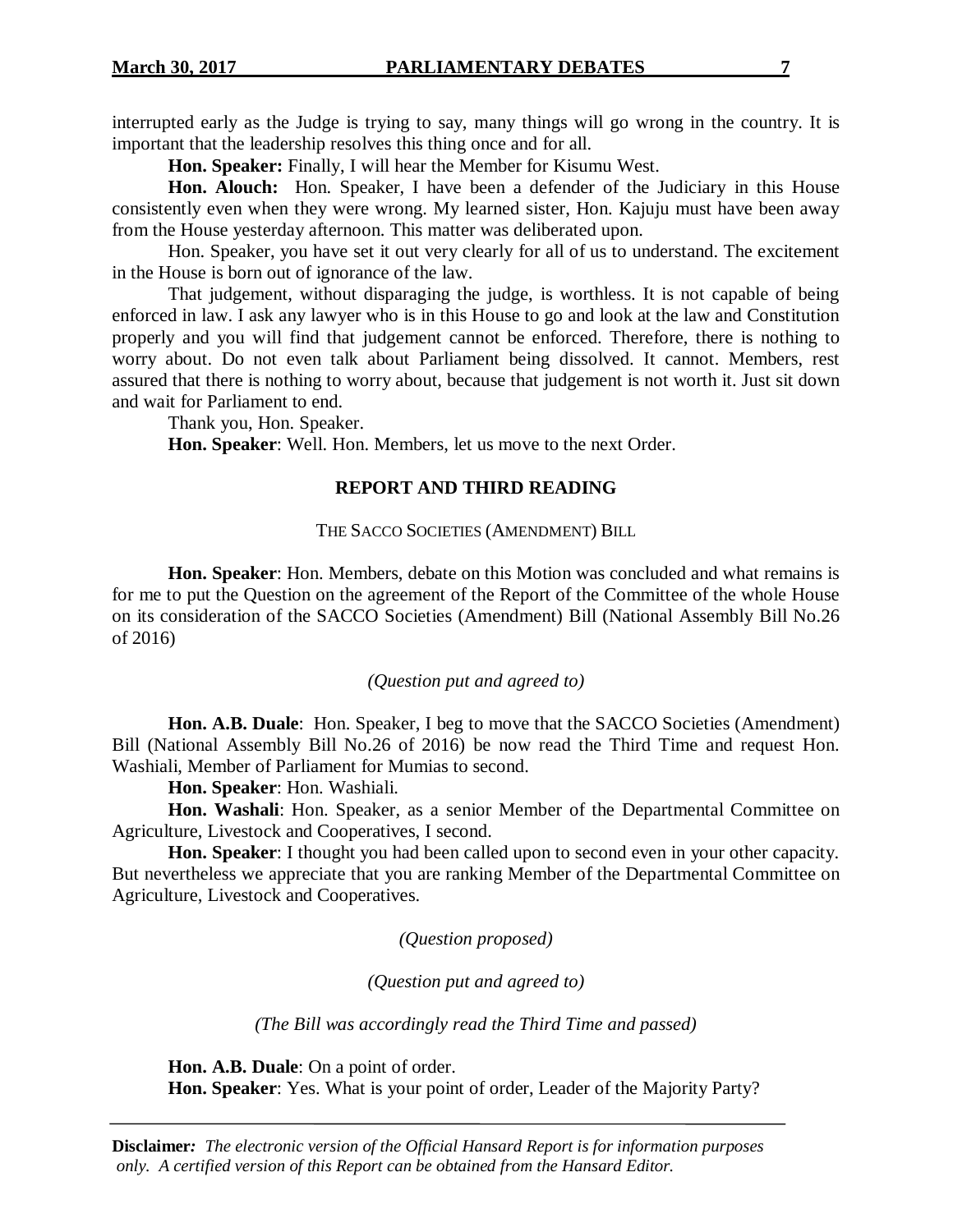interrupted early as the Judge is trying to say, many things will go wrong in the country. It is important that the leadership resolves this thing once and for all.

**Hon. Speaker:** Finally, I will hear the Member for Kisumu West.

**Hon. Alouch:** Hon. Speaker, I have been a defender of the Judiciary in this House consistently even when they were wrong. My learned sister, Hon. Kajuju must have been away from the House yesterday afternoon. This matter was deliberated upon.

Hon. Speaker, you have set it out very clearly for all of us to understand. The excitement in the House is born out of ignorance of the law.

That judgement, without disparaging the judge, is worthless. It is not capable of being enforced in law. I ask any lawyer who is in this House to go and look at the law and Constitution properly and you will find that judgement cannot be enforced. Therefore, there is nothing to worry about. Do not even talk about Parliament being dissolved. It cannot. Members, rest assured that there is nothing to worry about, because that judgement is not worth it. Just sit down and wait for Parliament to end.

Thank you, Hon. Speaker.

**Hon. Speaker**: Well. Hon. Members, let us move to the next Order.

# **REPORT AND THIRD READING**

# THE SACCO SOCIETIES (AMENDMENT) BILL

**Hon. Speaker**: Hon. Members, debate on this Motion was concluded and what remains is for me to put the Question on the agreement of the Report of the Committee of the whole House on its consideration of the SACCO Societies (Amendment) Bill (National Assembly Bill No.26 of 2016)

# *(Question put and agreed to)*

**Hon. A.B. Duale**: Hon. Speaker, I beg to move that the SACCO Societies (Amendment) Bill (National Assembly Bill No.26 of 2016) be now read the Third Time and request Hon. Washiali, Member of Parliament for Mumias to second.

**Hon. Speaker**: Hon. Washiali.

**Hon. Washali**: Hon. Speaker, as a senior Member of the Departmental Committee on Agriculture, Livestock and Cooperatives, I second.

**Hon. Speaker**: I thought you had been called upon to second even in your other capacity. But nevertheless we appreciate that you are ranking Member of the Departmental Committee on Agriculture, Livestock and Cooperatives.

*(Question proposed)*

*(Question put and agreed to)*

*(The Bill was accordingly read the Third Time and passed)*

**Hon. A.B. Duale**: On a point of order.

**Hon. Speaker**: Yes. What is your point of order, Leader of the Majority Party?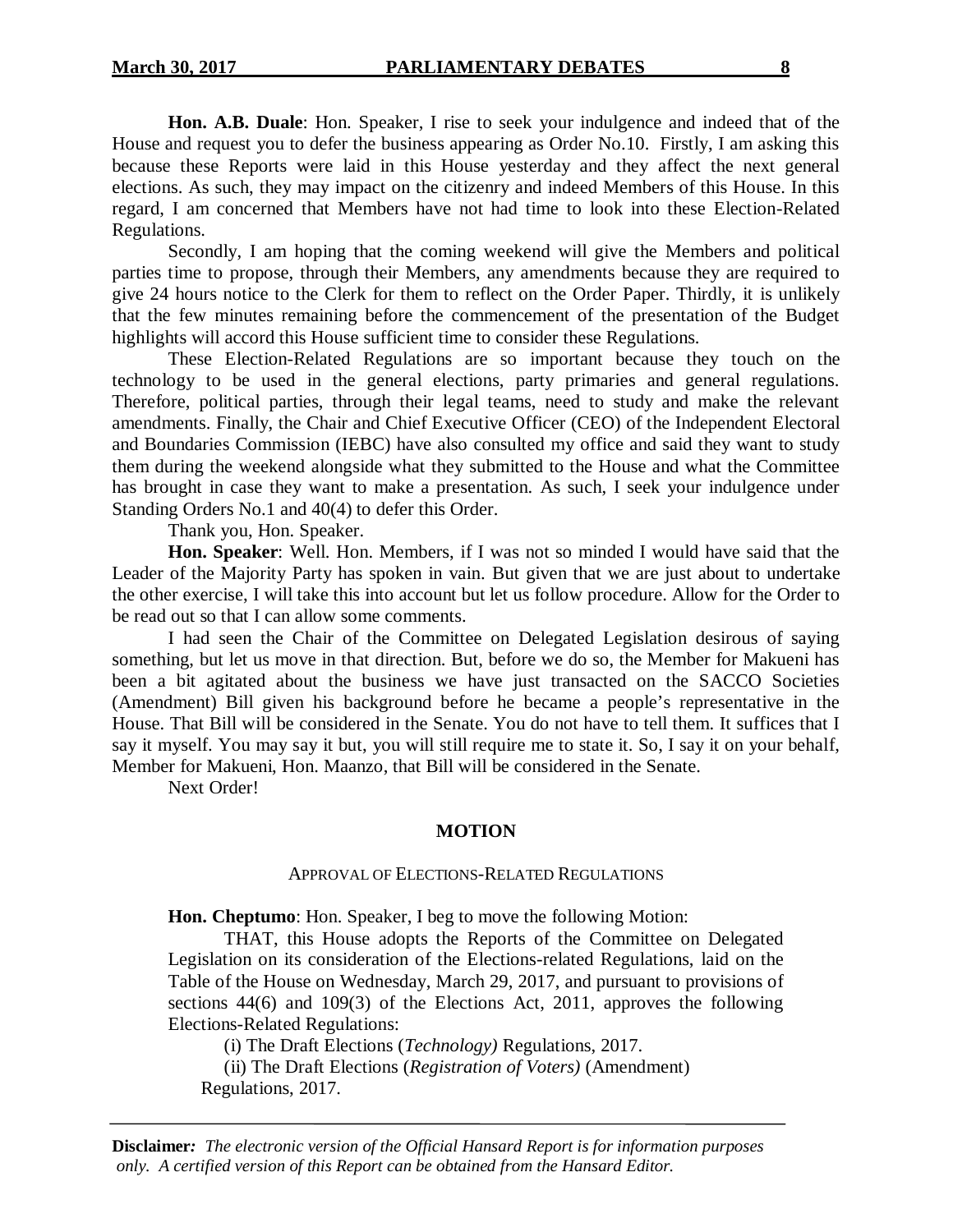**Hon. A.B. Duale**: Hon. Speaker, I rise to seek your indulgence and indeed that of the House and request you to defer the business appearing as Order No.10. Firstly, I am asking this because these Reports were laid in this House yesterday and they affect the next general elections. As such, they may impact on the citizenry and indeed Members of this House. In this regard, I am concerned that Members have not had time to look into these Election-Related Regulations.

Secondly, I am hoping that the coming weekend will give the Members and political parties time to propose, through their Members, any amendments because they are required to give 24 hours notice to the Clerk for them to reflect on the Order Paper. Thirdly, it is unlikely that the few minutes remaining before the commencement of the presentation of the Budget highlights will accord this House sufficient time to consider these Regulations.

These Election-Related Regulations are so important because they touch on the technology to be used in the general elections, party primaries and general regulations. Therefore, political parties, through their legal teams, need to study and make the relevant amendments. Finally, the Chair and Chief Executive Officer (CEO) of the Independent Electoral and Boundaries Commission (IEBC) have also consulted my office and said they want to study them during the weekend alongside what they submitted to the House and what the Committee has brought in case they want to make a presentation. As such, I seek your indulgence under Standing Orders No.1 and 40(4) to defer this Order.

Thank you, Hon. Speaker.

**Hon. Speaker**: Well. Hon. Members, if I was not so minded I would have said that the Leader of the Majority Party has spoken in vain. But given that we are just about to undertake the other exercise, I will take this into account but let us follow procedure. Allow for the Order to be read out so that I can allow some comments.

I had seen the Chair of the Committee on Delegated Legislation desirous of saying something, but let us move in that direction. But, before we do so, the Member for Makueni has been a bit agitated about the business we have just transacted on the SACCO Societies (Amendment) Bill given his background before he became a people's representative in the House. That Bill will be considered in the Senate. You do not have to tell them. It suffices that I say it myself. You may say it but, you will still require me to state it. So, I say it on your behalf, Member for Makueni, Hon. Maanzo, that Bill will be considered in the Senate.

Next Order!

# **MOTION**

#### APPROVAL OF ELECTIONS-RELATED REGULATIONS

**Hon. Cheptumo**: Hon. Speaker, I beg to move the following Motion:

THAT, this House adopts the Reports of the Committee on Delegated Legislation on its consideration of the Elections-related Regulations, laid on the Table of the House on Wednesday, March 29, 2017, and pursuant to provisions of sections 44(6) and 109(3) of the Elections Act, 2011, approves the following Elections-Related Regulations:

(i) The Draft Elections (*Technology)* Regulations, 2017.

(ii) The Draft Elections (*Registration of Voters)* (Amendment) Regulations, 2017.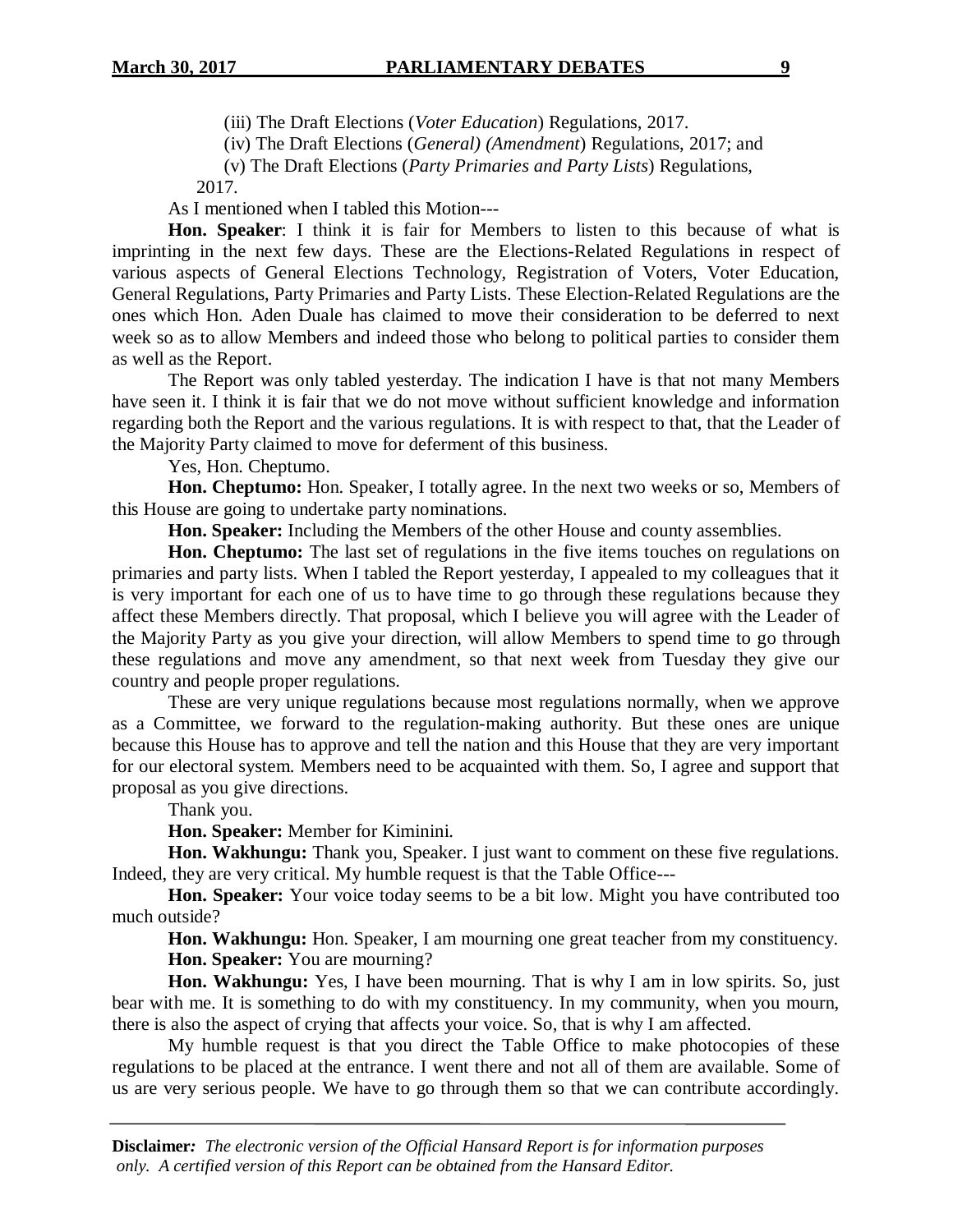(iii) The Draft Elections (*Voter Education*) Regulations, 2017.

(iv) The Draft Elections (*General) (Amendment*) Regulations, 2017; and

(v) The Draft Elections (*Party Primaries and Party Lists*) Regulations,

2017.

As I mentioned when I tabled this Motion---

**Hon. Speaker**: I think it is fair for Members to listen to this because of what is imprinting in the next few days. These are the Elections-Related Regulations in respect of various aspects of General Elections Technology, Registration of Voters, Voter Education, General Regulations, Party Primaries and Party Lists. These Election-Related Regulations are the ones which Hon. Aden Duale has claimed to move their consideration to be deferred to next week so as to allow Members and indeed those who belong to political parties to consider them as well as the Report.

The Report was only tabled yesterday. The indication I have is that not many Members have seen it. I think it is fair that we do not move without sufficient knowledge and information regarding both the Report and the various regulations. It is with respect to that, that the Leader of the Majority Party claimed to move for deferment of this business.

Yes, Hon. Cheptumo.

**Hon. Cheptumo:** Hon. Speaker, I totally agree. In the next two weeks or so, Members of this House are going to undertake party nominations.

**Hon. Speaker:** Including the Members of the other House and county assemblies.

**Hon. Cheptumo:** The last set of regulations in the five items touches on regulations on primaries and party lists. When I tabled the Report yesterday, I appealed to my colleagues that it is very important for each one of us to have time to go through these regulations because they affect these Members directly. That proposal, which I believe you will agree with the Leader of the Majority Party as you give your direction, will allow Members to spend time to go through these regulations and move any amendment, so that next week from Tuesday they give our country and people proper regulations.

These are very unique regulations because most regulations normally, when we approve as a Committee, we forward to the regulation-making authority. But these ones are unique because this House has to approve and tell the nation and this House that they are very important for our electoral system. Members need to be acquainted with them. So, I agree and support that proposal as you give directions.

Thank you.

**Hon. Speaker:** Member for Kiminini.

**Hon. Wakhungu:** Thank you, Speaker. I just want to comment on these five regulations. Indeed, they are very critical. My humble request is that the Table Office---

**Hon. Speaker:** Your voice today seems to be a bit low. Might you have contributed too much outside?

**Hon. Wakhungu:** Hon. Speaker, I am mourning one great teacher from my constituency. **Hon. Speaker:** You are mourning?

**Hon. Wakhungu:** Yes, I have been mourning. That is why I am in low spirits. So, just bear with me. It is something to do with my constituency. In my community, when you mourn, there is also the aspect of crying that affects your voice. So, that is why I am affected.

My humble request is that you direct the Table Office to make photocopies of these regulations to be placed at the entrance. I went there and not all of them are available. Some of us are very serious people. We have to go through them so that we can contribute accordingly.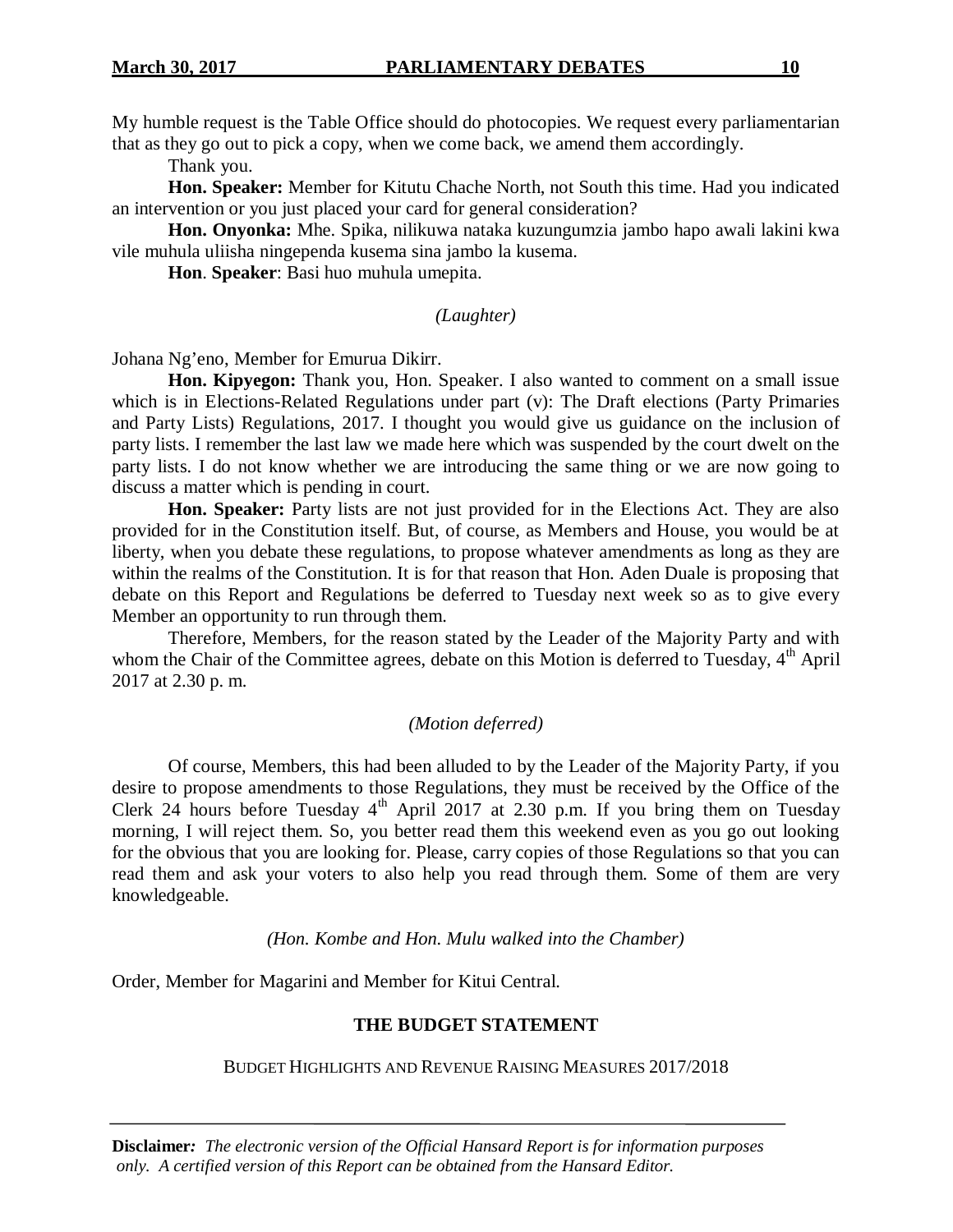My humble request is the Table Office should do photocopies. We request every parliamentarian that as they go out to pick a copy, when we come back, we amend them accordingly.

Thank you.

**Hon. Speaker:** Member for Kitutu Chache North, not South this time. Had you indicated an intervention or you just placed your card for general consideration?

**Hon. Onyonka:** Mhe. Spika, nilikuwa nataka kuzungumzia jambo hapo awali lakini kwa vile muhula uliisha ningependa kusema sina jambo la kusema.

**Hon**. **Speaker**: Basi huo muhula umepita.

# *(Laughter)*

Johana Ng'eno, Member for Emurua Dikirr.

**Hon. Kipyegon:** Thank you, Hon. Speaker. I also wanted to comment on a small issue which is in Elections-Related Regulations under part (v): The Draft elections (Party Primaries and Party Lists) Regulations, 2017. I thought you would give us guidance on the inclusion of party lists. I remember the last law we made here which was suspended by the court dwelt on the party lists. I do not know whether we are introducing the same thing or we are now going to discuss a matter which is pending in court.

Hon. Speaker: Party lists are not just provided for in the Elections Act. They are also provided for in the Constitution itself. But, of course, as Members and House, you would be at liberty, when you debate these regulations, to propose whatever amendments as long as they are within the realms of the Constitution. It is for that reason that Hon. Aden Duale is proposing that debate on this Report and Regulations be deferred to Tuesday next week so as to give every Member an opportunity to run through them.

Therefore, Members, for the reason stated by the Leader of the Majority Party and with whom the Chair of the Committee agrees, debate on this Motion is deferred to Tuesday,  $4<sup>th</sup>$  April 2017 at 2.30 p. m.

#### *(Motion deferred)*

Of course, Members, this had been alluded to by the Leader of the Majority Party, if you desire to propose amendments to those Regulations, they must be received by the Office of the Clerk 24 hours before Tuesday  $4<sup>th</sup>$  April 2017 at 2.30 p.m. If you bring them on Tuesday morning, I will reject them. So, you better read them this weekend even as you go out looking for the obvious that you are looking for. Please, carry copies of those Regulations so that you can read them and ask your voters to also help you read through them. Some of them are very knowledgeable.

*(Hon. Kombe and Hon. Mulu walked into the Chamber)*

Order, Member for Magarini and Member for Kitui Central.

#### **THE BUDGET STATEMENT**

BUDGET HIGHLIGHTS AND REVENUE RAISING MEASURES 2017/2018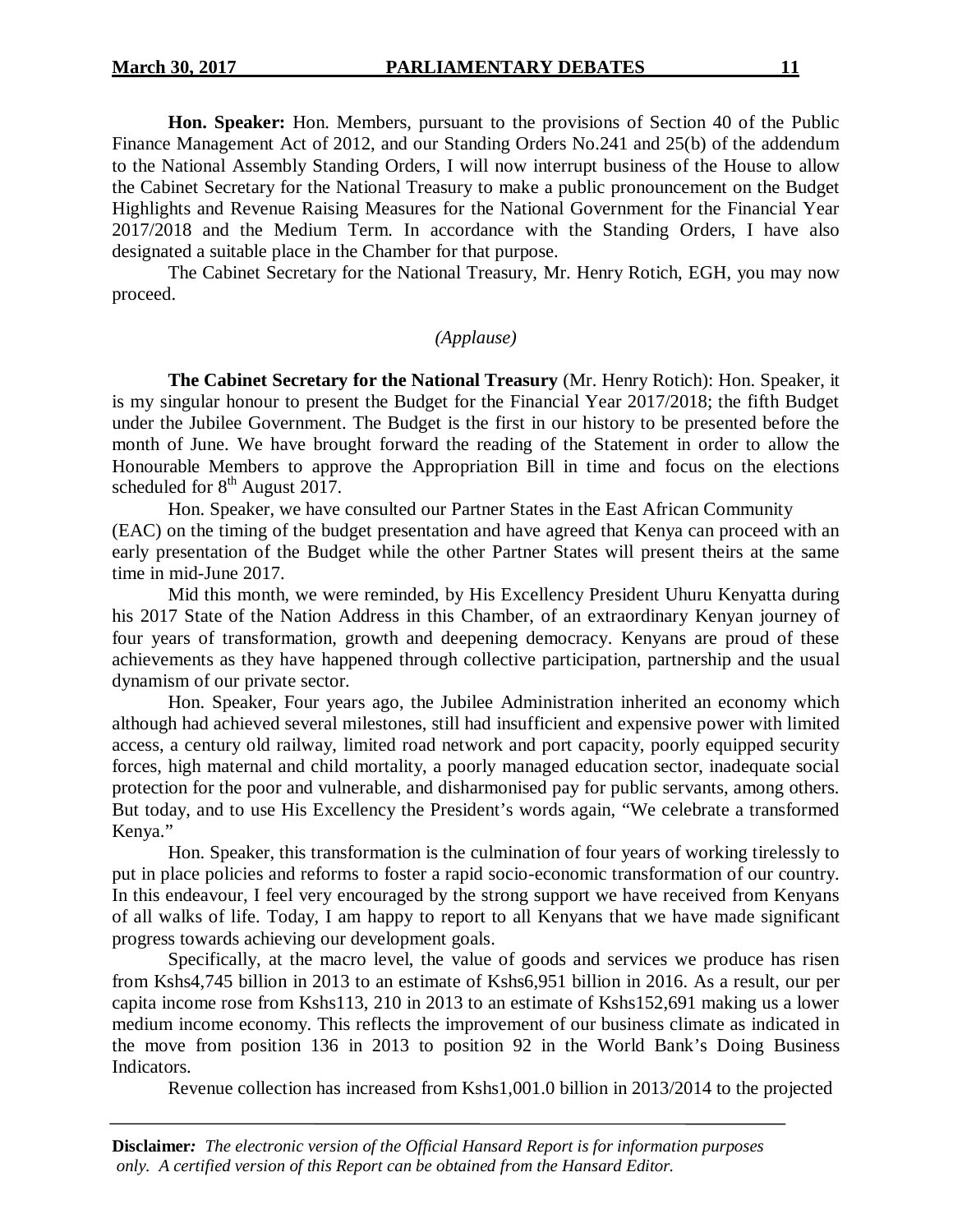**Hon. Speaker:** Hon. Members, pursuant to the provisions of Section 40 of the Public Finance Management Act of 2012, and our Standing Orders No.241 and 25(b) of the addendum to the National Assembly Standing Orders, I will now interrupt business of the House to allow the Cabinet Secretary for the National Treasury to make a public pronouncement on the Budget Highlights and Revenue Raising Measures for the National Government for the Financial Year 2017/2018 and the Medium Term. In accordance with the Standing Orders, I have also designated a suitable place in the Chamber for that purpose.

The Cabinet Secretary for the National Treasury, Mr. Henry Rotich, EGH, you may now proceed.

# *(Applause)*

**The Cabinet Secretary for the National Treasury** (Mr. Henry Rotich): Hon. Speaker, it is my singular honour to present the Budget for the Financial Year 2017/2018; the fifth Budget under the Jubilee Government. The Budget is the first in our history to be presented before the month of June. We have brought forward the reading of the Statement in order to allow the Honourable Members to approve the Appropriation Bill in time and focus on the elections scheduled for  $8<sup>th</sup>$  August 2017.

Hon. Speaker, we have consulted our Partner States in the East African Community (EAC) on the timing of the budget presentation and have agreed that Kenya can proceed with an early presentation of the Budget while the other Partner States will present theirs at the same time in mid-June 2017.

Mid this month, we were reminded, by His Excellency President Uhuru Kenyatta during his 2017 State of the Nation Address in this Chamber, of an extraordinary Kenyan journey of four years of transformation, growth and deepening democracy. Kenyans are proud of these achievements as they have happened through collective participation, partnership and the usual dynamism of our private sector.

Hon. Speaker, Four years ago, the Jubilee Administration inherited an economy which although had achieved several milestones, still had insufficient and expensive power with limited access, a century old railway, limited road network and port capacity, poorly equipped security forces, high maternal and child mortality, a poorly managed education sector, inadequate social protection for the poor and vulnerable, and disharmonised pay for public servants, among others. But today, and to use His Excellency the President's words again, "We celebrate a transformed Kenya."

Hon. Speaker, this transformation is the culmination of four years of working tirelessly to put in place policies and reforms to foster a rapid socio-economic transformation of our country. In this endeavour, I feel very encouraged by the strong support we have received from Kenyans of all walks of life. Today, I am happy to report to all Kenyans that we have made significant progress towards achieving our development goals.

Specifically, at the macro level, the value of goods and services we produce has risen from Kshs4,745 billion in 2013 to an estimate of Kshs6,951 billion in 2016. As a result, our per capita income rose from Kshs113, 210 in 2013 to an estimate of Kshs152,691 making us a lower medium income economy. This reflects the improvement of our business climate as indicated in the move from position 136 in 2013 to position 92 in the World Bank's Doing Business Indicators.

Revenue collection has increased from Kshs1,001.0 billion in 2013/2014 to the projected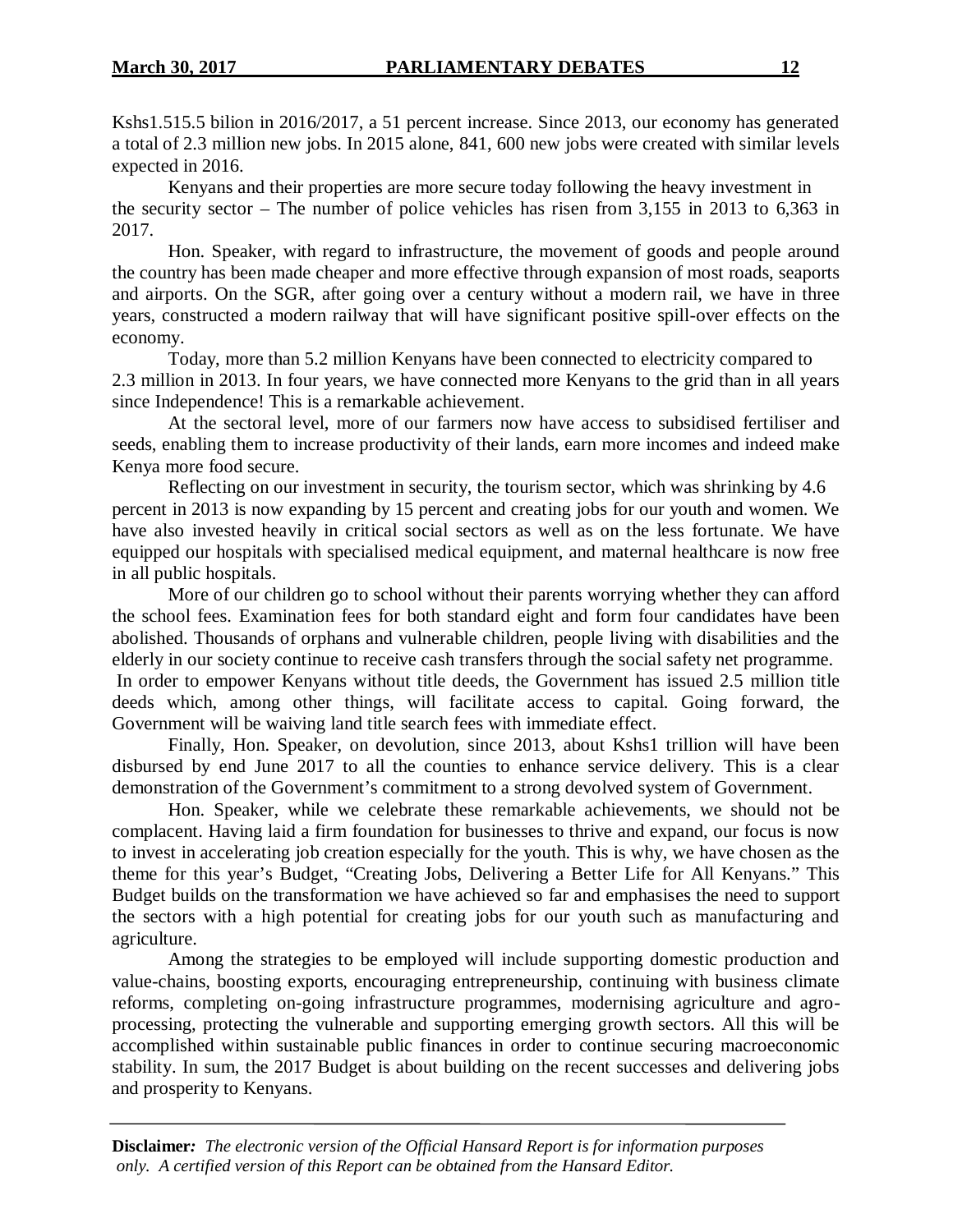Kshs1.515.5 bilion in 2016/2017, a 51 percent increase. Since 2013, our economy has generated a total of 2.3 million new jobs. In 2015 alone, 841, 600 new jobs were created with similar levels expected in 2016.

Kenyans and their properties are more secure today following the heavy investment in the security sector – The number of police vehicles has risen from 3,155 in 2013 to 6,363 in 2017.

Hon. Speaker, with regard to infrastructure, the movement of goods and people around the country has been made cheaper and more effective through expansion of most roads, seaports and airports. On the SGR, after going over a century without a modern rail, we have in three years, constructed a modern railway that will have significant positive spill-over effects on the economy.

Today, more than 5.2 million Kenyans have been connected to electricity compared to 2.3 million in 2013. In four years, we have connected more Kenyans to the grid than in all years since Independence! This is a remarkable achievement.

At the sectoral level, more of our farmers now have access to subsidised fertiliser and seeds, enabling them to increase productivity of their lands, earn more incomes and indeed make Kenya more food secure.

Reflecting on our investment in security, the tourism sector, which was shrinking by 4.6 percent in 2013 is now expanding by 15 percent and creating jobs for our youth and women. We have also invested heavily in critical social sectors as well as on the less fortunate. We have equipped our hospitals with specialised medical equipment, and maternal healthcare is now free in all public hospitals.

More of our children go to school without their parents worrying whether they can afford the school fees. Examination fees for both standard eight and form four candidates have been abolished. Thousands of orphans and vulnerable children, people living with disabilities and the elderly in our society continue to receive cash transfers through the social safety net programme. In order to empower Kenyans without title deeds, the Government has issued 2.5 million title deeds which, among other things, will facilitate access to capital. Going forward, the

Government will be waiving land title search fees with immediate effect. Finally, Hon. Speaker, on devolution, since 2013, about Kshs1 trillion will have been disbursed by end June 2017 to all the counties to enhance service delivery. This is a clear demonstration of the Government's commitment to a strong devolved system of Government.

Hon. Speaker, while we celebrate these remarkable achievements, we should not be complacent. Having laid a firm foundation for businesses to thrive and expand, our focus is now to invest in accelerating job creation especially for the youth. This is why, we have chosen as the theme for this year's Budget, "Creating Jobs, Delivering a Better Life for All Kenyans." This Budget builds on the transformation we have achieved so far and emphasises the need to support the sectors with a high potential for creating jobs for our youth such as manufacturing and agriculture.

Among the strategies to be employed will include supporting domestic production and value-chains, boosting exports, encouraging entrepreneurship, continuing with business climate reforms, completing on-going infrastructure programmes, modernising agriculture and agroprocessing, protecting the vulnerable and supporting emerging growth sectors. All this will be accomplished within sustainable public finances in order to continue securing macroeconomic stability. In sum, the 2017 Budget is about building on the recent successes and delivering jobs and prosperity to Kenyans.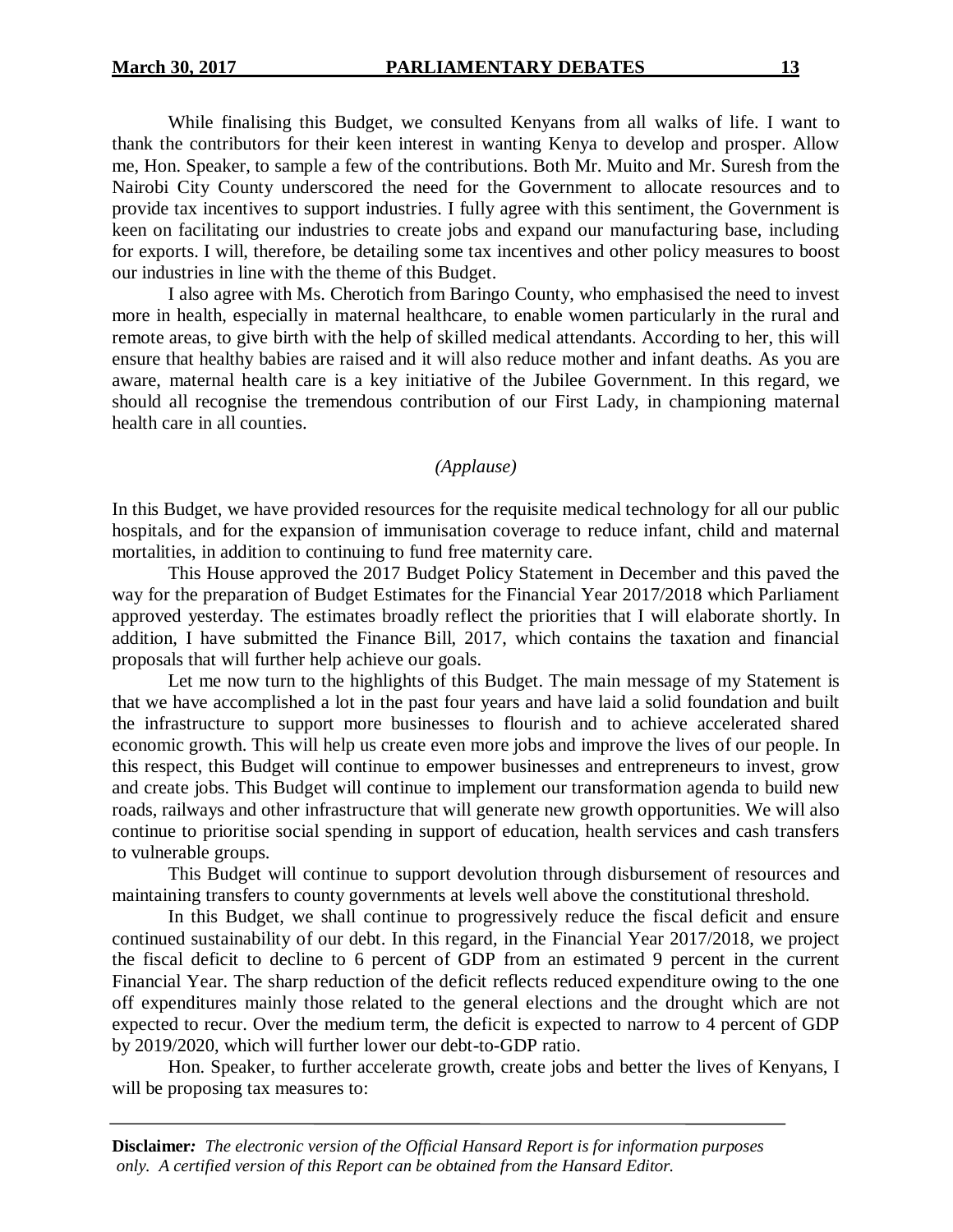While finalising this Budget, we consulted Kenyans from all walks of life. I want to thank the contributors for their keen interest in wanting Kenya to develop and prosper. Allow me, Hon. Speaker, to sample a few of the contributions. Both Mr. Muito and Mr. Suresh from the Nairobi City County underscored the need for the Government to allocate resources and to provide tax incentives to support industries. I fully agree with this sentiment, the Government is keen on facilitating our industries to create jobs and expand our manufacturing base, including for exports. I will, therefore, be detailing some tax incentives and other policy measures to boost our industries in line with the theme of this Budget.

I also agree with Ms. Cherotich from Baringo County, who emphasised the need to invest more in health, especially in maternal healthcare, to enable women particularly in the rural and remote areas, to give birth with the help of skilled medical attendants. According to her, this will ensure that healthy babies are raised and it will also reduce mother and infant deaths. As you are aware, maternal health care is a key initiative of the Jubilee Government. In this regard, we should all recognise the tremendous contribution of our First Lady, in championing maternal health care in all counties.

#### *(Applause)*

In this Budget, we have provided resources for the requisite medical technology for all our public hospitals, and for the expansion of immunisation coverage to reduce infant, child and maternal mortalities, in addition to continuing to fund free maternity care.

This House approved the 2017 Budget Policy Statement in December and this paved the way for the preparation of Budget Estimates for the Financial Year 2017/2018 which Parliament approved yesterday. The estimates broadly reflect the priorities that I will elaborate shortly. In addition, I have submitted the Finance Bill, 2017, which contains the taxation and financial proposals that will further help achieve our goals.

Let me now turn to the highlights of this Budget. The main message of my Statement is that we have accomplished a lot in the past four years and have laid a solid foundation and built the infrastructure to support more businesses to flourish and to achieve accelerated shared economic growth. This will help us create even more jobs and improve the lives of our people. In this respect, this Budget will continue to empower businesses and entrepreneurs to invest, grow and create jobs. This Budget will continue to implement our transformation agenda to build new roads, railways and other infrastructure that will generate new growth opportunities. We will also continue to prioritise social spending in support of education, health services and cash transfers to vulnerable groups.

This Budget will continue to support devolution through disbursement of resources and maintaining transfers to county governments at levels well above the constitutional threshold.

In this Budget, we shall continue to progressively reduce the fiscal deficit and ensure continued sustainability of our debt. In this regard, in the Financial Year 2017/2018, we project the fiscal deficit to decline to 6 percent of GDP from an estimated 9 percent in the current Financial Year. The sharp reduction of the deficit reflects reduced expenditure owing to the one off expenditures mainly those related to the general elections and the drought which are not expected to recur. Over the medium term, the deficit is expected to narrow to 4 percent of GDP by 2019/2020, which will further lower our debt-to-GDP ratio.

Hon. Speaker, to further accelerate growth, create jobs and better the lives of Kenyans, I will be proposing tax measures to: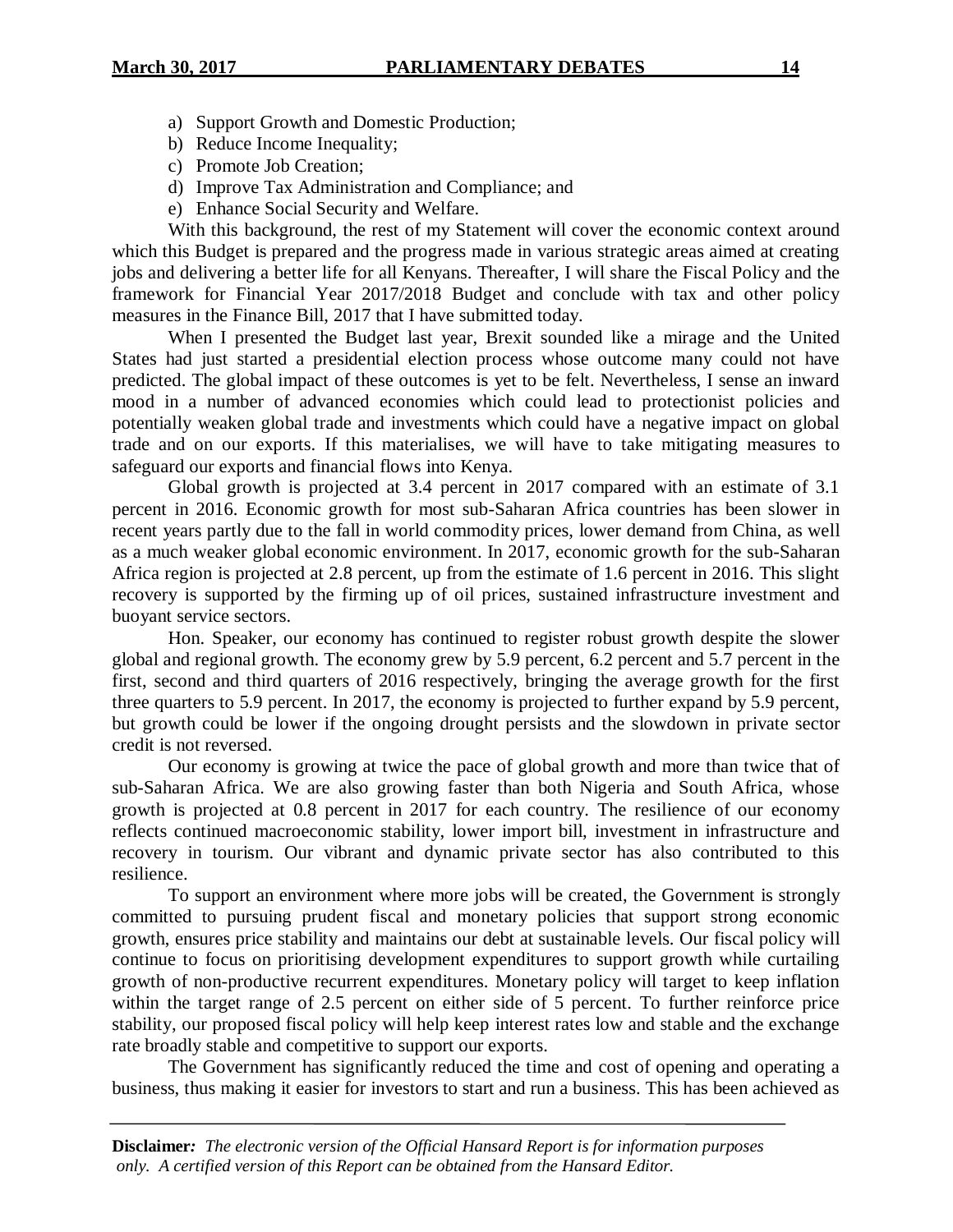- a) Support Growth and Domestic Production;
- b) Reduce Income Inequality;
- c) Promote Job Creation;
- d) Improve Tax Administration and Compliance; and
- e) Enhance Social Security and Welfare.

With this background, the rest of my Statement will cover the economic context around which this Budget is prepared and the progress made in various strategic areas aimed at creating jobs and delivering a better life for all Kenyans. Thereafter, I will share the Fiscal Policy and the framework for Financial Year 2017/2018 Budget and conclude with tax and other policy measures in the Finance Bill, 2017 that I have submitted today.

When I presented the Budget last year, Brexit sounded like a mirage and the United States had just started a presidential election process whose outcome many could not have predicted. The global impact of these outcomes is yet to be felt. Nevertheless, I sense an inward mood in a number of advanced economies which could lead to protectionist policies and potentially weaken global trade and investments which could have a negative impact on global trade and on our exports. If this materialises, we will have to take mitigating measures to safeguard our exports and financial flows into Kenya.

Global growth is projected at 3.4 percent in 2017 compared with an estimate of 3.1 percent in 2016. Economic growth for most sub-Saharan Africa countries has been slower in recent years partly due to the fall in world commodity prices, lower demand from China, as well as a much weaker global economic environment. In 2017, economic growth for the sub-Saharan Africa region is projected at 2.8 percent, up from the estimate of 1.6 percent in 2016. This slight recovery is supported by the firming up of oil prices, sustained infrastructure investment and buoyant service sectors.

Hon. Speaker, our economy has continued to register robust growth despite the slower global and regional growth. The economy grew by 5.9 percent, 6.2 percent and 5.7 percent in the first, second and third quarters of 2016 respectively, bringing the average growth for the first three quarters to 5.9 percent. In 2017, the economy is projected to further expand by 5.9 percent, but growth could be lower if the ongoing drought persists and the slowdown in private sector credit is not reversed.

Our economy is growing at twice the pace of global growth and more than twice that of sub-Saharan Africa. We are also growing faster than both Nigeria and South Africa, whose growth is projected at 0.8 percent in 2017 for each country. The resilience of our economy reflects continued macroeconomic stability, lower import bill, investment in infrastructure and recovery in tourism. Our vibrant and dynamic private sector has also contributed to this resilience.

To support an environment where more jobs will be created, the Government is strongly committed to pursuing prudent fiscal and monetary policies that support strong economic growth, ensures price stability and maintains our debt at sustainable levels. Our fiscal policy will continue to focus on prioritising development expenditures to support growth while curtailing growth of non-productive recurrent expenditures. Monetary policy will target to keep inflation within the target range of 2.5 percent on either side of 5 percent. To further reinforce price stability, our proposed fiscal policy will help keep interest rates low and stable and the exchange rate broadly stable and competitive to support our exports.

The Government has significantly reduced the time and cost of opening and operating a business, thus making it easier for investors to start and run a business. This has been achieved as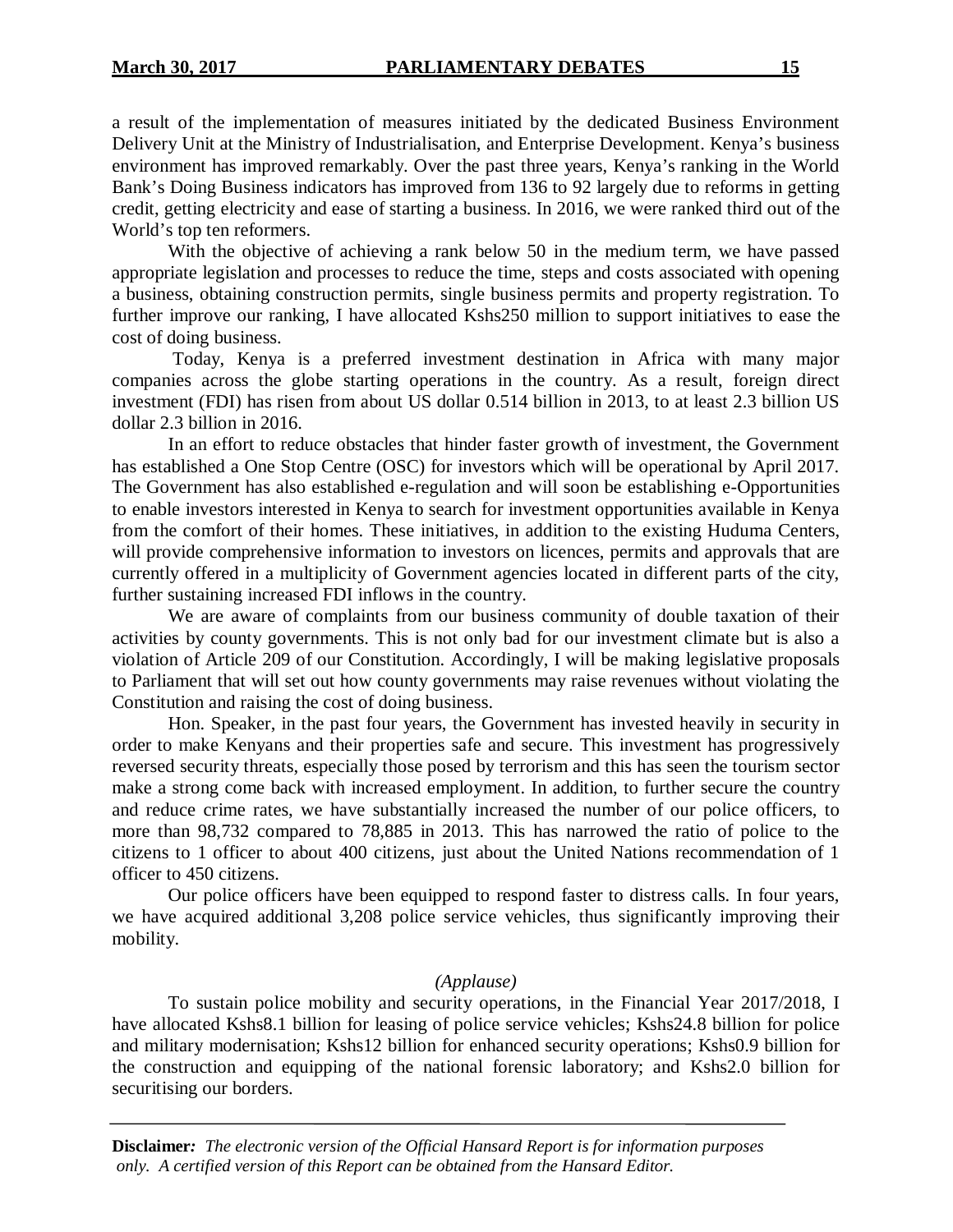a result of the implementation of measures initiated by the dedicated Business Environment Delivery Unit at the Ministry of Industrialisation, and Enterprise Development. Kenya's business environment has improved remarkably. Over the past three years, Kenya's ranking in the World Bank's Doing Business indicators has improved from 136 to 92 largely due to reforms in getting credit, getting electricity and ease of starting a business. In 2016, we were ranked third out of the World's top ten reformers.

With the objective of achieving a rank below 50 in the medium term, we have passed appropriate legislation and processes to reduce the time, steps and costs associated with opening a business, obtaining construction permits, single business permits and property registration. To further improve our ranking, I have allocated Kshs250 million to support initiatives to ease the cost of doing business.

Today, Kenya is a preferred investment destination in Africa with many major companies across the globe starting operations in the country. As a result, foreign direct investment (FDI) has risen from about US dollar 0.514 billion in 2013, to at least 2.3 billion US dollar 2.3 billion in 2016.

In an effort to reduce obstacles that hinder faster growth of investment, the Government has established a One Stop Centre (OSC) for investors which will be operational by April 2017. The Government has also established e-regulation and will soon be establishing e-Opportunities to enable investors interested in Kenya to search for investment opportunities available in Kenya from the comfort of their homes. These initiatives, in addition to the existing Huduma Centers, will provide comprehensive information to investors on licences, permits and approvals that are currently offered in a multiplicity of Government agencies located in different parts of the city, further sustaining increased FDI inflows in the country.

We are aware of complaints from our business community of double taxation of their activities by county governments. This is not only bad for our investment climate but is also a violation of Article 209 of our Constitution. Accordingly, I will be making legislative proposals to Parliament that will set out how county governments may raise revenues without violating the Constitution and raising the cost of doing business.

Hon. Speaker, in the past four years, the Government has invested heavily in security in order to make Kenyans and their properties safe and secure. This investment has progressively reversed security threats, especially those posed by terrorism and this has seen the tourism sector make a strong come back with increased employment. In addition, to further secure the country and reduce crime rates, we have substantially increased the number of our police officers, to more than 98,732 compared to 78,885 in 2013. This has narrowed the ratio of police to the citizens to 1 officer to about 400 citizens, just about the United Nations recommendation of 1 officer to 450 citizens.

Our police officers have been equipped to respond faster to distress calls. In four years, we have acquired additional 3,208 police service vehicles, thus significantly improving their mobility.

#### *(Applause)*

To sustain police mobility and security operations, in the Financial Year 2017/2018, I have allocated Kshs8.1 billion for leasing of police service vehicles; Kshs24.8 billion for police and military modernisation; Kshs12 billion for enhanced security operations; Kshs0.9 billion for the construction and equipping of the national forensic laboratory; and Kshs2.0 billion for securitising our borders.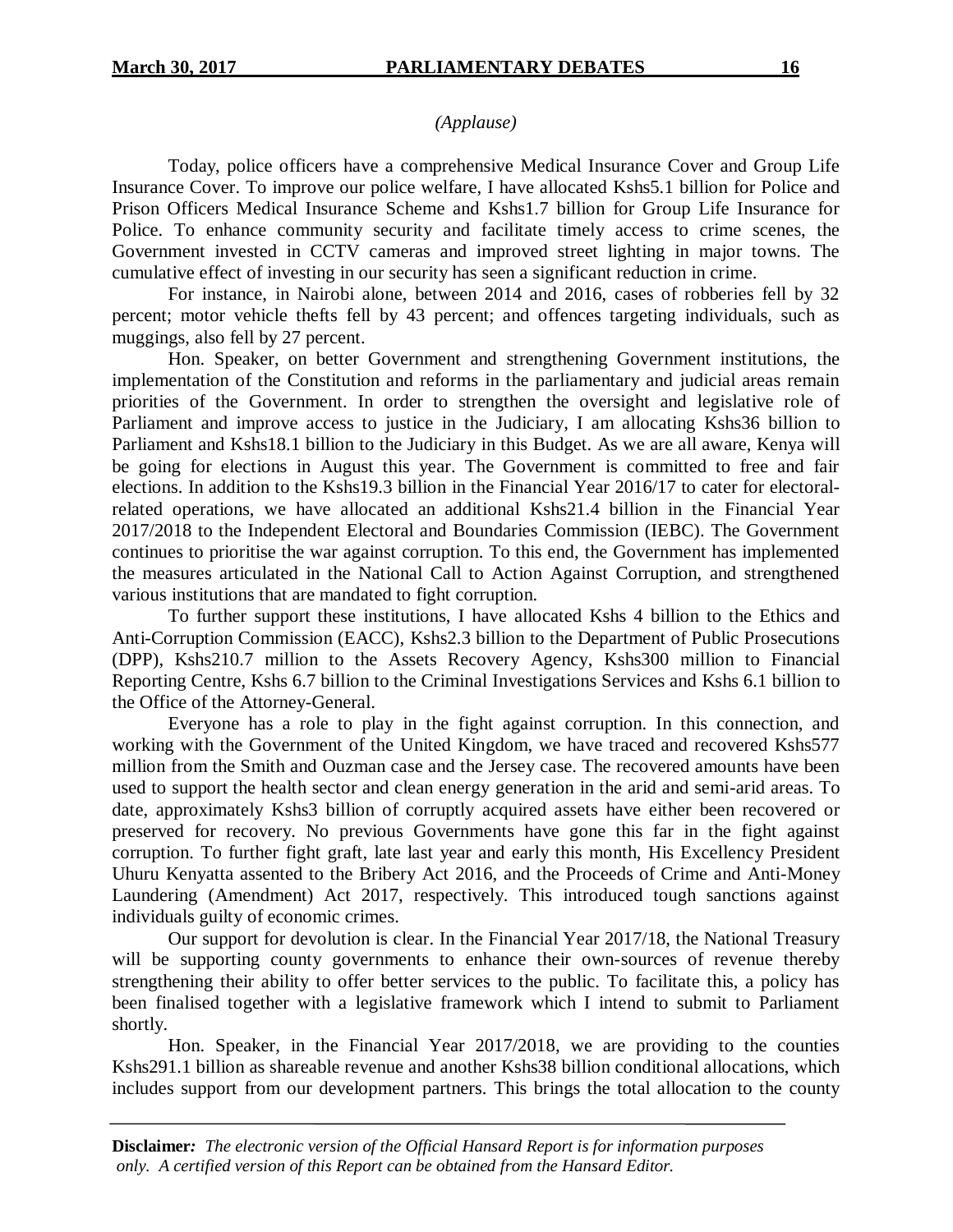# *(Applause)*

Today, police officers have a comprehensive Medical Insurance Cover and Group Life Insurance Cover. To improve our police welfare, I have allocated Kshs5.1 billion for Police and Prison Officers Medical Insurance Scheme and Kshs1.7 billion for Group Life Insurance for Police. To enhance community security and facilitate timely access to crime scenes, the Government invested in CCTV cameras and improved street lighting in major towns. The cumulative effect of investing in our security has seen a significant reduction in crime.

For instance, in Nairobi alone, between 2014 and 2016, cases of robberies fell by 32 percent; motor vehicle thefts fell by 43 percent; and offences targeting individuals, such as muggings, also fell by 27 percent.

Hon. Speaker, on better Government and strengthening Government institutions, the implementation of the Constitution and reforms in the parliamentary and judicial areas remain priorities of the Government. In order to strengthen the oversight and legislative role of Parliament and improve access to justice in the Judiciary, I am allocating Kshs36 billion to Parliament and Kshs18.1 billion to the Judiciary in this Budget. As we are all aware, Kenya will be going for elections in August this year. The Government is committed to free and fair elections. In addition to the Kshs19.3 billion in the Financial Year 2016/17 to cater for electoralrelated operations, we have allocated an additional Kshs21.4 billion in the Financial Year 2017/2018 to the Independent Electoral and Boundaries Commission (IEBC). The Government continues to prioritise the war against corruption. To this end, the Government has implemented the measures articulated in the National Call to Action Against Corruption, and strengthened various institutions that are mandated to fight corruption.

To further support these institutions, I have allocated Kshs 4 billion to the Ethics and Anti-Corruption Commission (EACC), Kshs2.3 billion to the Department of Public Prosecutions (DPP), Kshs210.7 million to the Assets Recovery Agency, Kshs300 million to Financial Reporting Centre, Kshs 6.7 billion to the Criminal Investigations Services and Kshs 6.1 billion to the Office of the Attorney-General.

Everyone has a role to play in the fight against corruption. In this connection, and working with the Government of the United Kingdom, we have traced and recovered Kshs577 million from the Smith and Ouzman case and the Jersey case. The recovered amounts have been used to support the health sector and clean energy generation in the arid and semi-arid areas. To date, approximately Kshs3 billion of corruptly acquired assets have either been recovered or preserved for recovery. No previous Governments have gone this far in the fight against corruption. To further fight graft, late last year and early this month, His Excellency President Uhuru Kenyatta assented to the Bribery Act 2016, and the Proceeds of Crime and Anti-Money Laundering (Amendment) Act 2017, respectively. This introduced tough sanctions against individuals guilty of economic crimes.

Our support for devolution is clear. In the Financial Year 2017/18, the National Treasury will be supporting county governments to enhance their own-sources of revenue thereby strengthening their ability to offer better services to the public. To facilitate this, a policy has been finalised together with a legislative framework which I intend to submit to Parliament shortly.

Hon. Speaker, in the Financial Year 2017/2018, we are providing to the counties Kshs291.1 billion as shareable revenue and another Kshs38 billion conditional allocations, which includes support from our development partners. This brings the total allocation to the county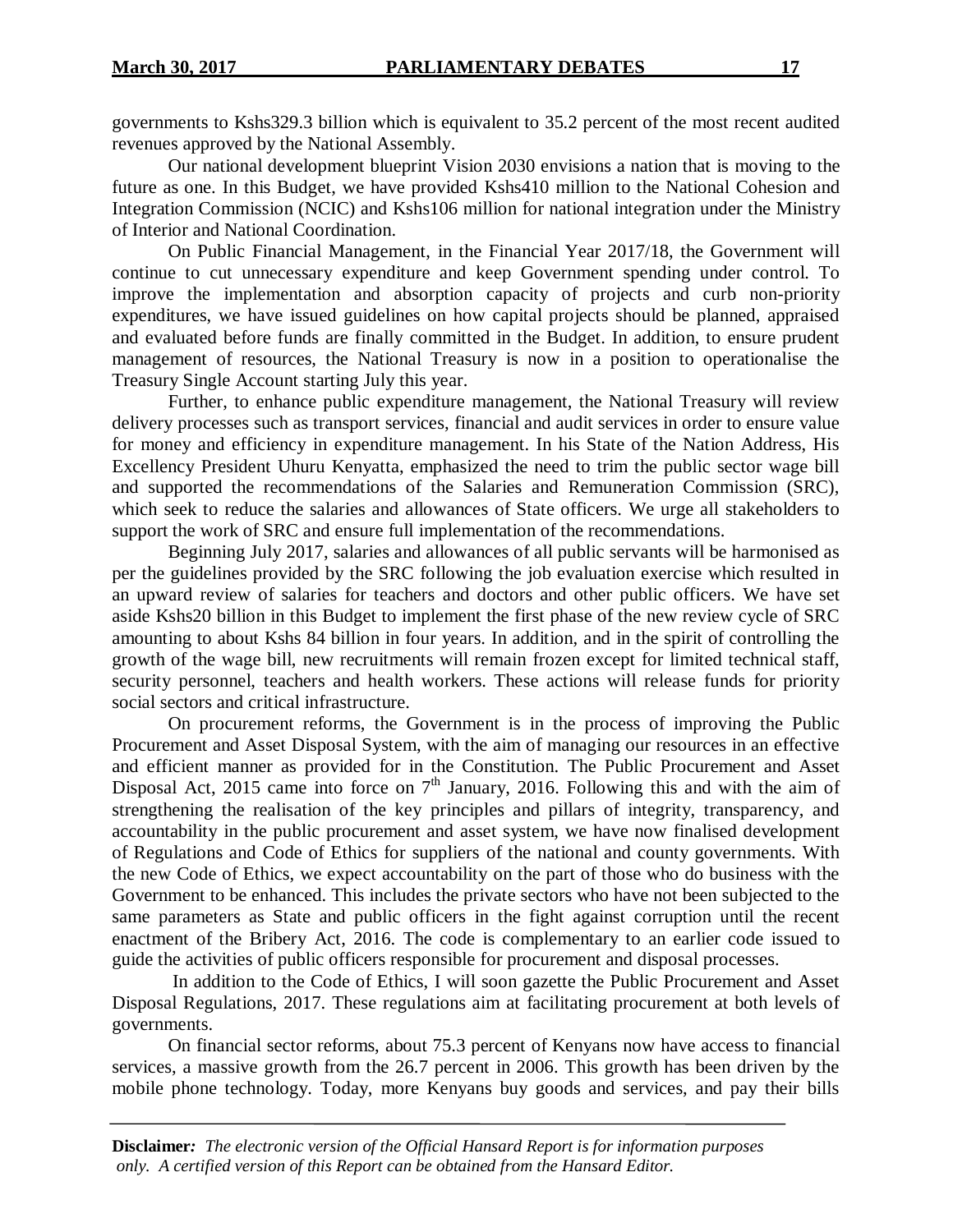governments to Kshs329.3 billion which is equivalent to 35.2 percent of the most recent audited revenues approved by the National Assembly.

Our national development blueprint Vision 2030 envisions a nation that is moving to the future as one. In this Budget, we have provided Kshs410 million to the National Cohesion and Integration Commission (NCIC) and Kshs106 million for national integration under the Ministry of Interior and National Coordination.

On Public Financial Management, in the Financial Year 2017/18, the Government will continue to cut unnecessary expenditure and keep Government spending under control. To improve the implementation and absorption capacity of projects and curb non-priority expenditures, we have issued guidelines on how capital projects should be planned, appraised and evaluated before funds are finally committed in the Budget. In addition, to ensure prudent management of resources, the National Treasury is now in a position to operationalise the Treasury Single Account starting July this year.

Further, to enhance public expenditure management, the National Treasury will review delivery processes such as transport services, financial and audit services in order to ensure value for money and efficiency in expenditure management. In his State of the Nation Address, His Excellency President Uhuru Kenyatta, emphasized the need to trim the public sector wage bill and supported the recommendations of the Salaries and Remuneration Commission (SRC), which seek to reduce the salaries and allowances of State officers. We urge all stakeholders to support the work of SRC and ensure full implementation of the recommendations.

Beginning July 2017, salaries and allowances of all public servants will be harmonised as per the guidelines provided by the SRC following the job evaluation exercise which resulted in an upward review of salaries for teachers and doctors and other public officers. We have set aside Kshs20 billion in this Budget to implement the first phase of the new review cycle of SRC amounting to about Kshs 84 billion in four years. In addition, and in the spirit of controlling the growth of the wage bill, new recruitments will remain frozen except for limited technical staff, security personnel, teachers and health workers. These actions will release funds for priority social sectors and critical infrastructure.

On procurement reforms, the Government is in the process of improving the Public Procurement and Asset Disposal System, with the aim of managing our resources in an effective and efficient manner as provided for in the Constitution. The Public Procurement and Asset Disposal Act, 2015 came into force on  $7<sup>th</sup>$  January, 2016. Following this and with the aim of strengthening the realisation of the key principles and pillars of integrity, transparency, and accountability in the public procurement and asset system, we have now finalised development of Regulations and Code of Ethics for suppliers of the national and county governments. With the new Code of Ethics, we expect accountability on the part of those who do business with the Government to be enhanced. This includes the private sectors who have not been subjected to the same parameters as State and public officers in the fight against corruption until the recent enactment of the Bribery Act, 2016. The code is complementary to an earlier code issued to guide the activities of public officers responsible for procurement and disposal processes.

In addition to the Code of Ethics, I will soon gazette the Public Procurement and Asset Disposal Regulations, 2017. These regulations aim at facilitating procurement at both levels of governments.

On financial sector reforms, about 75.3 percent of Kenyans now have access to financial services, a massive growth from the 26.7 percent in 2006. This growth has been driven by the mobile phone technology. Today, more Kenyans buy goods and services, and pay their bills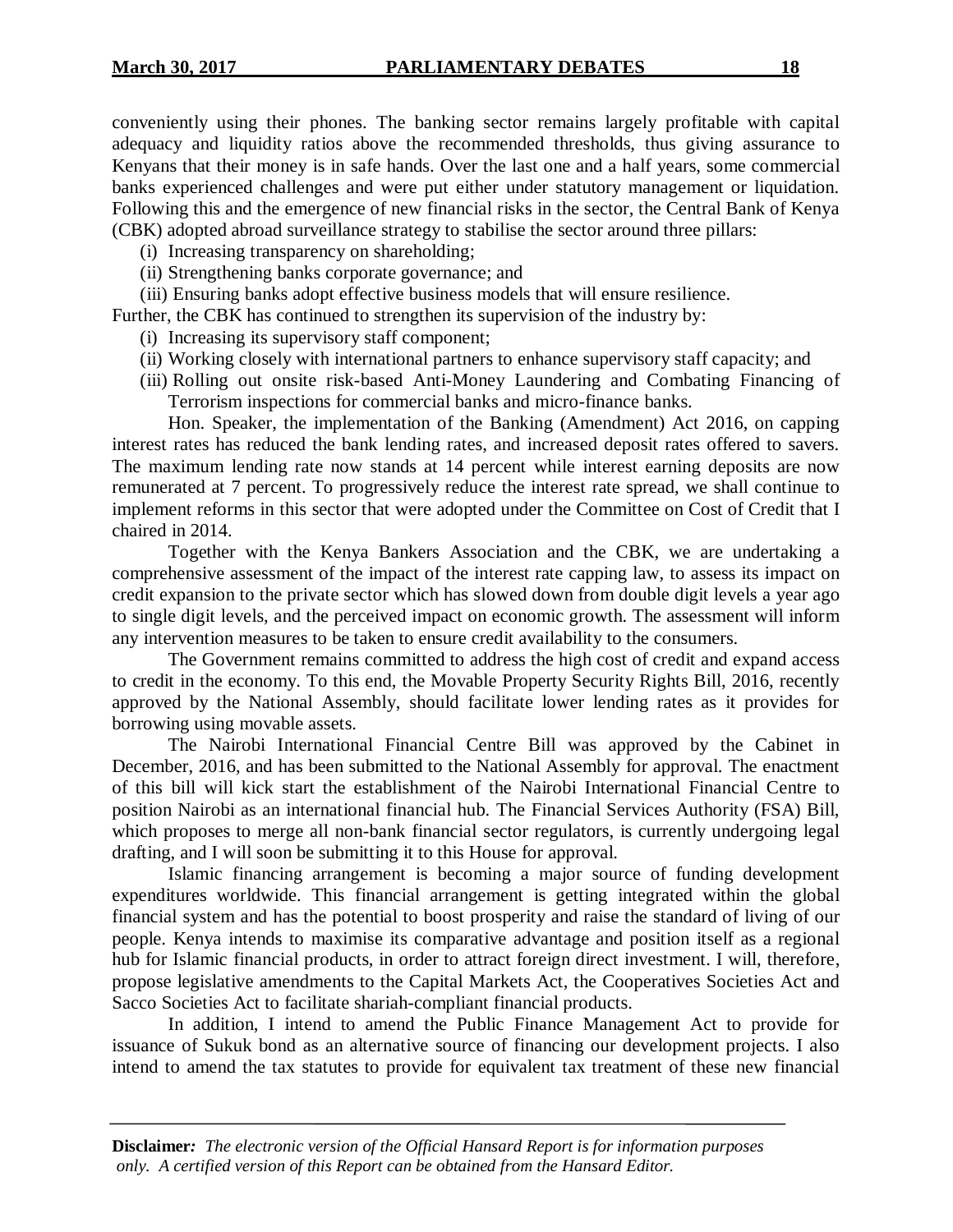conveniently using their phones. The banking sector remains largely profitable with capital adequacy and liquidity ratios above the recommended thresholds, thus giving assurance to Kenyans that their money is in safe hands. Over the last one and a half years, some commercial banks experienced challenges and were put either under statutory management or liquidation. Following this and the emergence of new financial risks in the sector, the Central Bank of Kenya (CBK) adopted abroad surveillance strategy to stabilise the sector around three pillars:

- (i) Increasing transparency on shareholding;
- (ii) Strengthening banks corporate governance; and
- (iii) Ensuring banks adopt effective business models that will ensure resilience.

Further, the CBK has continued to strengthen its supervision of the industry by:

- (i) Increasing its supervisory staff component;
- (ii) Working closely with international partners to enhance supervisory staff capacity; and
- (iii) Rolling out onsite risk-based Anti-Money Laundering and Combating Financing of Terrorism inspections for commercial banks and micro-finance banks.

Hon. Speaker, the implementation of the Banking (Amendment) Act 2016, on capping interest rates has reduced the bank lending rates, and increased deposit rates offered to savers. The maximum lending rate now stands at 14 percent while interest earning deposits are now remunerated at 7 percent. To progressively reduce the interest rate spread, we shall continue to implement reforms in this sector that were adopted under the Committee on Cost of Credit that I chaired in 2014.

Together with the Kenya Bankers Association and the CBK, we are undertaking a comprehensive assessment of the impact of the interest rate capping law, to assess its impact on credit expansion to the private sector which has slowed down from double digit levels a year ago to single digit levels, and the perceived impact on economic growth. The assessment will inform any intervention measures to be taken to ensure credit availability to the consumers.

The Government remains committed to address the high cost of credit and expand access to credit in the economy. To this end, the Movable Property Security Rights Bill, 2016, recently approved by the National Assembly, should facilitate lower lending rates as it provides for borrowing using movable assets.

The Nairobi International Financial Centre Bill was approved by the Cabinet in December, 2016, and has been submitted to the National Assembly for approval. The enactment of this bill will kick start the establishment of the Nairobi International Financial Centre to position Nairobi as an international financial hub. The Financial Services Authority (FSA) Bill, which proposes to merge all non-bank financial sector regulators, is currently undergoing legal drafting, and I will soon be submitting it to this House for approval.

Islamic financing arrangement is becoming a major source of funding development expenditures worldwide. This financial arrangement is getting integrated within the global financial system and has the potential to boost prosperity and raise the standard of living of our people. Kenya intends to maximise its comparative advantage and position itself as a regional hub for Islamic financial products, in order to attract foreign direct investment. I will, therefore, propose legislative amendments to the Capital Markets Act, the Cooperatives Societies Act and Sacco Societies Act to facilitate shariah-compliant financial products.

In addition, I intend to amend the Public Finance Management Act to provide for issuance of Sukuk bond as an alternative source of financing our development projects. I also intend to amend the tax statutes to provide for equivalent tax treatment of these new financial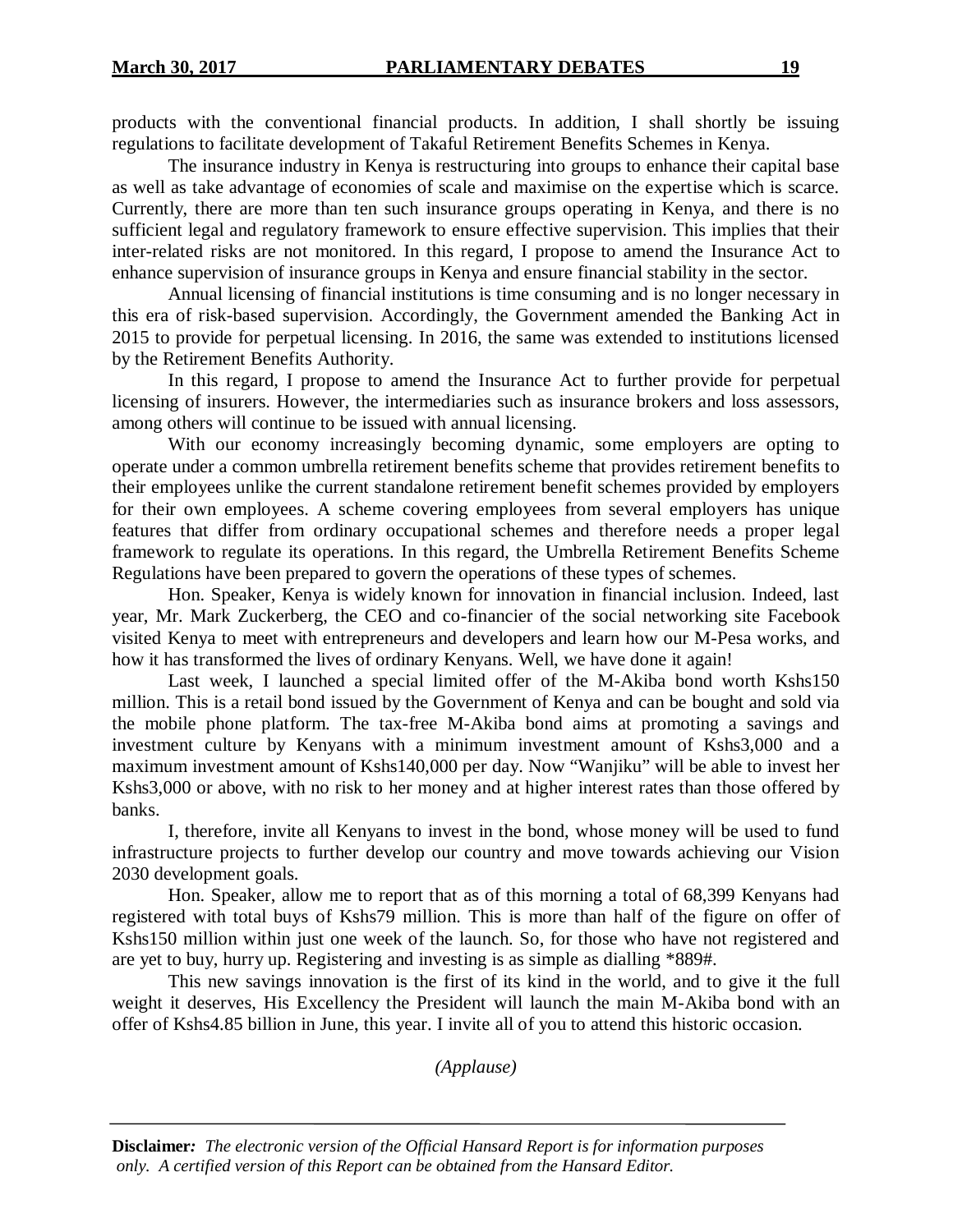products with the conventional financial products. In addition, I shall shortly be issuing regulations to facilitate development of Takaful Retirement Benefits Schemes in Kenya.

The insurance industry in Kenya is restructuring into groups to enhance their capital base as well as take advantage of economies of scale and maximise on the expertise which is scarce. Currently, there are more than ten such insurance groups operating in Kenya, and there is no sufficient legal and regulatory framework to ensure effective supervision. This implies that their inter-related risks are not monitored. In this regard, I propose to amend the Insurance Act to enhance supervision of insurance groups in Kenya and ensure financial stability in the sector.

Annual licensing of financial institutions is time consuming and is no longer necessary in this era of risk-based supervision. Accordingly, the Government amended the Banking Act in 2015 to provide for perpetual licensing. In 2016, the same was extended to institutions licensed by the Retirement Benefits Authority.

In this regard, I propose to amend the Insurance Act to further provide for perpetual licensing of insurers. However, the intermediaries such as insurance brokers and loss assessors, among others will continue to be issued with annual licensing.

With our economy increasingly becoming dynamic, some employers are opting to operate under a common umbrella retirement benefits scheme that provides retirement benefits to their employees unlike the current standalone retirement benefit schemes provided by employers for their own employees. A scheme covering employees from several employers has unique features that differ from ordinary occupational schemes and therefore needs a proper legal framework to regulate its operations. In this regard, the Umbrella Retirement Benefits Scheme Regulations have been prepared to govern the operations of these types of schemes.

Hon. Speaker, Kenya is widely known for innovation in financial inclusion. Indeed, last year, Mr. Mark Zuckerberg, the CEO and co-financier of the social networking site Facebook visited Kenya to meet with entrepreneurs and developers and learn how our M-Pesa works, and how it has transformed the lives of ordinary Kenyans. Well, we have done it again!

Last week, I launched a special limited offer of the M-Akiba bond worth Kshs150 million. This is a retail bond issued by the Government of Kenya and can be bought and sold via the mobile phone platform. The tax-free M-Akiba bond aims at promoting a savings and investment culture by Kenyans with a minimum investment amount of Kshs3,000 and a maximum investment amount of Kshs140,000 per day. Now "Wanjiku" will be able to invest her Kshs3,000 or above, with no risk to her money and at higher interest rates than those offered by banks.

I, therefore, invite all Kenyans to invest in the bond, whose money will be used to fund infrastructure projects to further develop our country and move towards achieving our Vision 2030 development goals.

Hon. Speaker, allow me to report that as of this morning a total of 68,399 Kenyans had registered with total buys of Kshs79 million. This is more than half of the figure on offer of Kshs150 million within just one week of the launch. So, for those who have not registered and are yet to buy, hurry up. Registering and investing is as simple as dialling \*889#.

This new savings innovation is the first of its kind in the world, and to give it the full weight it deserves, His Excellency the President will launch the main M-Akiba bond with an offer of Kshs4.85 billion in June, this year. I invite all of you to attend this historic occasion.

*(Applause)*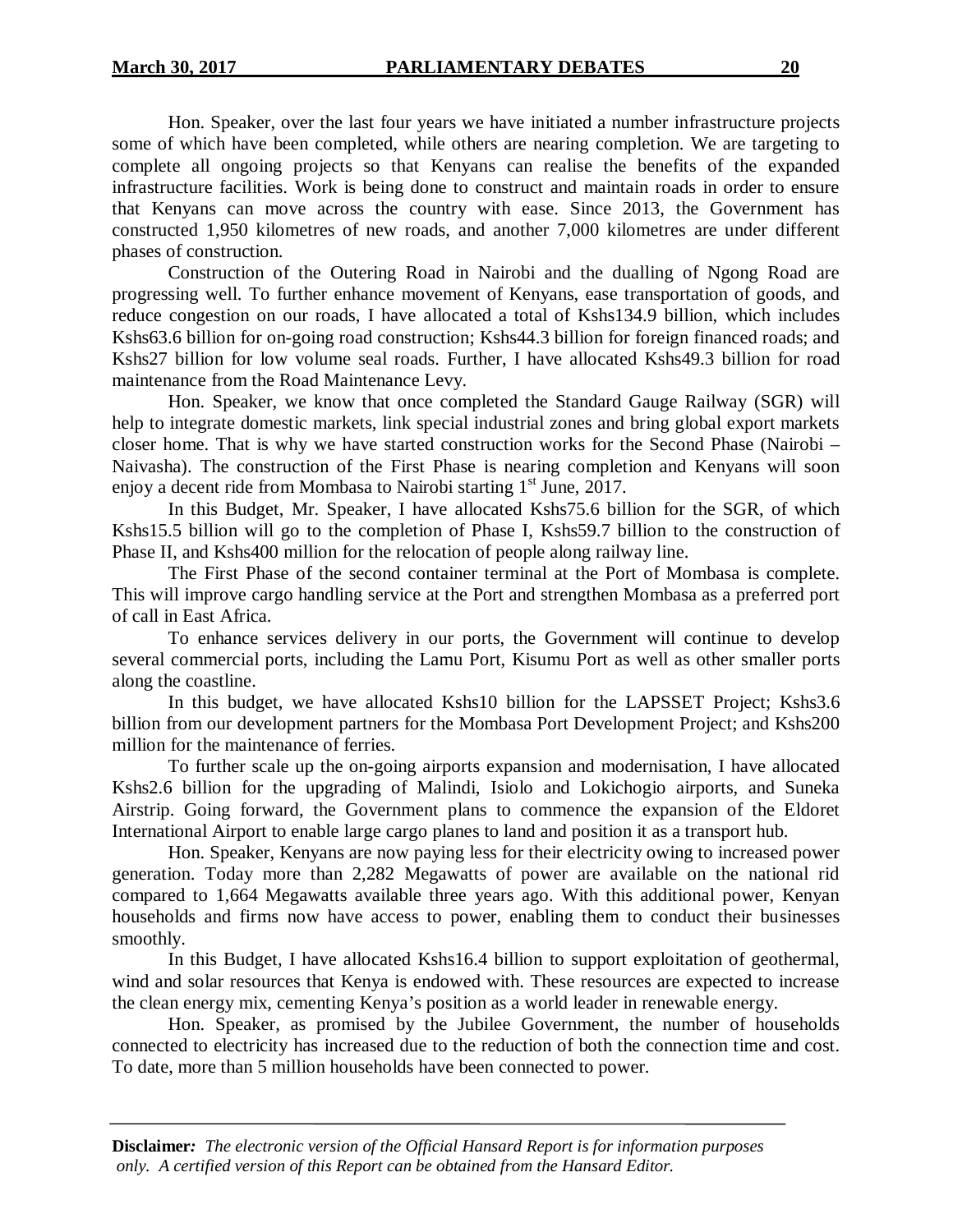Hon. Speaker, over the last four years we have initiated a number infrastructure projects some of which have been completed, while others are nearing completion. We are targeting to complete all ongoing projects so that Kenyans can realise the benefits of the expanded infrastructure facilities. Work is being done to construct and maintain roads in order to ensure that Kenyans can move across the country with ease. Since 2013, the Government has constructed 1,950 kilometres of new roads, and another 7,000 kilometres are under different phases of construction.

Construction of the Outering Road in Nairobi and the dualling of Ngong Road are progressing well. To further enhance movement of Kenyans, ease transportation of goods, and reduce congestion on our roads, I have allocated a total of Kshs134.9 billion, which includes Kshs63.6 billion for on-going road construction; Kshs44.3 billion for foreign financed roads; and Kshs27 billion for low volume seal roads. Further, I have allocated Kshs49.3 billion for road maintenance from the Road Maintenance Levy.

Hon. Speaker, we know that once completed the Standard Gauge Railway (SGR) will help to integrate domestic markets, link special industrial zones and bring global export markets closer home. That is why we have started construction works for the Second Phase (Nairobi – Naivasha). The construction of the First Phase is nearing completion and Kenyans will soon enjoy a decent ride from Mombasa to Nairobi starting  $1<sup>st</sup>$  June, 2017.

In this Budget, Mr. Speaker, I have allocated Kshs75.6 billion for the SGR, of which Kshs15.5 billion will go to the completion of Phase I, Kshs59.7 billion to the construction of Phase II, and Kshs400 million for the relocation of people along railway line.

The First Phase of the second container terminal at the Port of Mombasa is complete. This will improve cargo handling service at the Port and strengthen Mombasa as a preferred port of call in East Africa.

To enhance services delivery in our ports, the Government will continue to develop several commercial ports, including the Lamu Port, Kisumu Port as well as other smaller ports along the coastline.

In this budget, we have allocated Kshs10 billion for the LAPSSET Project; Kshs3.6 billion from our development partners for the Mombasa Port Development Project; and Kshs200 million for the maintenance of ferries.

To further scale up the on-going airports expansion and modernisation, I have allocated Kshs2.6 billion for the upgrading of Malindi, Isiolo and Lokichogio airports, and Suneka Airstrip. Going forward, the Government plans to commence the expansion of the Eldoret International Airport to enable large cargo planes to land and position it as a transport hub.

Hon. Speaker, Kenyans are now paying less for their electricity owing to increased power generation. Today more than 2,282 Megawatts of power are available on the national rid compared to 1,664 Megawatts available three years ago. With this additional power, Kenyan households and firms now have access to power, enabling them to conduct their businesses smoothly.

In this Budget, I have allocated Kshs16.4 billion to support exploitation of geothermal, wind and solar resources that Kenya is endowed with. These resources are expected to increase the clean energy mix, cementing Kenya's position as a world leader in renewable energy.

Hon. Speaker, as promised by the Jubilee Government, the number of households connected to electricity has increased due to the reduction of both the connection time and cost. To date, more than 5 million households have been connected to power.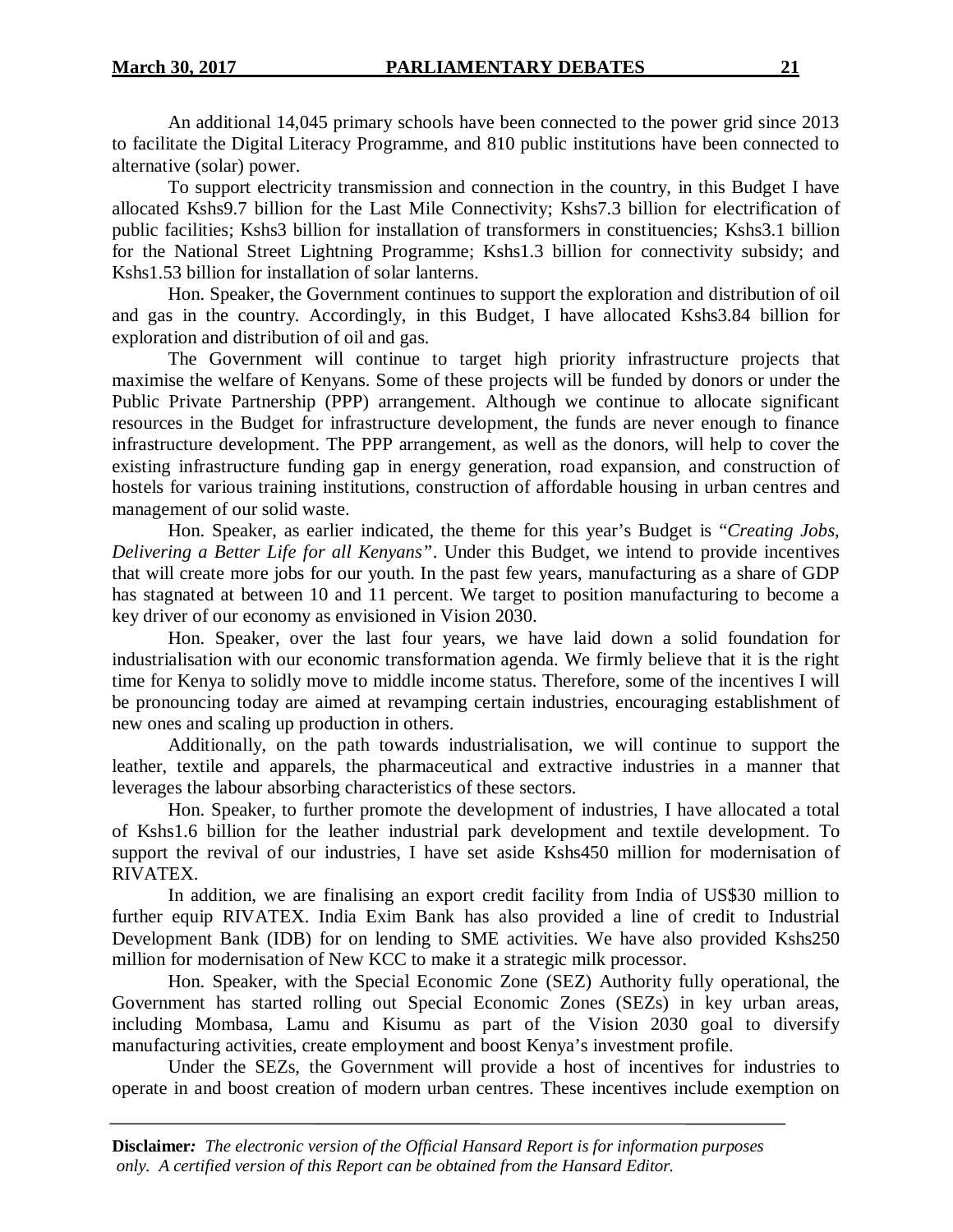An additional 14,045 primary schools have been connected to the power grid since 2013 to facilitate the Digital Literacy Programme, and 810 public institutions have been connected to alternative (solar) power.

To support electricity transmission and connection in the country, in this Budget I have allocated Kshs9.7 billion for the Last Mile Connectivity; Kshs7.3 billion for electrification of public facilities; Kshs3 billion for installation of transformers in constituencies; Kshs3.1 billion for the National Street Lightning Programme; Kshs1.3 billion for connectivity subsidy; and Kshs1.53 billion for installation of solar lanterns.

Hon. Speaker, the Government continues to support the exploration and distribution of oil and gas in the country. Accordingly, in this Budget, I have allocated Kshs3.84 billion for exploration and distribution of oil and gas.

The Government will continue to target high priority infrastructure projects that maximise the welfare of Kenyans. Some of these projects will be funded by donors or under the Public Private Partnership (PPP) arrangement. Although we continue to allocate significant resources in the Budget for infrastructure development, the funds are never enough to finance infrastructure development. The PPP arrangement, as well as the donors, will help to cover the existing infrastructure funding gap in energy generation, road expansion, and construction of hostels for various training institutions, construction of affordable housing in urban centres and management of our solid waste.

Hon. Speaker, as earlier indicated, the theme for this year's Budget is "*Creating Jobs, Delivering a Better Life for all Kenyans"*. Under this Budget, we intend to provide incentives that will create more jobs for our youth. In the past few years, manufacturing as a share of GDP has stagnated at between 10 and 11 percent. We target to position manufacturing to become a key driver of our economy as envisioned in Vision 2030.

Hon. Speaker, over the last four years, we have laid down a solid foundation for industrialisation with our economic transformation agenda. We firmly believe that it is the right time for Kenya to solidly move to middle income status. Therefore, some of the incentives I will be pronouncing today are aimed at revamping certain industries, encouraging establishment of new ones and scaling up production in others.

Additionally, on the path towards industrialisation, we will continue to support the leather, textile and apparels, the pharmaceutical and extractive industries in a manner that leverages the labour absorbing characteristics of these sectors.

Hon. Speaker, to further promote the development of industries, I have allocated a total of Kshs1.6 billion for the leather industrial park development and textile development. To support the revival of our industries, I have set aside Kshs450 million for modernisation of RIVATEX.

In addition, we are finalising an export credit facility from India of US\$30 million to further equip RIVATEX. India Exim Bank has also provided a line of credit to Industrial Development Bank (IDB) for on lending to SME activities. We have also provided Kshs250 million for modernisation of New KCC to make it a strategic milk processor.

Hon. Speaker, with the Special Economic Zone (SEZ) Authority fully operational, the Government has started rolling out Special Economic Zones (SEZs) in key urban areas, including Mombasa, Lamu and Kisumu as part of the Vision 2030 goal to diversify manufacturing activities, create employment and boost Kenya's investment profile.

Under the SEZs, the Government will provide a host of incentives for industries to operate in and boost creation of modern urban centres. These incentives include exemption on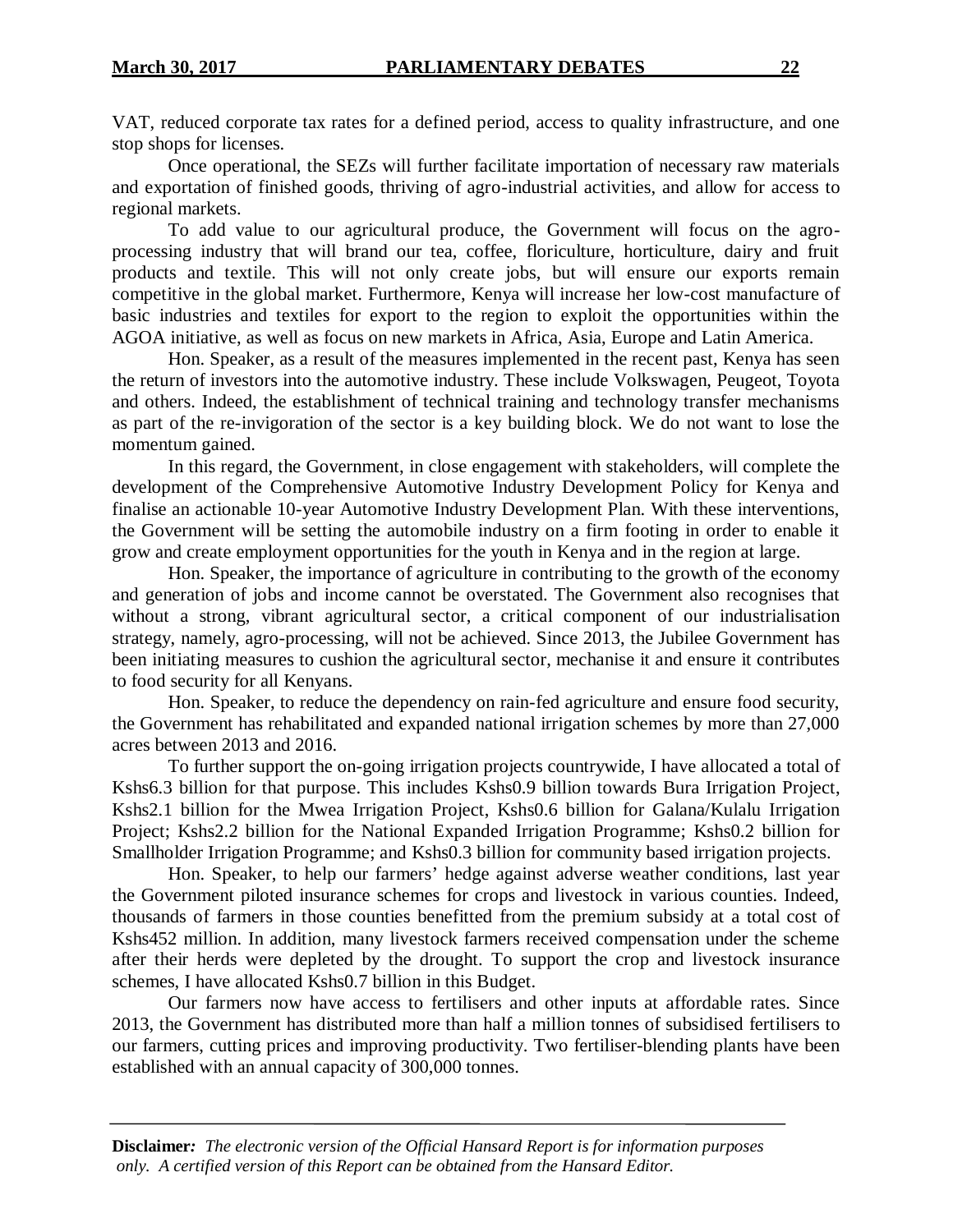VAT, reduced corporate tax rates for a defined period, access to quality infrastructure, and one stop shops for licenses.

Once operational, the SEZs will further facilitate importation of necessary raw materials and exportation of finished goods, thriving of agro-industrial activities, and allow for access to regional markets.

To add value to our agricultural produce, the Government will focus on the agroprocessing industry that will brand our tea, coffee, floriculture, horticulture, dairy and fruit products and textile. This will not only create jobs, but will ensure our exports remain competitive in the global market. Furthermore, Kenya will increase her low-cost manufacture of basic industries and textiles for export to the region to exploit the opportunities within the AGOA initiative, as well as focus on new markets in Africa, Asia, Europe and Latin America.

Hon. Speaker, as a result of the measures implemented in the recent past, Kenya has seen the return of investors into the automotive industry. These include Volkswagen, Peugeot, Toyota and others. Indeed, the establishment of technical training and technology transfer mechanisms as part of the re-invigoration of the sector is a key building block. We do not want to lose the momentum gained.

In this regard, the Government, in close engagement with stakeholders, will complete the development of the Comprehensive Automotive Industry Development Policy for Kenya and finalise an actionable 10-year Automotive Industry Development Plan. With these interventions, the Government will be setting the automobile industry on a firm footing in order to enable it grow and create employment opportunities for the youth in Kenya and in the region at large.

Hon. Speaker, the importance of agriculture in contributing to the growth of the economy and generation of jobs and income cannot be overstated. The Government also recognises that without a strong, vibrant agricultural sector, a critical component of our industrialisation strategy, namely, agro-processing, will not be achieved. Since 2013, the Jubilee Government has been initiating measures to cushion the agricultural sector, mechanise it and ensure it contributes to food security for all Kenyans.

Hon. Speaker, to reduce the dependency on rain-fed agriculture and ensure food security, the Government has rehabilitated and expanded national irrigation schemes by more than 27,000 acres between 2013 and 2016.

To further support the on-going irrigation projects countrywide, I have allocated a total of Kshs6.3 billion for that purpose. This includes Kshs0.9 billion towards Bura Irrigation Project, Kshs2.1 billion for the Mwea Irrigation Project, Kshs0.6 billion for Galana/Kulalu Irrigation Project; Kshs2.2 billion for the National Expanded Irrigation Programme; Kshs0.2 billion for Smallholder Irrigation Programme; and Kshs0.3 billion for community based irrigation projects.

Hon. Speaker, to help our farmers' hedge against adverse weather conditions, last year the Government piloted insurance schemes for crops and livestock in various counties. Indeed, thousands of farmers in those counties benefitted from the premium subsidy at a total cost of Kshs452 million. In addition, many livestock farmers received compensation under the scheme after their herds were depleted by the drought. To support the crop and livestock insurance schemes, I have allocated Kshs0.7 billion in this Budget.

Our farmers now have access to fertilisers and other inputs at affordable rates. Since 2013, the Government has distributed more than half a million tonnes of subsidised fertilisers to our farmers, cutting prices and improving productivity. Two fertiliser-blending plants have been established with an annual capacity of 300,000 tonnes.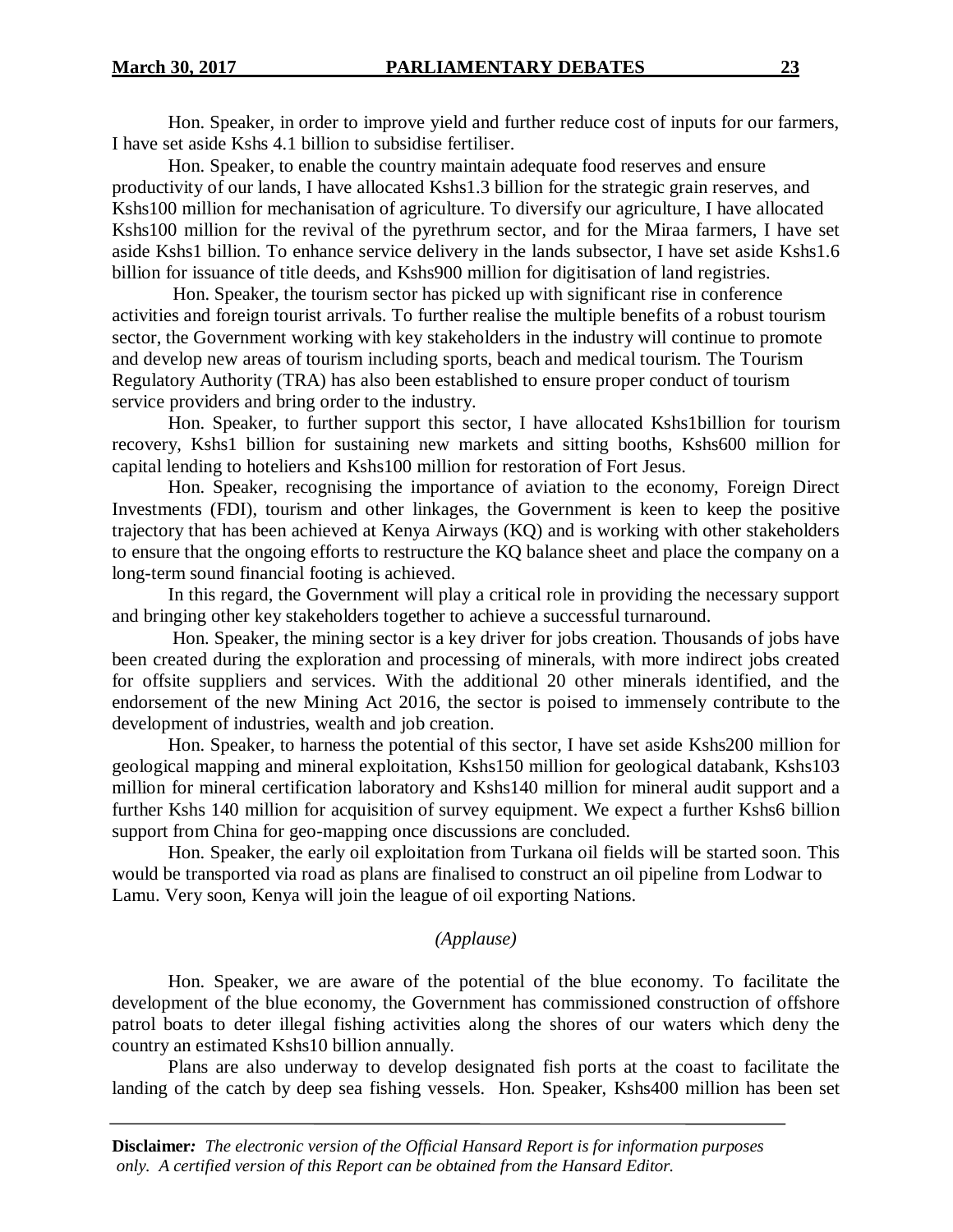Hon. Speaker, in order to improve yield and further reduce cost of inputs for our farmers, I have set aside Kshs 4.1 billion to subsidise fertiliser.

Hon. Speaker, to enable the country maintain adequate food reserves and ensure productivity of our lands, I have allocated Kshs1.3 billion for the strategic grain reserves, and Kshs100 million for mechanisation of agriculture. To diversify our agriculture, I have allocated Kshs100 million for the revival of the pyrethrum sector, and for the Miraa farmers, I have set aside Kshs1 billion. To enhance service delivery in the lands subsector, I have set aside Kshs1.6 billion for issuance of title deeds, and Kshs900 million for digitisation of land registries.

Hon. Speaker, the tourism sector has picked up with significant rise in conference activities and foreign tourist arrivals. To further realise the multiple benefits of a robust tourism sector, the Government working with key stakeholders in the industry will continue to promote and develop new areas of tourism including sports, beach and medical tourism. The Tourism Regulatory Authority (TRA) has also been established to ensure proper conduct of tourism service providers and bring order to the industry.

Hon. Speaker, to further support this sector, I have allocated Kshs1billion for tourism recovery, Kshs1 billion for sustaining new markets and sitting booths, Kshs600 million for capital lending to hoteliers and Kshs100 million for restoration of Fort Jesus.

Hon. Speaker, recognising the importance of aviation to the economy, Foreign Direct Investments (FDI), tourism and other linkages, the Government is keen to keep the positive trajectory that has been achieved at Kenya Airways (KQ) and is working with other stakeholders to ensure that the ongoing efforts to restructure the KQ balance sheet and place the company on a long-term sound financial footing is achieved.

In this regard, the Government will play a critical role in providing the necessary support and bringing other key stakeholders together to achieve a successful turnaround.

Hon. Speaker, the mining sector is a key driver for jobs creation. Thousands of jobs have been created during the exploration and processing of minerals, with more indirect jobs created for offsite suppliers and services. With the additional 20 other minerals identified, and the endorsement of the new Mining Act 2016, the sector is poised to immensely contribute to the development of industries, wealth and job creation.

Hon. Speaker, to harness the potential of this sector, I have set aside Kshs200 million for geological mapping and mineral exploitation, Kshs150 million for geological databank, Kshs103 million for mineral certification laboratory and Kshs140 million for mineral audit support and a further Kshs 140 million for acquisition of survey equipment. We expect a further Kshs6 billion support from China for geo-mapping once discussions are concluded.

Hon. Speaker, the early oil exploitation from Turkana oil fields will be started soon. This would be transported via road as plans are finalised to construct an oil pipeline from Lodwar to Lamu. Very soon, Kenya will join the league of oil exporting Nations.

# *(Applause)*

Hon. Speaker, we are aware of the potential of the blue economy. To facilitate the development of the blue economy, the Government has commissioned construction of offshore patrol boats to deter illegal fishing activities along the shores of our waters which deny the country an estimated Kshs10 billion annually.

Plans are also underway to develop designated fish ports at the coast to facilitate the landing of the catch by deep sea fishing vessels. Hon. Speaker, Kshs400 million has been set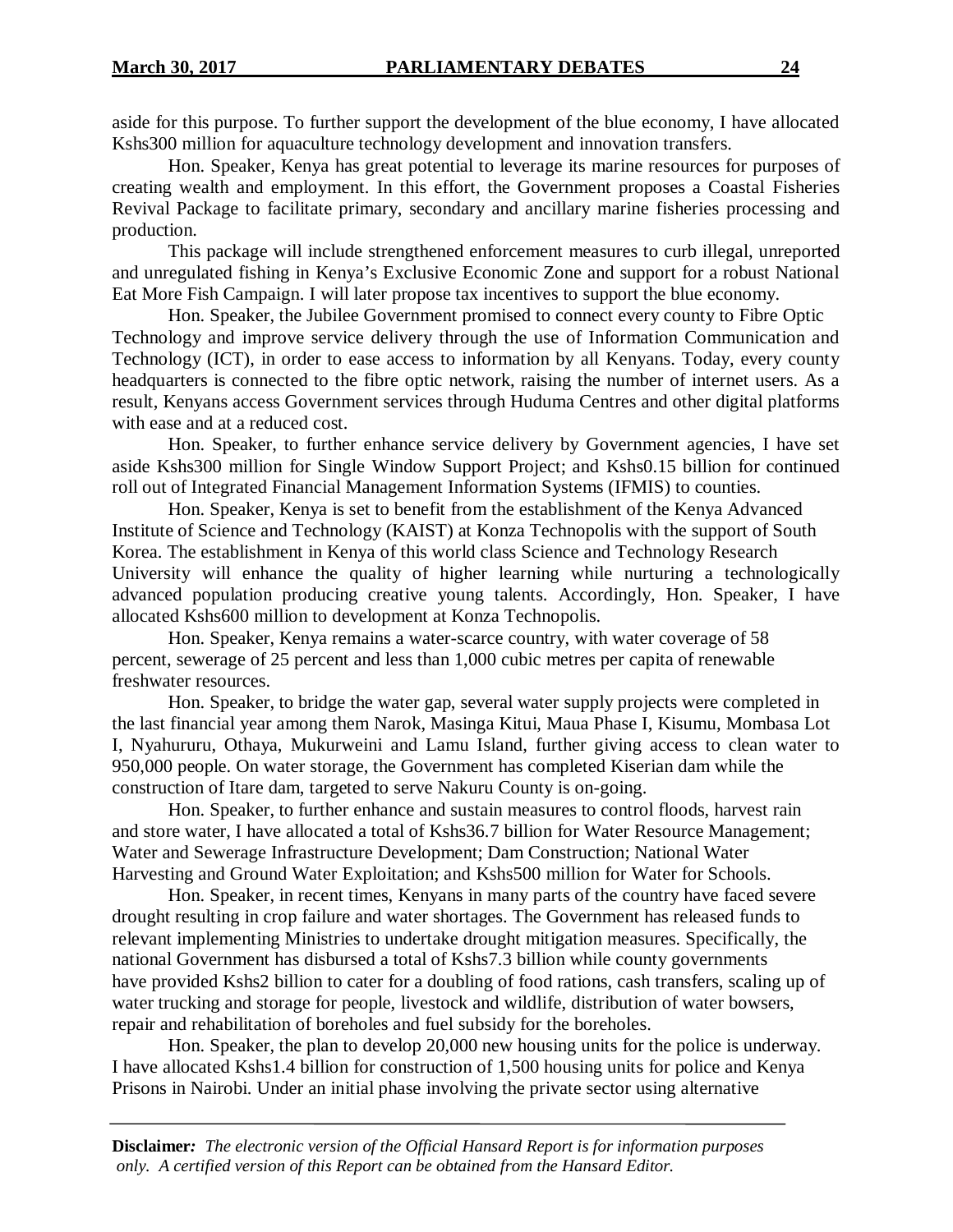aside for this purpose. To further support the development of the blue economy, I have allocated Kshs300 million for aquaculture technology development and innovation transfers.

Hon. Speaker, Kenya has great potential to leverage its marine resources for purposes of creating wealth and employment. In this effort, the Government proposes a Coastal Fisheries Revival Package to facilitate primary, secondary and ancillary marine fisheries processing and production.

This package will include strengthened enforcement measures to curb illegal, unreported and unregulated fishing in Kenya's Exclusive Economic Zone and support for a robust National Eat More Fish Campaign. I will later propose tax incentives to support the blue economy.

Hon. Speaker, the Jubilee Government promised to connect every county to Fibre Optic Technology and improve service delivery through the use of Information Communication and Technology (ICT), in order to ease access to information by all Kenyans. Today, every county headquarters is connected to the fibre optic network, raising the number of internet users. As a result, Kenyans access Government services through Huduma Centres and other digital platforms with ease and at a reduced cost.

Hon. Speaker, to further enhance service delivery by Government agencies, I have set aside Kshs300 million for Single Window Support Project; and Kshs0.15 billion for continued roll out of Integrated Financial Management Information Systems (IFMIS) to counties.

Hon. Speaker, Kenya is set to benefit from the establishment of the Kenya Advanced Institute of Science and Technology (KAIST) at Konza Technopolis with the support of South Korea. The establishment in Kenya of this world class Science and Technology Research University will enhance the quality of higher learning while nurturing a technologically advanced population producing creative young talents. Accordingly, Hon. Speaker, I have allocated Kshs600 million to development at Konza Technopolis.

Hon. Speaker, Kenya remains a water-scarce country, with water coverage of 58 percent, sewerage of 25 percent and less than 1,000 cubic metres per capita of renewable freshwater resources.

Hon. Speaker, to bridge the water gap, several water supply projects were completed in the last financial year among them Narok, Masinga Kitui, Maua Phase I, Kisumu, Mombasa Lot I, Nyahururu, Othaya, Mukurweini and Lamu Island, further giving access to clean water to 950,000 people. On water storage, the Government has completed Kiserian dam while the construction of Itare dam, targeted to serve Nakuru County is on-going.

Hon. Speaker, to further enhance and sustain measures to control floods, harvest rain and store water, I have allocated a total of Kshs36.7 billion for Water Resource Management; Water and Sewerage Infrastructure Development; Dam Construction; National Water Harvesting and Ground Water Exploitation; and Kshs500 million for Water for Schools.

Hon. Speaker, in recent times, Kenyans in many parts of the country have faced severe drought resulting in crop failure and water shortages. The Government has released funds to relevant implementing Ministries to undertake drought mitigation measures. Specifically, the national Government has disbursed a total of Kshs7.3 billion while county governments have provided Kshs2 billion to cater for a doubling of food rations, cash transfers, scaling up of water trucking and storage for people, livestock and wildlife, distribution of water bowsers, repair and rehabilitation of boreholes and fuel subsidy for the boreholes.

Hon. Speaker, the plan to develop 20,000 new housing units for the police is underway. I have allocated Kshs1.4 billion for construction of 1,500 housing units for police and Kenya Prisons in Nairobi. Under an initial phase involving the private sector using alternative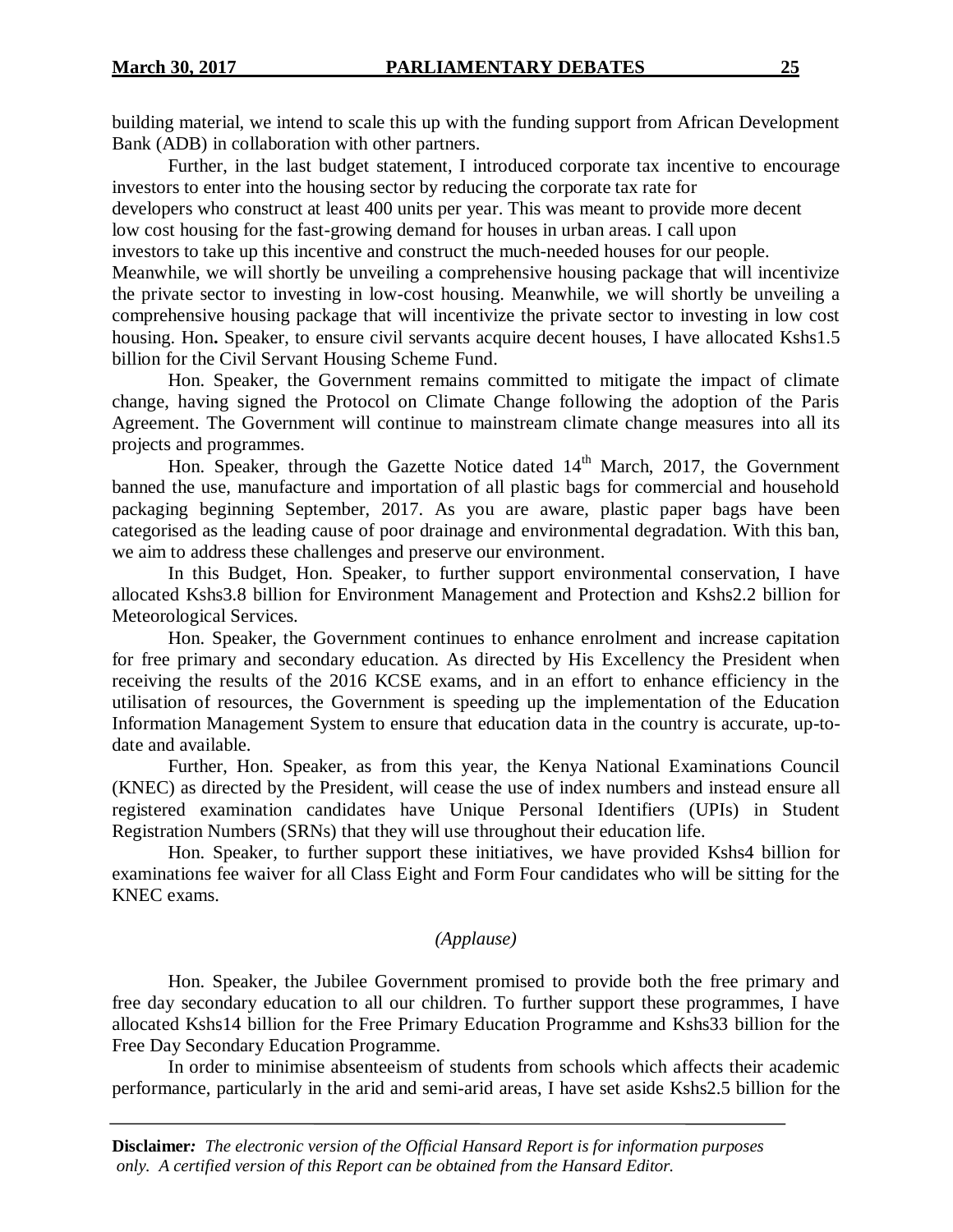building material, we intend to scale this up with the funding support from African Development Bank (ADB) in collaboration with other partners.

Further, in the last budget statement, I introduced corporate tax incentive to encourage investors to enter into the housing sector by reducing the corporate tax rate for

developers who construct at least 400 units per year. This was meant to provide more decent low cost housing for the fast-growing demand for houses in urban areas. I call upon

investors to take up this incentive and construct the much-needed houses for our people.

Meanwhile, we will shortly be unveiling a comprehensive housing package that will incentivize the private sector to investing in low-cost housing. Meanwhile, we will shortly be unveiling a comprehensive housing package that will incentivize the private sector to investing in low cost housing. Hon**.** Speaker, to ensure civil servants acquire decent houses, I have allocated Kshs1.5 billion for the Civil Servant Housing Scheme Fund.

Hon. Speaker, the Government remains committed to mitigate the impact of climate change, having signed the Protocol on Climate Change following the adoption of the Paris Agreement. The Government will continue to mainstream climate change measures into all its projects and programmes.

Hon. Speaker, through the Gazette Notice dated  $14<sup>th</sup>$  March, 2017, the Government banned the use, manufacture and importation of all plastic bags for commercial and household packaging beginning September, 2017. As you are aware, plastic paper bags have been categorised as the leading cause of poor drainage and environmental degradation. With this ban, we aim to address these challenges and preserve our environment.

In this Budget, Hon. Speaker, to further support environmental conservation, I have allocated Kshs3.8 billion for Environment Management and Protection and Kshs2.2 billion for Meteorological Services.

Hon. Speaker, the Government continues to enhance enrolment and increase capitation for free primary and secondary education. As directed by His Excellency the President when receiving the results of the 2016 KCSE exams, and in an effort to enhance efficiency in the utilisation of resources, the Government is speeding up the implementation of the Education Information Management System to ensure that education data in the country is accurate, up-todate and available.

Further, Hon. Speaker, as from this year, the Kenya National Examinations Council (KNEC) as directed by the President, will cease the use of index numbers and instead ensure all registered examination candidates have Unique Personal Identifiers (UPIs) in Student Registration Numbers (SRNs) that they will use throughout their education life.

Hon. Speaker, to further support these initiatives, we have provided Kshs4 billion for examinations fee waiver for all Class Eight and Form Four candidates who will be sitting for the KNEC exams.

# *(Applause)*

Hon. Speaker, the Jubilee Government promised to provide both the free primary and free day secondary education to all our children. To further support these programmes, I have allocated Kshs14 billion for the Free Primary Education Programme and Kshs33 billion for the Free Day Secondary Education Programme.

In order to minimise absenteeism of students from schools which affects their academic performance, particularly in the arid and semi-arid areas, I have set aside Kshs2.5 billion for the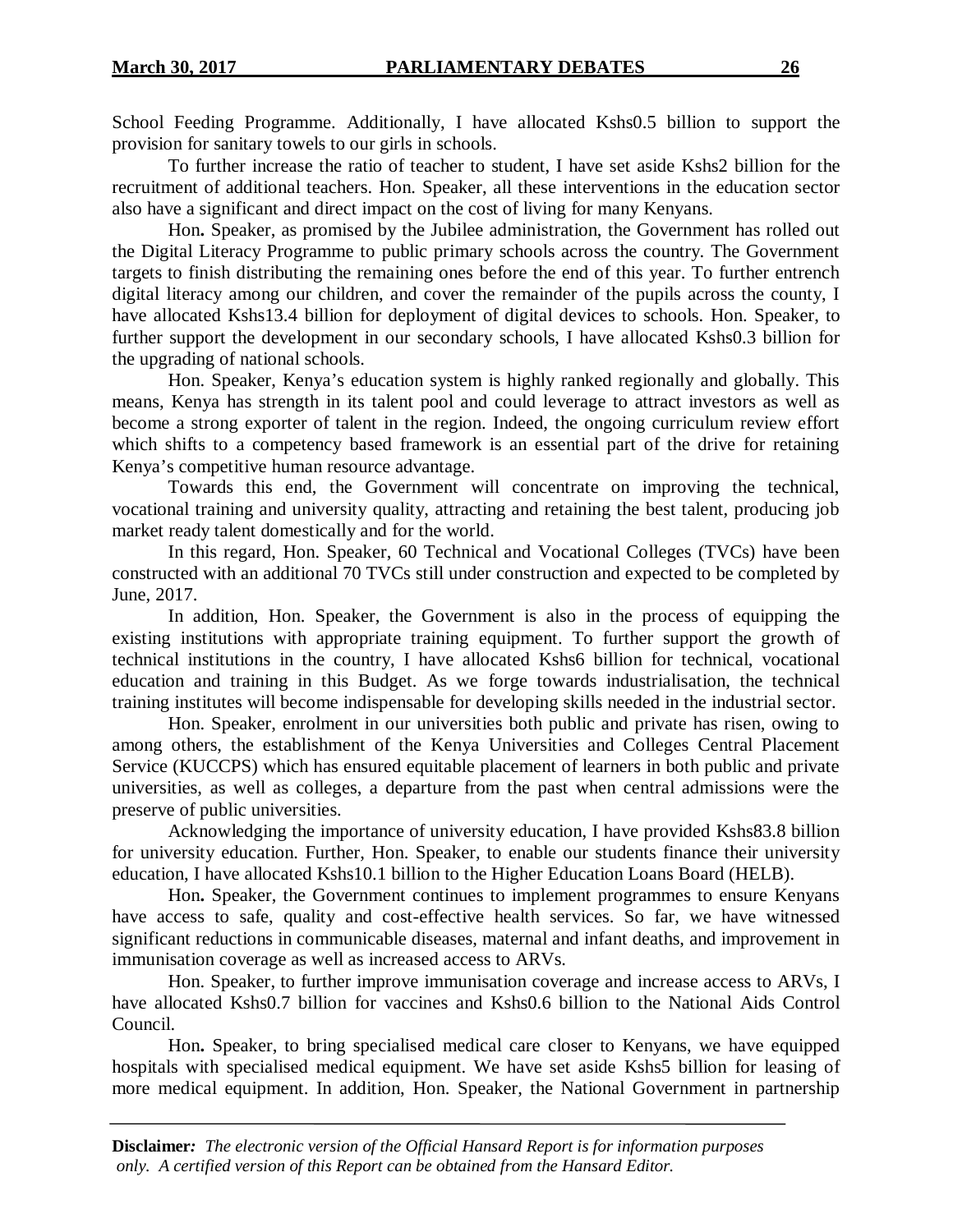School Feeding Programme. Additionally, I have allocated Kshs0.5 billion to support the provision for sanitary towels to our girls in schools.

To further increase the ratio of teacher to student, I have set aside Kshs2 billion for the recruitment of additional teachers. Hon. Speaker, all these interventions in the education sector also have a significant and direct impact on the cost of living for many Kenyans.

Hon**.** Speaker, as promised by the Jubilee administration, the Government has rolled out the Digital Literacy Programme to public primary schools across the country. The Government targets to finish distributing the remaining ones before the end of this year. To further entrench digital literacy among our children, and cover the remainder of the pupils across the county, I have allocated Kshs13.4 billion for deployment of digital devices to schools. Hon. Speaker, to further support the development in our secondary schools, I have allocated Kshs0.3 billion for the upgrading of national schools.

Hon. Speaker, Kenya's education system is highly ranked regionally and globally. This means, Kenya has strength in its talent pool and could leverage to attract investors as well as become a strong exporter of talent in the region. Indeed, the ongoing curriculum review effort which shifts to a competency based framework is an essential part of the drive for retaining Kenya's competitive human resource advantage.

Towards this end, the Government will concentrate on improving the technical, vocational training and university quality, attracting and retaining the best talent, producing job market ready talent domestically and for the world.

In this regard, Hon. Speaker, 60 Technical and Vocational Colleges (TVCs) have been constructed with an additional 70 TVCs still under construction and expected to be completed by June, 2017.

In addition, Hon. Speaker, the Government is also in the process of equipping the existing institutions with appropriate training equipment. To further support the growth of technical institutions in the country, I have allocated Kshs6 billion for technical, vocational education and training in this Budget. As we forge towards industrialisation, the technical training institutes will become indispensable for developing skills needed in the industrial sector.

Hon. Speaker, enrolment in our universities both public and private has risen, owing to among others, the establishment of the Kenya Universities and Colleges Central Placement Service (KUCCPS) which has ensured equitable placement of learners in both public and private universities, as well as colleges, a departure from the past when central admissions were the preserve of public universities.

Acknowledging the importance of university education, I have provided Kshs83.8 billion for university education. Further, Hon. Speaker, to enable our students finance their university education, I have allocated Kshs10.1 billion to the Higher Education Loans Board (HELB).

Hon**.** Speaker, the Government continues to implement programmes to ensure Kenyans have access to safe, quality and cost-effective health services. So far, we have witnessed significant reductions in communicable diseases, maternal and infant deaths, and improvement in immunisation coverage as well as increased access to ARVs.

Hon. Speaker, to further improve immunisation coverage and increase access to ARVs, I have allocated Kshs0.7 billion for vaccines and Kshs0.6 billion to the National Aids Control Council.

Hon**.** Speaker, to bring specialised medical care closer to Kenyans, we have equipped hospitals with specialised medical equipment. We have set aside Kshs5 billion for leasing of more medical equipment. In addition, Hon. Speaker, the National Government in partnership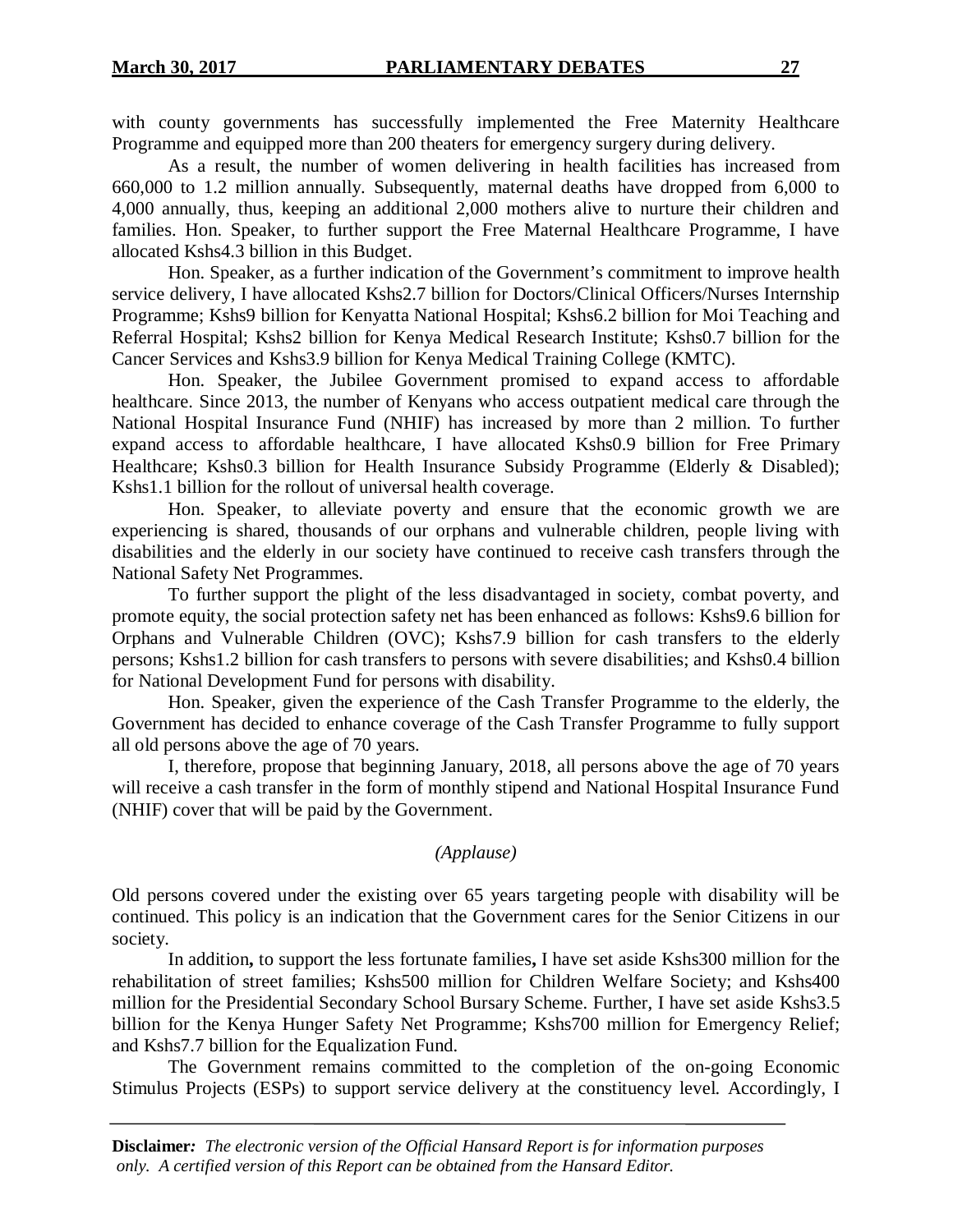with county governments has successfully implemented the Free Maternity Healthcare Programme and equipped more than 200 theaters for emergency surgery during delivery.

As a result, the number of women delivering in health facilities has increased from 660,000 to 1.2 million annually. Subsequently, maternal deaths have dropped from 6,000 to 4,000 annually, thus, keeping an additional 2,000 mothers alive to nurture their children and families. Hon. Speaker, to further support the Free Maternal Healthcare Programme, I have allocated Kshs4.3 billion in this Budget.

Hon. Speaker, as a further indication of the Government's commitment to improve health service delivery, I have allocated Kshs2.7 billion for Doctors/Clinical Officers/Nurses Internship Programme; Kshs9 billion for Kenyatta National Hospital; Kshs6.2 billion for Moi Teaching and Referral Hospital; Kshs2 billion for Kenya Medical Research Institute; Kshs0.7 billion for the Cancer Services and Kshs3.9 billion for Kenya Medical Training College (KMTC).

Hon. Speaker, the Jubilee Government promised to expand access to affordable healthcare. Since 2013, the number of Kenyans who access outpatient medical care through the National Hospital Insurance Fund (NHIF) has increased by more than 2 million. To further expand access to affordable healthcare, I have allocated Kshs0.9 billion for Free Primary Healthcare; Kshs0.3 billion for Health Insurance Subsidy Programme (Elderly & Disabled); Kshs1.1 billion for the rollout of universal health coverage.

Hon. Speaker, to alleviate poverty and ensure that the economic growth we are experiencing is shared, thousands of our orphans and vulnerable children, people living with disabilities and the elderly in our society have continued to receive cash transfers through the National Safety Net Programmes.

To further support the plight of the less disadvantaged in society, combat poverty, and promote equity, the social protection safety net has been enhanced as follows: Kshs9.6 billion for Orphans and Vulnerable Children (OVC); Kshs7.9 billion for cash transfers to the elderly persons; Kshs1.2 billion for cash transfers to persons with severe disabilities; and Kshs0.4 billion for National Development Fund for persons with disability.

Hon. Speaker, given the experience of the Cash Transfer Programme to the elderly, the Government has decided to enhance coverage of the Cash Transfer Programme to fully support all old persons above the age of 70 years.

I, therefore, propose that beginning January, 2018, all persons above the age of 70 years will receive a cash transfer in the form of monthly stipend and National Hospital Insurance Fund (NHIF) cover that will be paid by the Government.

# *(Applause)*

Old persons covered under the existing over 65 years targeting people with disability will be continued. This policy is an indication that the Government cares for the Senior Citizens in our society.

In addition**,** to support the less fortunate families**,** I have set aside Kshs300 million for the rehabilitation of street families; Kshs500 million for Children Welfare Society; and Kshs400 million for the Presidential Secondary School Bursary Scheme. Further, I have set aside Kshs3.5 billion for the Kenya Hunger Safety Net Programme; Kshs700 million for Emergency Relief; and Kshs7.7 billion for the Equalization Fund.

The Government remains committed to the completion of the on-going Economic Stimulus Projects (ESPs) to support service delivery at the constituency level. Accordingly, I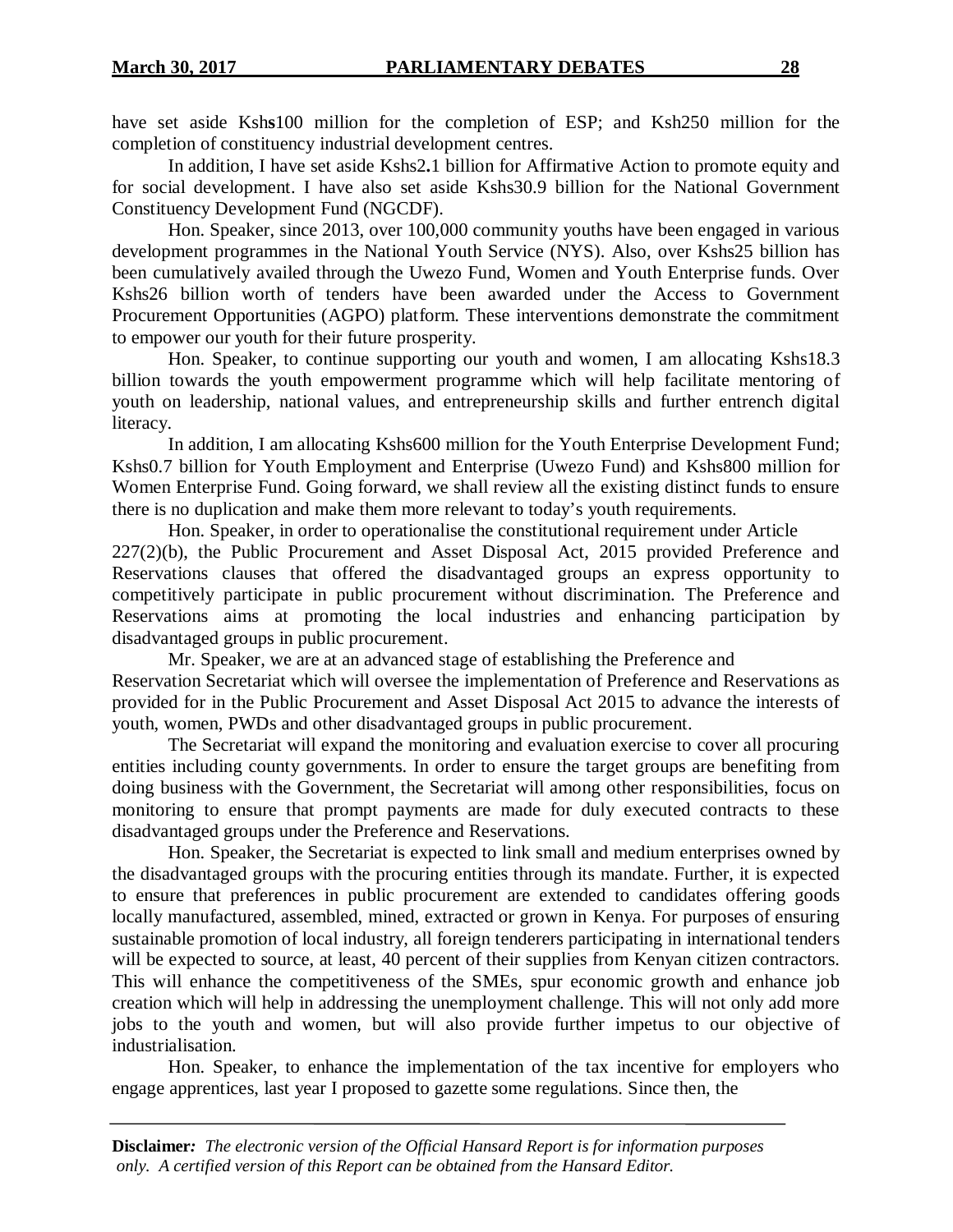have set aside Ksh**s**100 million for the completion of ESP; and Ksh250 million for the completion of constituency industrial development centres.

In addition, I have set aside Kshs2**.**1 billion for Affirmative Action to promote equity and for social development. I have also set aside Kshs30.9 billion for the National Government Constituency Development Fund (NGCDF).

Hon. Speaker, since 2013, over 100,000 community youths have been engaged in various development programmes in the National Youth Service (NYS). Also, over Kshs25 billion has been cumulatively availed through the Uwezo Fund, Women and Youth Enterprise funds. Over Kshs26 billion worth of tenders have been awarded under the Access to Government Procurement Opportunities (AGPO) platform. These interventions demonstrate the commitment to empower our youth for their future prosperity.

Hon. Speaker, to continue supporting our youth and women, I am allocating Kshs18.3 billion towards the youth empowerment programme which will help facilitate mentoring of youth on leadership, national values, and entrepreneurship skills and further entrench digital literacy.

In addition, I am allocating Kshs600 million for the Youth Enterprise Development Fund; Kshs0.7 billion for Youth Employment and Enterprise (Uwezo Fund) and Kshs800 million for Women Enterprise Fund. Going forward, we shall review all the existing distinct funds to ensure there is no duplication and make them more relevant to today's youth requirements.

Hon. Speaker, in order to operationalise the constitutional requirement under Article 227(2)(b), the Public Procurement and Asset Disposal Act, 2015 provided Preference and Reservations clauses that offered the disadvantaged groups an express opportunity to competitively participate in public procurement without discrimination. The Preference and Reservations aims at promoting the local industries and enhancing participation by disadvantaged groups in public procurement.

Mr. Speaker, we are at an advanced stage of establishing the Preference and Reservation Secretariat which will oversee the implementation of Preference and Reservations as provided for in the Public Procurement and Asset Disposal Act 2015 to advance the interests of youth, women, PWDs and other disadvantaged groups in public procurement.

The Secretariat will expand the monitoring and evaluation exercise to cover all procuring entities including county governments. In order to ensure the target groups are benefiting from doing business with the Government, the Secretariat will among other responsibilities, focus on monitoring to ensure that prompt payments are made for duly executed contracts to these disadvantaged groups under the Preference and Reservations.

Hon. Speaker, the Secretariat is expected to link small and medium enterprises owned by the disadvantaged groups with the procuring entities through its mandate. Further, it is expected to ensure that preferences in public procurement are extended to candidates offering goods locally manufactured, assembled, mined, extracted or grown in Kenya. For purposes of ensuring sustainable promotion of local industry, all foreign tenderers participating in international tenders will be expected to source, at least, 40 percent of their supplies from Kenyan citizen contractors. This will enhance the competitiveness of the SMEs, spur economic growth and enhance job creation which will help in addressing the unemployment challenge. This will not only add more jobs to the youth and women, but will also provide further impetus to our objective of industrialisation.

Hon. Speaker, to enhance the implementation of the tax incentive for employers who engage apprentices, last year I proposed to gazette some regulations. Since then, the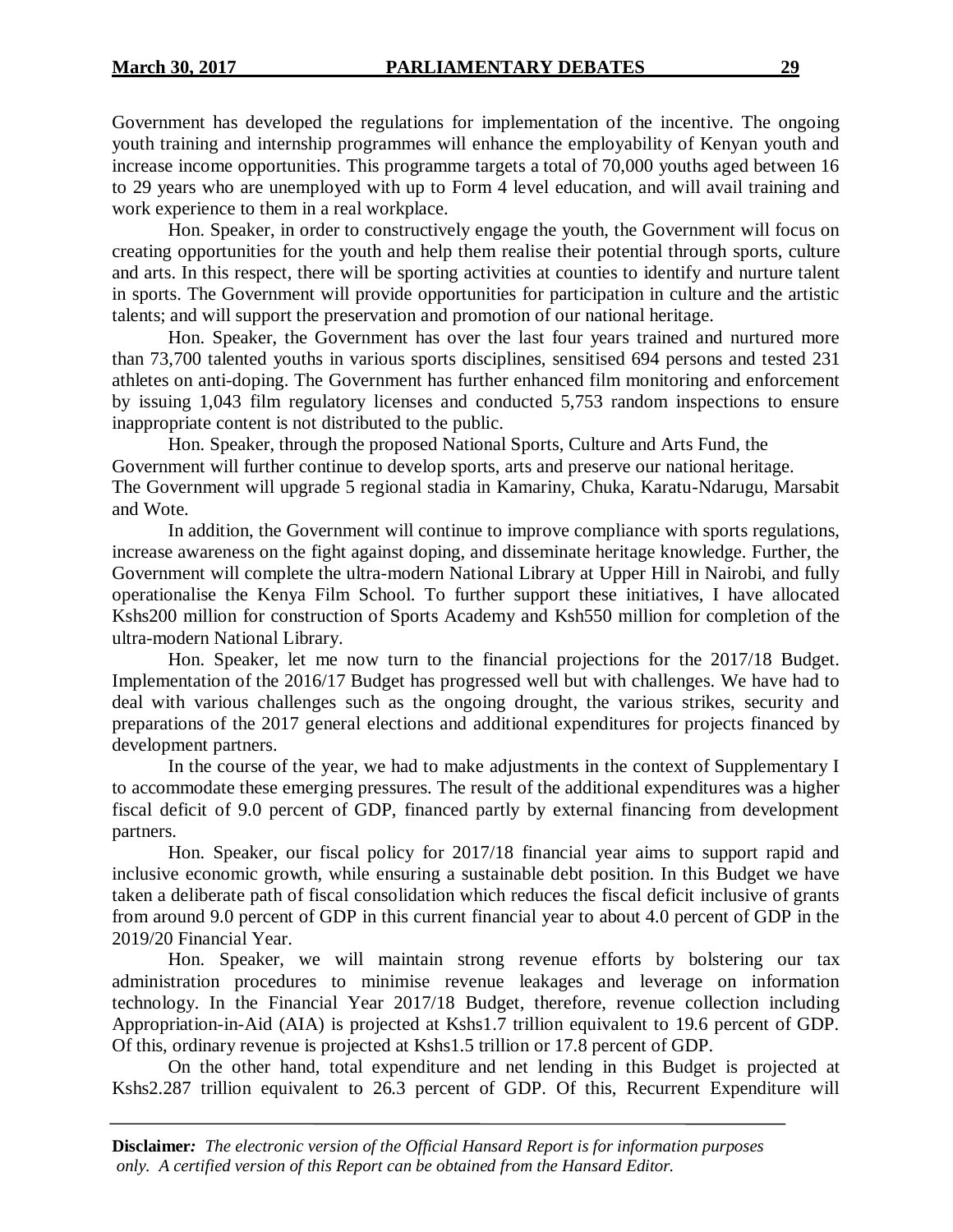Government has developed the regulations for implementation of the incentive. The ongoing youth training and internship programmes will enhance the employability of Kenyan youth and increase income opportunities. This programme targets a total of 70,000 youths aged between 16 to 29 years who are unemployed with up to Form 4 level education, and will avail training and work experience to them in a real workplace.

Hon. Speaker, in order to constructively engage the youth, the Government will focus on creating opportunities for the youth and help them realise their potential through sports, culture and arts. In this respect, there will be sporting activities at counties to identify and nurture talent in sports. The Government will provide opportunities for participation in culture and the artistic talents; and will support the preservation and promotion of our national heritage.

Hon. Speaker, the Government has over the last four years trained and nurtured more than 73,700 talented youths in various sports disciplines, sensitised 694 persons and tested 231 athletes on anti-doping. The Government has further enhanced film monitoring and enforcement by issuing 1,043 film regulatory licenses and conducted 5,753 random inspections to ensure inappropriate content is not distributed to the public.

Hon. Speaker, through the proposed National Sports, Culture and Arts Fund, the Government will further continue to develop sports, arts and preserve our national heritage. The Government will upgrade 5 regional stadia in Kamariny, Chuka, Karatu-Ndarugu, Marsabit and Wote.

In addition, the Government will continue to improve compliance with sports regulations, increase awareness on the fight against doping, and disseminate heritage knowledge. Further, the Government will complete the ultra-modern National Library at Upper Hill in Nairobi, and fully operationalise the Kenya Film School. To further support these initiatives, I have allocated Kshs200 million for construction of Sports Academy and Ksh550 million for completion of the ultra-modern National Library.

Hon. Speaker, let me now turn to the financial projections for the 2017/18 Budget. Implementation of the 2016/17 Budget has progressed well but with challenges. We have had to deal with various challenges such as the ongoing drought, the various strikes, security and preparations of the 2017 general elections and additional expenditures for projects financed by development partners.

In the course of the year, we had to make adjustments in the context of Supplementary I to accommodate these emerging pressures. The result of the additional expenditures was a higher fiscal deficit of 9.0 percent of GDP, financed partly by external financing from development partners.

Hon. Speaker, our fiscal policy for 2017/18 financial year aims to support rapid and inclusive economic growth, while ensuring a sustainable debt position. In this Budget we have taken a deliberate path of fiscal consolidation which reduces the fiscal deficit inclusive of grants from around 9.0 percent of GDP in this current financial year to about 4.0 percent of GDP in the 2019/20 Financial Year.

Hon. Speaker, we will maintain strong revenue efforts by bolstering our tax administration procedures to minimise revenue leakages and leverage on information technology. In the Financial Year 2017/18 Budget, therefore, revenue collection including Appropriation-in-Aid (AIA) is projected at Kshs1.7 trillion equivalent to 19.6 percent of GDP. Of this, ordinary revenue is projected at Kshs1.5 trillion or 17.8 percent of GDP.

On the other hand, total expenditure and net lending in this Budget is projected at Kshs2.287 trillion equivalent to 26.3 percent of GDP. Of this, Recurrent Expenditure will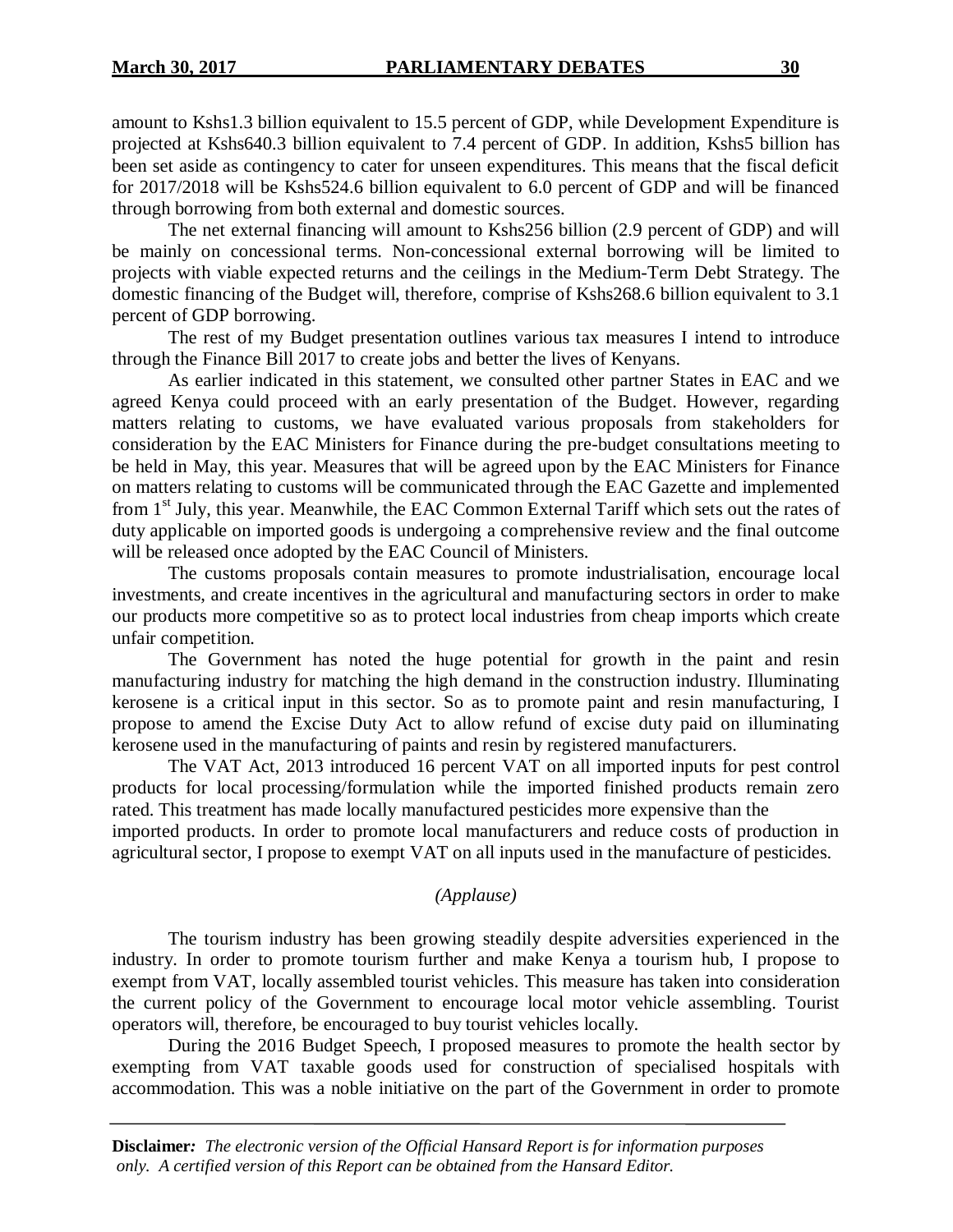amount to Kshs1.3 billion equivalent to 15.5 percent of GDP, while Development Expenditure is projected at Kshs640.3 billion equivalent to 7.4 percent of GDP. In addition, Kshs5 billion has been set aside as contingency to cater for unseen expenditures. This means that the fiscal deficit for 2017/2018 will be Kshs524.6 billion equivalent to 6.0 percent of GDP and will be financed through borrowing from both external and domestic sources.

The net external financing will amount to Kshs256 billion (2.9 percent of GDP) and will be mainly on concessional terms. Non-concessional external borrowing will be limited to projects with viable expected returns and the ceilings in the Medium-Term Debt Strategy. The domestic financing of the Budget will, therefore, comprise of Kshs268.6 billion equivalent to 3.1 percent of GDP borrowing.

The rest of my Budget presentation outlines various tax measures I intend to introduce through the Finance Bill 2017 to create jobs and better the lives of Kenyans.

As earlier indicated in this statement, we consulted other partner States in EAC and we agreed Kenya could proceed with an early presentation of the Budget. However, regarding matters relating to customs, we have evaluated various proposals from stakeholders for consideration by the EAC Ministers for Finance during the pre-budget consultations meeting to be held in May, this year. Measures that will be agreed upon by the EAC Ministers for Finance on matters relating to customs will be communicated through the EAC Gazette and implemented from 1<sup>st</sup> July, this year. Meanwhile, the EAC Common External Tariff which sets out the rates of duty applicable on imported goods is undergoing a comprehensive review and the final outcome will be released once adopted by the EAC Council of Ministers.

The customs proposals contain measures to promote industrialisation, encourage local investments, and create incentives in the agricultural and manufacturing sectors in order to make our products more competitive so as to protect local industries from cheap imports which create unfair competition.

The Government has noted the huge potential for growth in the paint and resin manufacturing industry for matching the high demand in the construction industry. Illuminating kerosene is a critical input in this sector. So as to promote paint and resin manufacturing, I propose to amend the Excise Duty Act to allow refund of excise duty paid on illuminating kerosene used in the manufacturing of paints and resin by registered manufacturers.

The VAT Act, 2013 introduced 16 percent VAT on all imported inputs for pest control products for local processing/formulation while the imported finished products remain zero rated. This treatment has made locally manufactured pesticides more expensive than the

imported products. In order to promote local manufacturers and reduce costs of production in agricultural sector, I propose to exempt VAT on all inputs used in the manufacture of pesticides.

#### *(Applause)*

The tourism industry has been growing steadily despite adversities experienced in the industry. In order to promote tourism further and make Kenya a tourism hub, I propose to exempt from VAT, locally assembled tourist vehicles. This measure has taken into consideration the current policy of the Government to encourage local motor vehicle assembling. Tourist operators will, therefore, be encouraged to buy tourist vehicles locally.

During the 2016 Budget Speech, I proposed measures to promote the health sector by exempting from VAT taxable goods used for construction of specialised hospitals with accommodation. This was a noble initiative on the part of the Government in order to promote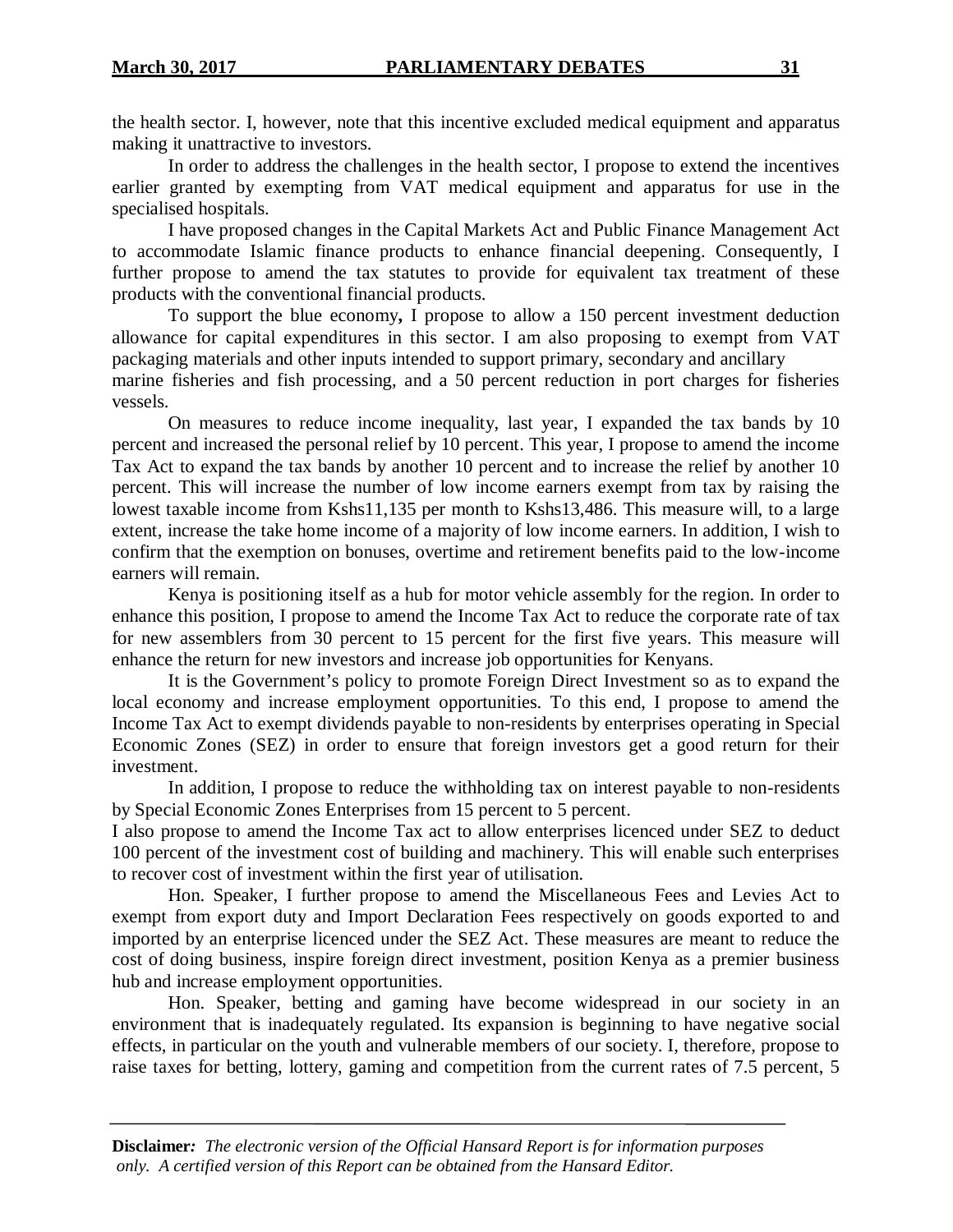the health sector. I, however, note that this incentive excluded medical equipment and apparatus making it unattractive to investors.

In order to address the challenges in the health sector, I propose to extend the incentives earlier granted by exempting from VAT medical equipment and apparatus for use in the specialised hospitals.

I have proposed changes in the Capital Markets Act and Public Finance Management Act to accommodate Islamic finance products to enhance financial deepening. Consequently, I further propose to amend the tax statutes to provide for equivalent tax treatment of these products with the conventional financial products.

To support the blue economy**,** I propose to allow a 150 percent investment deduction allowance for capital expenditures in this sector. I am also proposing to exempt from VAT packaging materials and other inputs intended to support primary, secondary and ancillary marine fisheries and fish processing, and a 50 percent reduction in port charges for fisheries vessels.

On measures to reduce income inequality, last year, I expanded the tax bands by 10 percent and increased the personal relief by 10 percent. This year, I propose to amend the income Tax Act to expand the tax bands by another 10 percent and to increase the relief by another 10 percent. This will increase the number of low income earners exempt from tax by raising the lowest taxable income from Kshs11,135 per month to Kshs13,486. This measure will, to a large extent, increase the take home income of a majority of low income earners. In addition, I wish to confirm that the exemption on bonuses, overtime and retirement benefits paid to the low-income earners will remain.

Kenya is positioning itself as a hub for motor vehicle assembly for the region. In order to enhance this position, I propose to amend the Income Tax Act to reduce the corporate rate of tax for new assemblers from 30 percent to 15 percent for the first five years. This measure will enhance the return for new investors and increase job opportunities for Kenyans.

It is the Government's policy to promote Foreign Direct Investment so as to expand the local economy and increase employment opportunities. To this end, I propose to amend the Income Tax Act to exempt dividends payable to non-residents by enterprises operating in Special Economic Zones (SEZ) in order to ensure that foreign investors get a good return for their investment.

In addition, I propose to reduce the withholding tax on interest payable to non-residents by Special Economic Zones Enterprises from 15 percent to 5 percent.

I also propose to amend the Income Tax act to allow enterprises licenced under SEZ to deduct 100 percent of the investment cost of building and machinery. This will enable such enterprises to recover cost of investment within the first year of utilisation.

Hon. Speaker, I further propose to amend the Miscellaneous Fees and Levies Act to exempt from export duty and Import Declaration Fees respectively on goods exported to and imported by an enterprise licenced under the SEZ Act. These measures are meant to reduce the cost of doing business, inspire foreign direct investment, position Kenya as a premier business hub and increase employment opportunities.

Hon. Speaker, betting and gaming have become widespread in our society in an environment that is inadequately regulated. Its expansion is beginning to have negative social effects, in particular on the youth and vulnerable members of our society. I, therefore, propose to raise taxes for betting, lottery, gaming and competition from the current rates of 7.5 percent, 5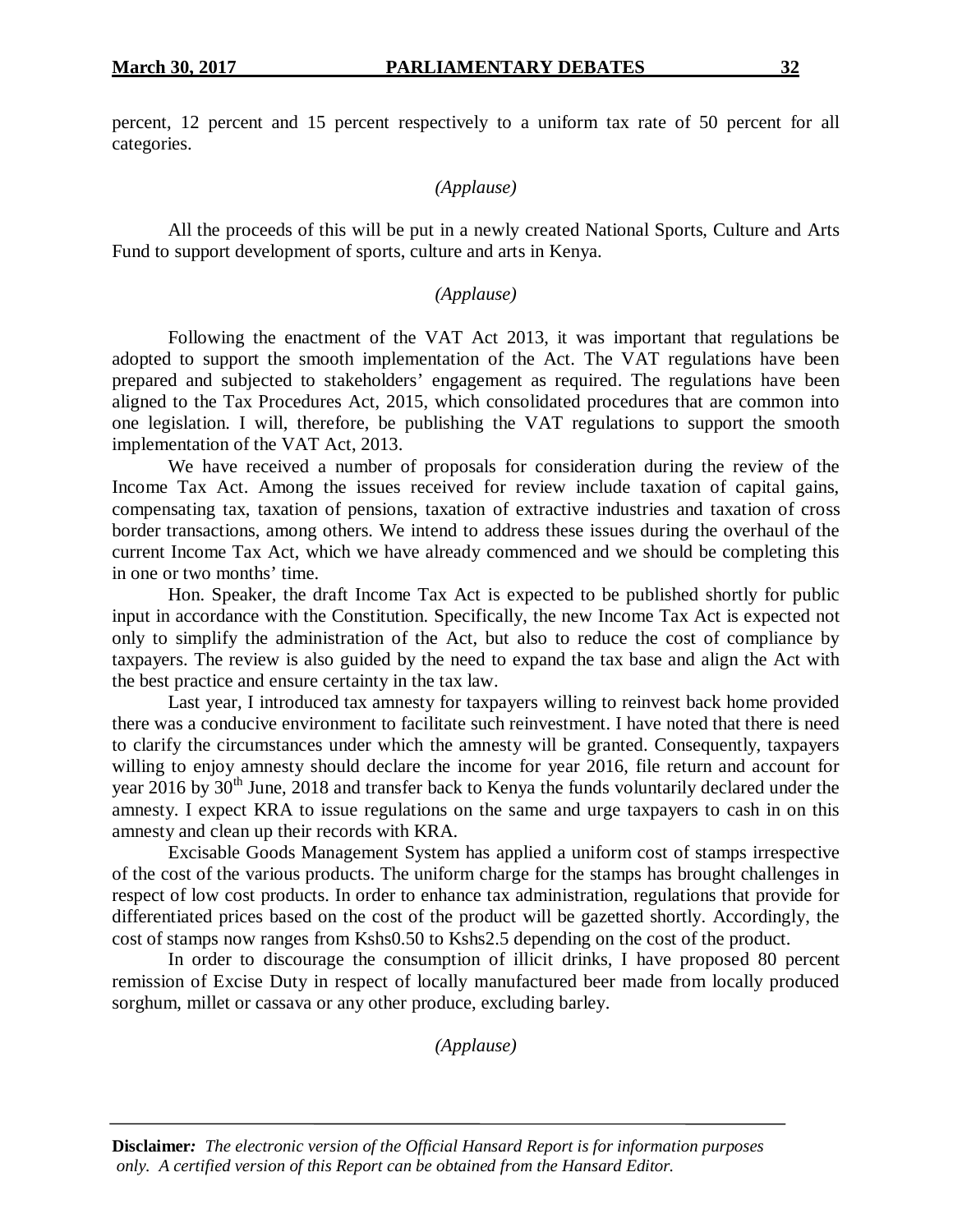percent, 12 percent and 15 percent respectively to a uniform tax rate of 50 percent for all categories.

# *(Applause)*

All the proceeds of this will be put in a newly created National Sports, Culture and Arts Fund to support development of sports, culture and arts in Kenya.

# *(Applause)*

Following the enactment of the VAT Act 2013, it was important that regulations be adopted to support the smooth implementation of the Act. The VAT regulations have been prepared and subjected to stakeholders' engagement as required. The regulations have been aligned to the Tax Procedures Act, 2015, which consolidated procedures that are common into one legislation. I will, therefore, be publishing the VAT regulations to support the smooth implementation of the VAT Act, 2013.

We have received a number of proposals for consideration during the review of the Income Tax Act. Among the issues received for review include taxation of capital gains, compensating tax, taxation of pensions, taxation of extractive industries and taxation of cross border transactions, among others. We intend to address these issues during the overhaul of the current Income Tax Act, which we have already commenced and we should be completing this in one or two months' time.

Hon. Speaker, the draft Income Tax Act is expected to be published shortly for public input in accordance with the Constitution. Specifically, the new Income Tax Act is expected not only to simplify the administration of the Act, but also to reduce the cost of compliance by taxpayers. The review is also guided by the need to expand the tax base and align the Act with the best practice and ensure certainty in the tax law.

Last year, I introduced tax amnesty for taxpayers willing to reinvest back home provided there was a conducive environment to facilitate such reinvestment. I have noted that there is need to clarify the circumstances under which the amnesty will be granted. Consequently, taxpayers willing to enjoy amnesty should declare the income for year 2016, file return and account for year  $2016$  by  $30<sup>th</sup>$  June,  $2018$  and transfer back to Kenya the funds voluntarily declared under the amnesty. I expect KRA to issue regulations on the same and urge taxpayers to cash in on this amnesty and clean up their records with KRA.

Excisable Goods Management System has applied a uniform cost of stamps irrespective of the cost of the various products. The uniform charge for the stamps has brought challenges in respect of low cost products. In order to enhance tax administration, regulations that provide for differentiated prices based on the cost of the product will be gazetted shortly. Accordingly, the cost of stamps now ranges from Kshs0.50 to Kshs2.5 depending on the cost of the product.

In order to discourage the consumption of illicit drinks, I have proposed 80 percent remission of Excise Duty in respect of locally manufactured beer made from locally produced sorghum, millet or cassava or any other produce, excluding barley.

*(Applause)*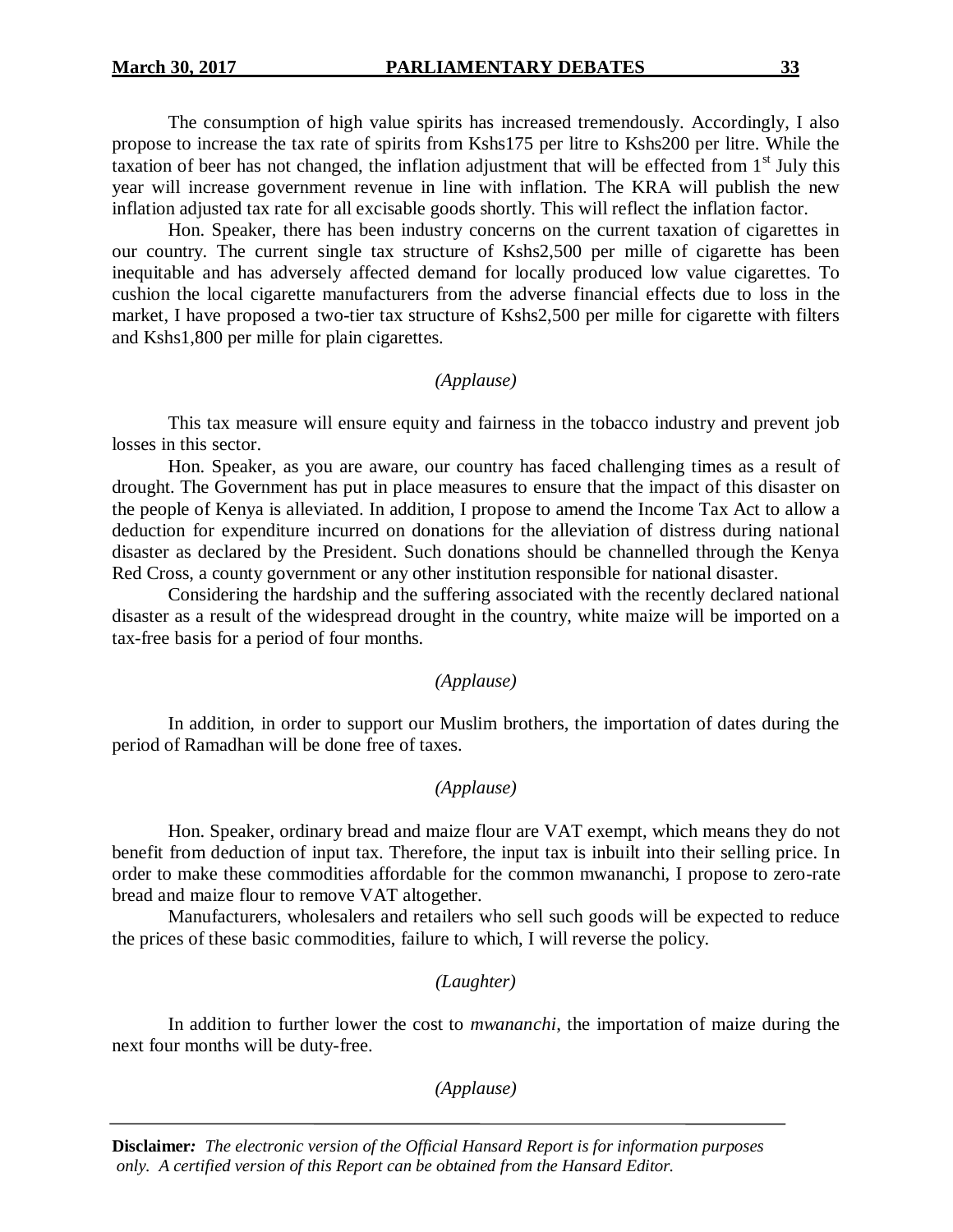The consumption of high value spirits has increased tremendously. Accordingly, I also propose to increase the tax rate of spirits from Kshs175 per litre to Kshs200 per litre. While the taxation of beer has not changed, the inflation adjustment that will be effected from  $1<sup>st</sup>$  July this year will increase government revenue in line with inflation. The KRA will publish the new inflation adjusted tax rate for all excisable goods shortly. This will reflect the inflation factor.

Hon. Speaker, there has been industry concerns on the current taxation of cigarettes in our country. The current single tax structure of Kshs2,500 per mille of cigarette has been inequitable and has adversely affected demand for locally produced low value cigarettes. To cushion the local cigarette manufacturers from the adverse financial effects due to loss in the market, I have proposed a two-tier tax structure of Kshs2,500 per mille for cigarette with filters and Kshs1,800 per mille for plain cigarettes.

# *(Applause)*

This tax measure will ensure equity and fairness in the tobacco industry and prevent job losses in this sector.

Hon. Speaker, as you are aware, our country has faced challenging times as a result of drought. The Government has put in place measures to ensure that the impact of this disaster on the people of Kenya is alleviated. In addition, I propose to amend the Income Tax Act to allow a deduction for expenditure incurred on donations for the alleviation of distress during national disaster as declared by the President. Such donations should be channelled through the Kenya Red Cross, a county government or any other institution responsible for national disaster.

Considering the hardship and the suffering associated with the recently declared national disaster as a result of the widespread drought in the country, white maize will be imported on a tax-free basis for a period of four months.

# *(Applause)*

In addition, in order to support our Muslim brothers, the importation of dates during the period of Ramadhan will be done free of taxes.

# *(Applause)*

Hon. Speaker, ordinary bread and maize flour are VAT exempt, which means they do not benefit from deduction of input tax. Therefore, the input tax is inbuilt into their selling price. In order to make these commodities affordable for the common mwananchi, I propose to zero-rate bread and maize flour to remove VAT altogether.

Manufacturers, wholesalers and retailers who sell such goods will be expected to reduce the prices of these basic commodities, failure to which, I will reverse the policy.

#### *(Laughter)*

In addition to further lower the cost to *mwananchi*, the importation of maize during the next four months will be duty-free.

*(Applause)*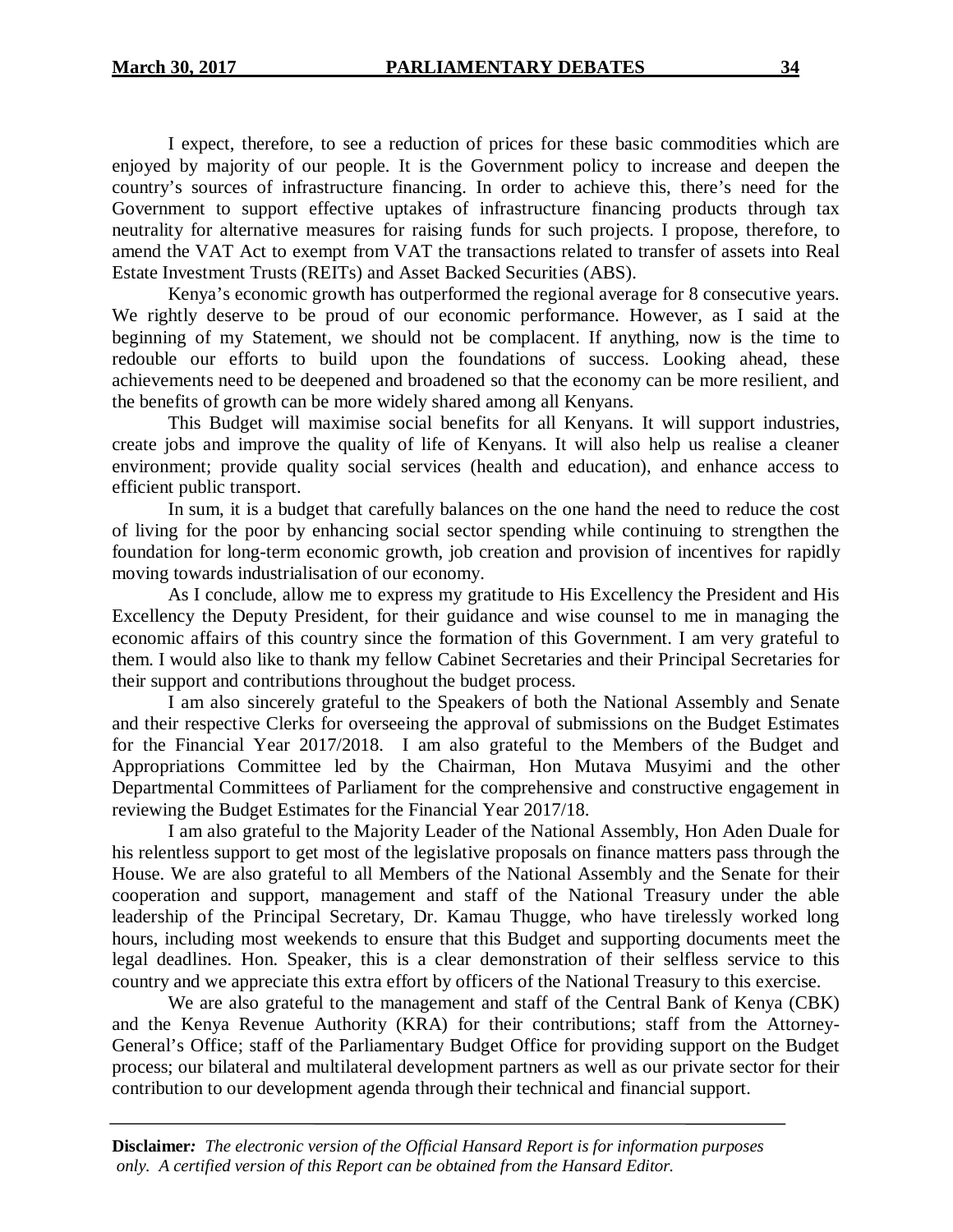I expect, therefore, to see a reduction of prices for these basic commodities which are enjoyed by majority of our people. It is the Government policy to increase and deepen the country's sources of infrastructure financing. In order to achieve this, there's need for the Government to support effective uptakes of infrastructure financing products through tax neutrality for alternative measures for raising funds for such projects. I propose, therefore, to amend the VAT Act to exempt from VAT the transactions related to transfer of assets into Real Estate Investment Trusts (REITs) and Asset Backed Securities (ABS).

Kenya's economic growth has outperformed the regional average for 8 consecutive years. We rightly deserve to be proud of our economic performance. However, as I said at the beginning of my Statement, we should not be complacent. If anything, now is the time to redouble our efforts to build upon the foundations of success. Looking ahead, these achievements need to be deepened and broadened so that the economy can be more resilient, and the benefits of growth can be more widely shared among all Kenyans.

This Budget will maximise social benefits for all Kenyans. It will support industries, create jobs and improve the quality of life of Kenyans. It will also help us realise a cleaner environment; provide quality social services (health and education), and enhance access to efficient public transport.

In sum, it is a budget that carefully balances on the one hand the need to reduce the cost of living for the poor by enhancing social sector spending while continuing to strengthen the foundation for long-term economic growth, job creation and provision of incentives for rapidly moving towards industrialisation of our economy.

As I conclude, allow me to express my gratitude to His Excellency the President and His Excellency the Deputy President, for their guidance and wise counsel to me in managing the economic affairs of this country since the formation of this Government. I am very grateful to them. I would also like to thank my fellow Cabinet Secretaries and their Principal Secretaries for their support and contributions throughout the budget process.

I am also sincerely grateful to the Speakers of both the National Assembly and Senate and their respective Clerks for overseeing the approval of submissions on the Budget Estimates for the Financial Year 2017/2018. I am also grateful to the Members of the Budget and Appropriations Committee led by the Chairman, Hon Mutava Musyimi and the other Departmental Committees of Parliament for the comprehensive and constructive engagement in reviewing the Budget Estimates for the Financial Year 2017/18.

I am also grateful to the Majority Leader of the National Assembly, Hon Aden Duale for his relentless support to get most of the legislative proposals on finance matters pass through the House. We are also grateful to all Members of the National Assembly and the Senate for their cooperation and support, management and staff of the National Treasury under the able leadership of the Principal Secretary, Dr. Kamau Thugge, who have tirelessly worked long hours, including most weekends to ensure that this Budget and supporting documents meet the legal deadlines. Hon. Speaker, this is a clear demonstration of their selfless service to this country and we appreciate this extra effort by officers of the National Treasury to this exercise.

We are also grateful to the management and staff of the Central Bank of Kenya (CBK) and the Kenya Revenue Authority (KRA) for their contributions; staff from the Attorney-General's Office; staff of the Parliamentary Budget Office for providing support on the Budget process; our bilateral and multilateral development partners as well as our private sector for their contribution to our development agenda through their technical and financial support.